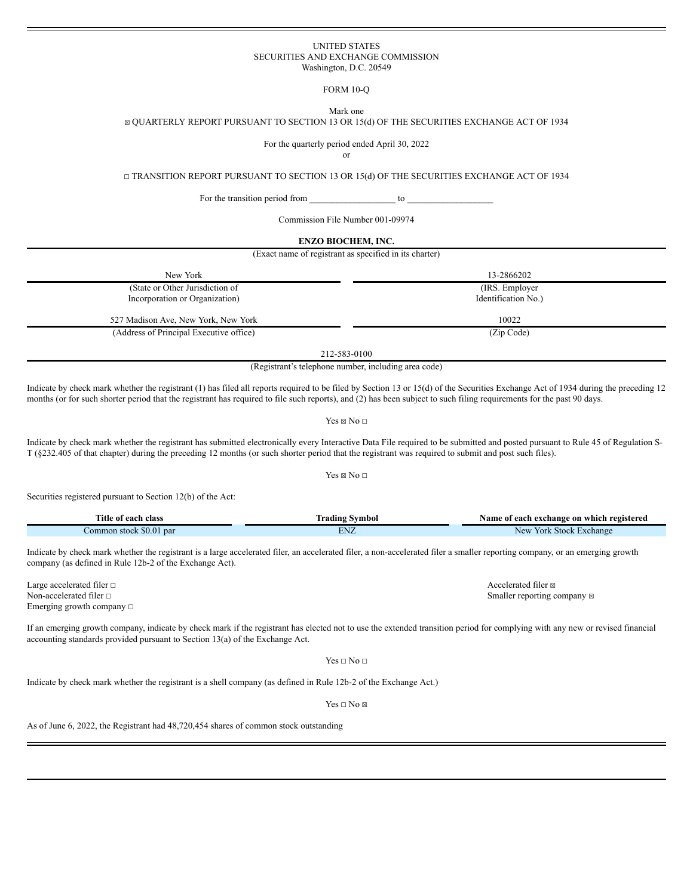## UNITED STATES SECURITIES AND EXCHANGE COMMISSION Washington, D.C. 20549

FORM 10-Q

Mark one

☒ QUARTERLY REPORT PURSUANT TO SECTION 13 OR 15(d) OF THE SECURITIES EXCHANGE ACT OF 1934

For the quarterly period ended April 30, 2022

or

☐ TRANSITION REPORT PURSUANT TO SECTION 13 OR 15(d) OF THE SECURITIES EXCHANGE ACT OF 1934

For the transition period from  $\frac{1}{\sqrt{2\pi}}$  to  $\frac{1}{\sqrt{2\pi}}$ 

Commission File Number 001-09974

### **ENZO BIOCHEM, INC.**

(Exact name of registrant as specified in its charter)

| New York                                | 13-2866202          |  |  |  |  |  |  |
|-----------------------------------------|---------------------|--|--|--|--|--|--|
| (State or Other Jurisdiction of         | (IRS. Employer)     |  |  |  |  |  |  |
| Incorporation or Organization)          | Identification No.) |  |  |  |  |  |  |
| 527 Madison Ave, New York, New York     | 10022               |  |  |  |  |  |  |
| (Address of Principal Executive office) | (Zip Code)          |  |  |  |  |  |  |
| 212-583-0100                            |                     |  |  |  |  |  |  |

(Registrant's telephone number, including area code)

Indicate by check mark whether the registrant (1) has filed all reports required to be filed by Section 13 or 15(d) of the Securities Exchange Act of 1934 during the preceding 12 months (or for such shorter period that the registrant has required to file such reports), and (2) has been subject to such filing requirements for the past 90 days.

#### Yes  $\boxtimes$  No  $\Box$

Indicate by check mark whether the registrant has submitted electronically every Interactive Data File required to be submitted and posted pursuant to Rule 45 of Regulation S-T (§232.405 of that chapter) during the preceding 12 months (or such shorter period that the registrant was required to submit and post such files).

### $Yes \boxtimes No \square$

Securities registered pursuant to Section 12(b) of the Act:

| Title of each                               | svmbol                  | Name of                                     |
|---------------------------------------------|-------------------------|---------------------------------------------|
| . class                                     | rading                  | t each exchange on which registered         |
| $\triangle$<br>50.0.<br>Common stock<br>par | EN <sub>7</sub><br>LIVA | New<br>York<br>Stock -<br>$\exists$ xchange |

Indicate by check mark whether the registrant is a large accelerated filer, an accelerated filer, a non-accelerated filer a smaller reporting company, or an emerging growth company (as defined in Rule 12b-2 of the Exchange Act).

Large accelerated filer □ Accelerated filer □ Accelerated filer ⊠ Non-accelerated filer □ Smaller reporting company ⊠ Emerging growth company ☐

and and the control of the control of the control of the control of the control of the control of the control of the control of the control of the control of the control of the control of the control of the control of the

If an emerging growth company, indicate by check mark if the registrant has elected not to use the extended transition period for complying with any new or revised financial accounting standards provided pursuant to Section 13(a) of the Exchange Act.

 $Yes \Box No \Box$ 

Indicate by check mark whether the registrant is a shell company (as defined in Rule 12b-2 of the Exchange Act.)

 $Yes \Box No \boxtimes$ 

As of June 6, 2022, the Registrant had 48,720,454 shares of common stock outstanding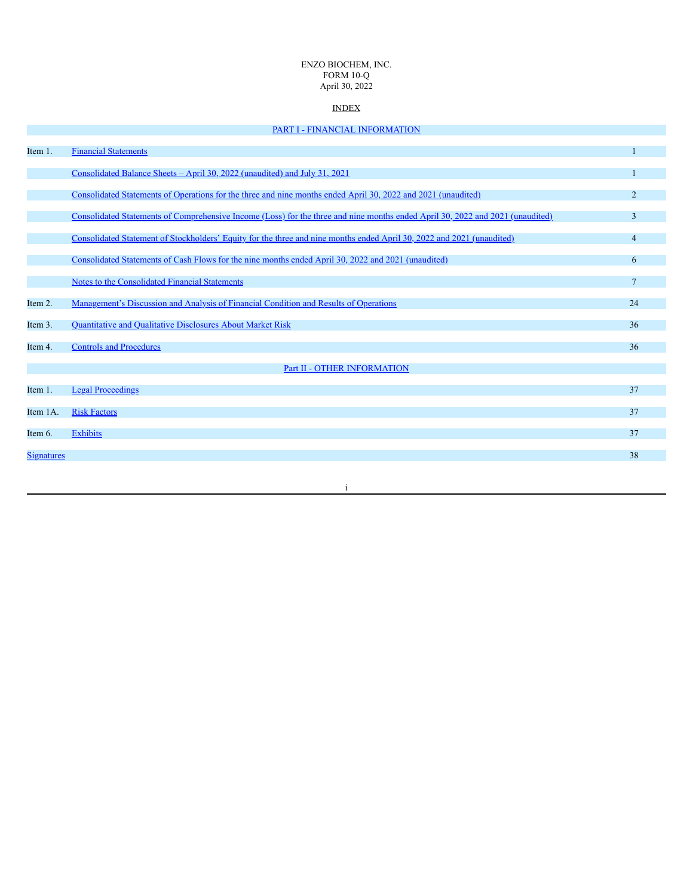### ENZO BIOCHEM, INC. FORM 10-Q April 30, 2022

# INDEX

|                   | PART I - FINANCIAL INFORMATION                                                                                                 |                |
|-------------------|--------------------------------------------------------------------------------------------------------------------------------|----------------|
| Item 1.           | <b>Financial Statements</b>                                                                                                    |                |
|                   | <u>Consolidated Balance Sheets – April 30, 2022 (unaudited) and July 31, 2021</u>                                              |                |
|                   | Consolidated Statements of Operations for the three and nine months ended April 30, 2022 and 2021 (unaudited)                  | $\overline{2}$ |
|                   | Consolidated Statements of Comprehensive Income (Loss) for the three and nine months ended April 30, 2022 and 2021 (unaudited) | $\overline{3}$ |
|                   | Consolidated Statement of Stockholders' Equity for the three and nine months ended April 30, 2022 and 2021 (unaudited)         | $\overline{4}$ |
|                   | Consolidated Statements of Cash Flows for the nine months ended April 30, 2022 and 2021 (unaudited)                            | 6              |
|                   | <b>Notes to the Consolidated Financial Statements</b>                                                                          | $\tau$         |
| Item 2.           | Management's Discussion and Analysis of Financial Condition and Results of Operations                                          | 24             |
| Item 3.           | Quantitative and Qualitative Disclosures About Market Risk                                                                     | 36             |
| Item 4.           | <b>Controls and Procedures</b>                                                                                                 | 36             |
|                   | Part II - OTHER INFORMATION                                                                                                    |                |
| Item 1.           | <b>Legal Proceedings</b>                                                                                                       | 37             |
| Item 1A.          | <b>Risk Factors</b>                                                                                                            | 37             |
| Item 6.           | <b>Exhibits</b>                                                                                                                | 37             |
| <b>Signatures</b> |                                                                                                                                | 38             |
|                   |                                                                                                                                |                |

i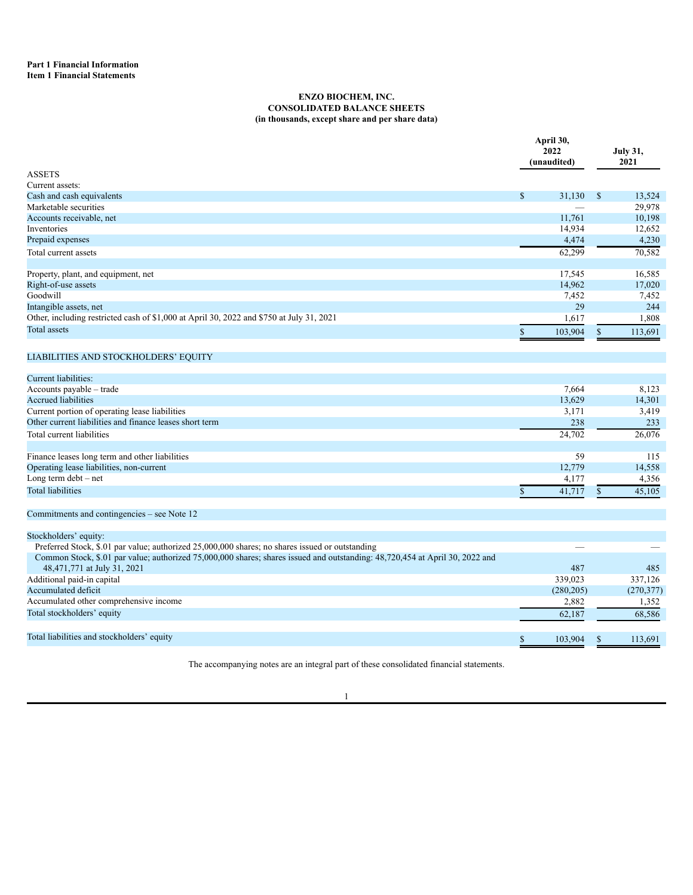## **ENZO BIOCHEM, INC. CONSOLIDATED BALANCE SHEETS (in thousands, except share and per share data)**

<span id="page-2-2"></span><span id="page-2-1"></span><span id="page-2-0"></span>

| ASSETS                                                                                                                                                      |    | April 30,<br>2022<br>(unaudited) |               | <b>July 31,</b><br>2021 |
|-------------------------------------------------------------------------------------------------------------------------------------------------------------|----|----------------------------------|---------------|-------------------------|
|                                                                                                                                                             |    |                                  |               |                         |
| Current assets:                                                                                                                                             |    |                                  |               |                         |
| Cash and cash equivalents<br>Marketable securities                                                                                                          | \$ | 31.130                           | <sup>\$</sup> | 13,524<br>29,978        |
| Accounts receivable, net                                                                                                                                    |    | 11,761                           |               | 10,198                  |
| Inventories                                                                                                                                                 |    | 14,934                           |               | 12,652                  |
| Prepaid expenses                                                                                                                                            |    | 4,474                            |               | 4,230                   |
| Total current assets                                                                                                                                        |    |                                  |               |                         |
|                                                                                                                                                             |    | 62,299                           |               | 70,582                  |
| Property, plant, and equipment, net                                                                                                                         |    | 17,545                           |               | 16,585                  |
| Right-of-use assets                                                                                                                                         |    | 14,962                           |               | 17,020                  |
| Goodwill                                                                                                                                                    |    | 7,452                            |               | 7,452                   |
| Intangible assets, net                                                                                                                                      |    | 29                               |               | 244                     |
| Other, including restricted cash of \$1,000 at April 30, 2022 and \$750 at July 31, 2021                                                                    |    | 1,617                            |               | 1,808                   |
| <b>Total assets</b>                                                                                                                                         | \$ | 103,904                          | $\mathbb{S}$  | 113,691                 |
| LIABILITIES AND STOCKHOLDERS' EQUITY                                                                                                                        |    |                                  |               |                         |
| Current liabilities:                                                                                                                                        |    |                                  |               |                         |
| Accounts payable – trade                                                                                                                                    |    | 7,664                            |               | 8,123                   |
| Accrued liabilities                                                                                                                                         |    | 13,629                           |               | 14,301                  |
| Current portion of operating lease liabilities                                                                                                              |    | 3,171                            |               | 3,419                   |
| Other current liabilities and finance leases short term                                                                                                     |    | 238                              |               | 233                     |
| Total current liabilities                                                                                                                                   |    | 24,702                           |               | 26,076                  |
| Finance leases long term and other liabilities                                                                                                              |    | 59                               |               | 115                     |
| Operating lease liabilities, non-current                                                                                                                    |    | 12,779                           |               | 14,558                  |
| Long term $debt - net$                                                                                                                                      |    | 4,177                            |               | 4,356                   |
| <b>Total liabilities</b>                                                                                                                                    | \$ | 41,717                           | $\mathbb{S}$  | 45,105                  |
| Commitments and contingencies – see Note 12                                                                                                                 |    |                                  |               |                         |
| Stockholders' equity:                                                                                                                                       |    |                                  |               |                         |
| Preferred Stock, \$.01 par value; authorized 25,000,000 shares; no shares issued or outstanding                                                             |    |                                  |               |                         |
| Common Stock, \$.01 par value; authorized 75,000,000 shares; shares issued and outstanding: 48,720,454 at April 30, 2022 and<br>48,471,771 at July 31, 2021 |    | 487                              |               | 485                     |
| Additional paid-in capital                                                                                                                                  |    | 339,023                          |               | 337,126                 |
| Accumulated deficit                                                                                                                                         |    | (280, 205)                       |               | (270, 377)              |
| Accumulated other comprehensive income                                                                                                                      |    | 2,882                            |               | 1,352                   |
| Total stockholders' equity                                                                                                                                  |    | 62,187                           |               | 68,586                  |
| Total liabilities and stockholders' equity                                                                                                                  | \$ |                                  | \$            | 113,691                 |
|                                                                                                                                                             |    | 103,904                          |               |                         |

The accompanying notes are an integral part of these consolidated financial statements.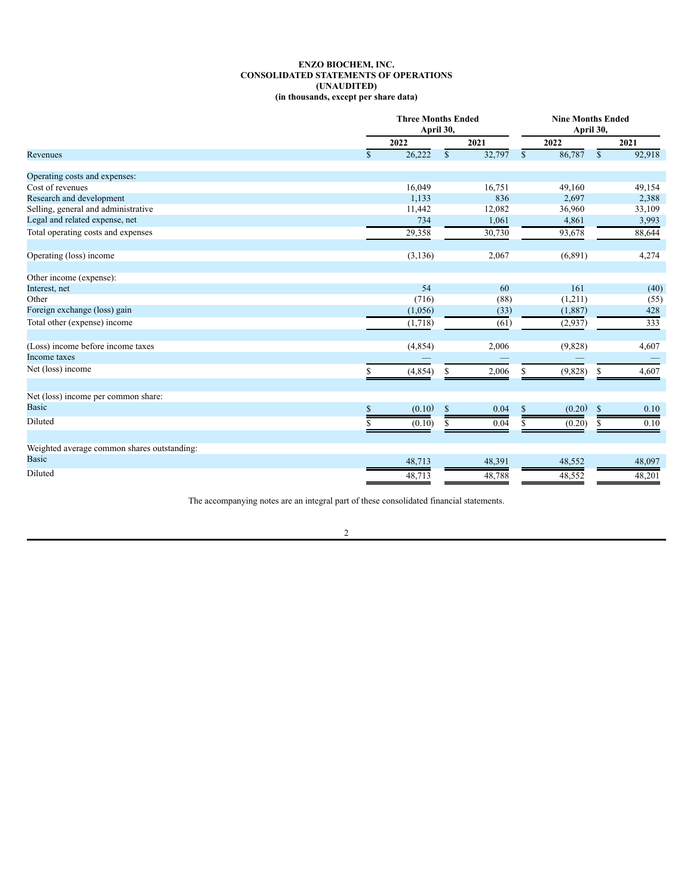## **ENZO BIOCHEM, INC. CONSOLIDATED STATEMENTS OF OPERATIONS (UNAUDITED) (in thousands, except per share data)**

<span id="page-3-0"></span>

|                                             |              | <b>Three Months Ended</b><br>April 30, |              |        |               |          | <b>Nine Months Ended</b><br>April 30, |        |  |  |  |
|---------------------------------------------|--------------|----------------------------------------|--------------|--------|---------------|----------|---------------------------------------|--------|--|--|--|
|                                             |              | 2022                                   | 2021         |        |               | 2022     |                                       | 2021   |  |  |  |
| Revenues                                    | $\mathbb{S}$ | 26,222                                 | $\mathbb{S}$ | 32,797 | $\mathbb{S}$  | 86,787   | $\mathbb{S}$                          | 92,918 |  |  |  |
| Operating costs and expenses:               |              |                                        |              |        |               |          |                                       |        |  |  |  |
| Cost of revenues                            |              | 16,049                                 |              | 16,751 |               | 49,160   |                                       | 49,154 |  |  |  |
| Research and development                    |              | 1,133                                  |              | 836    |               | 2,697    |                                       | 2,388  |  |  |  |
| Selling, general and administrative         |              | 11,442                                 |              | 12,082 |               | 36,960   |                                       | 33,109 |  |  |  |
| Legal and related expense, net              |              | 734                                    |              | 1,061  |               | 4,861    |                                       | 3,993  |  |  |  |
| Total operating costs and expenses          |              | 29,358                                 |              | 30,730 |               | 93,678   |                                       | 88,644 |  |  |  |
| Operating (loss) income                     |              | (3, 136)                               |              | 2,067  |               | (6, 891) |                                       | 4,274  |  |  |  |
| Other income (expense):                     |              |                                        |              |        |               |          |                                       |        |  |  |  |
| Interest, net                               |              | 54                                     |              | 60     |               | 161      |                                       | (40)   |  |  |  |
| Other                                       |              | (716)                                  |              | (88)   |               | (1,211)  |                                       | (55)   |  |  |  |
| Foreign exchange (loss) gain                |              | (1,056)                                |              | (33)   |               | (1,887)  |                                       | 428    |  |  |  |
| Total other (expense) income                |              | (1,718)                                |              | (61)   |               | (2,937)  |                                       | 333    |  |  |  |
| (Loss) income before income taxes           |              | (4, 854)                               |              | 2,006  |               | (9,828)  |                                       | 4,607  |  |  |  |
| Income taxes                                |              |                                        |              |        |               |          |                                       |        |  |  |  |
| Net (loss) income                           | S            | (4,854)                                | S            | 2,006  | S             | (9,828)  | <sup>\$</sup>                         | 4,607  |  |  |  |
| Net (loss) income per common share:         |              |                                        |              |        |               |          |                                       |        |  |  |  |
| <b>Basic</b>                                | \$           | (0.10)                                 | $\mathbb{S}$ | 0.04   | $\mathcal{S}$ | (0.20)   | $\mathcal{S}$                         | 0.10   |  |  |  |
| Diluted                                     |              | (0.10)                                 | S            | 0.04   | S             | (0.20)   | S                                     | 0.10   |  |  |  |
|                                             |              |                                        |              |        |               |          |                                       |        |  |  |  |
| Weighted average common shares outstanding: |              |                                        |              |        |               |          |                                       |        |  |  |  |
| <b>Basic</b>                                |              | 48,713                                 |              | 48,391 |               | 48,552   |                                       | 48,097 |  |  |  |
| Diluted                                     |              | 48,713                                 |              | 48,788 |               | 48,552   |                                       | 48,201 |  |  |  |

The accompanying notes are an integral part of these consolidated financial statements.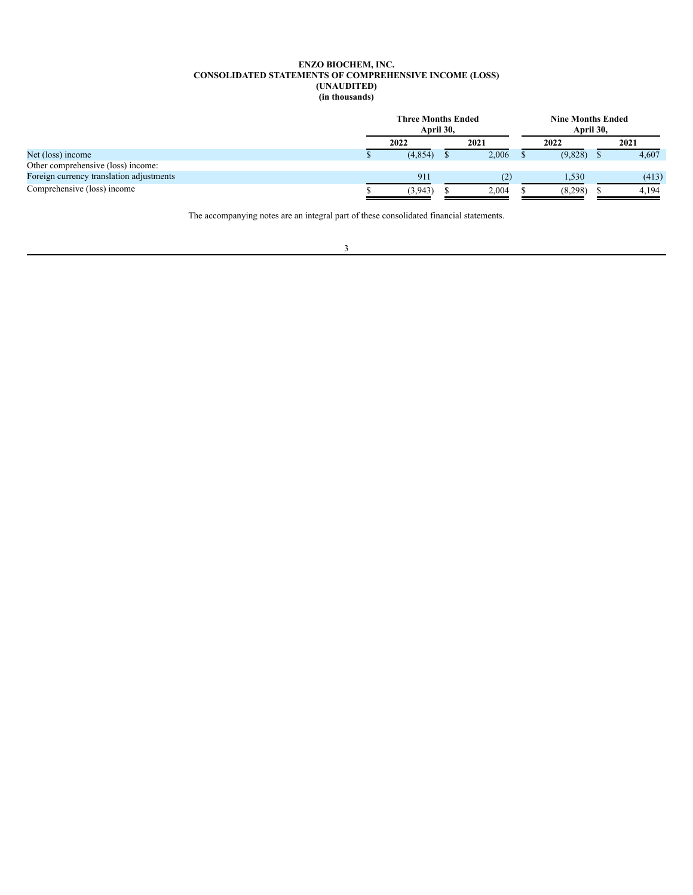## **ENZO BIOCHEM, INC. CONSOLIDATED STATEMENTS OF COMPREHENSIVE INCOME (LOSS) (UNAUDITED) (in thousands)**

<span id="page-4-0"></span>

|                                          | <b>Three Months Ended</b><br>April 30, |          |  |       | <b>Nine Months Ended</b><br>April 30, |          |  |       |  |
|------------------------------------------|----------------------------------------|----------|--|-------|---------------------------------------|----------|--|-------|--|
|                                          |                                        | 2022     |  | 2021  |                                       | 2022     |  | 2021  |  |
| Net (loss) income                        |                                        | (4, 854) |  | 2,006 |                                       | (9,828)  |  | 4,607 |  |
| Other comprehensive (loss) income:       |                                        |          |  |       |                                       |          |  |       |  |
| Foreign currency translation adjustments |                                        | 911      |  | (2)   |                                       | 1,530    |  | (413) |  |
| Comprehensive (loss) income              |                                        | (3,943)  |  | 2.004 |                                       | (8, 298) |  | 4.194 |  |

The accompanying notes are an integral part of these consolidated financial statements.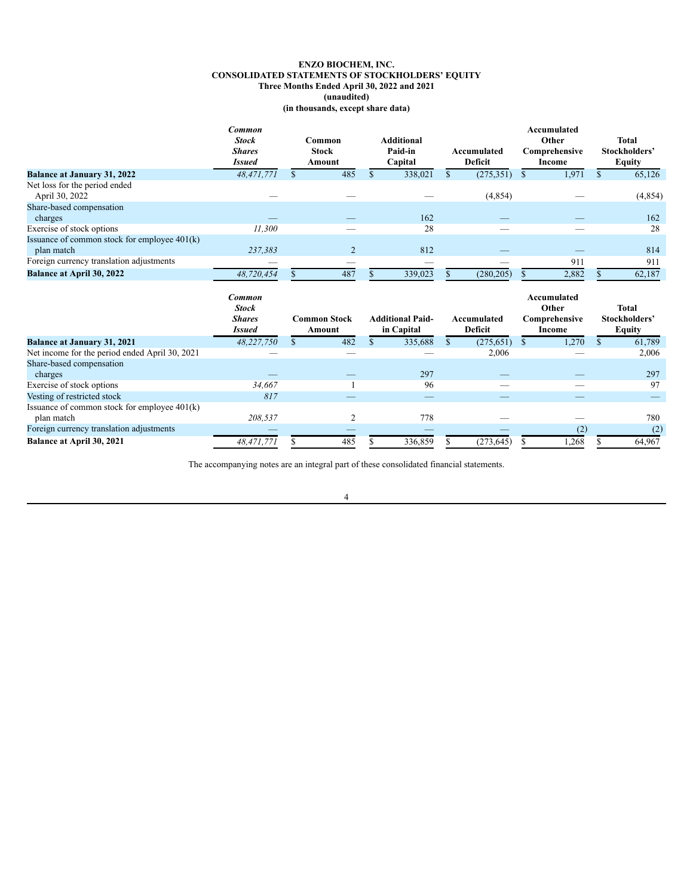## **ENZO BIOCHEM, INC. CONSOLIDATED STATEMENTS OF STOCKHOLDERS' EQUITY Three Months Ended April 30, 2022 and 2021 (unaudited) (in thousands, except share data)**

<span id="page-5-0"></span>

|                                                | <b>Common</b><br><b>Stock</b><br><b>Shares</b><br><i>Issued</i> | Common<br>Paid-in<br><b>Stock</b><br>Capital<br>Amount |                | <b>Additional</b> | Accumulated<br><b>Deficit</b> | Accumulated<br>Other<br>Comprehensive<br>Income | Total<br>Stockholders'<br>Equity |  |          |
|------------------------------------------------|-----------------------------------------------------------------|--------------------------------------------------------|----------------|-------------------|-------------------------------|-------------------------------------------------|----------------------------------|--|----------|
| <b>Balance at January 31, 2022</b>             | 48,471,771                                                      |                                                        | 485            |                   | 338,021                       | (275, 351)                                      | 1,971                            |  | 65,126   |
| Net loss for the period ended                  |                                                                 |                                                        |                |                   |                               |                                                 |                                  |  |          |
| April 30, 2022                                 |                                                                 |                                                        |                |                   |                               | (4, 854)                                        |                                  |  | (4, 854) |
| Share-based compensation                       |                                                                 |                                                        |                |                   |                               |                                                 |                                  |  |          |
| charges                                        |                                                                 |                                                        |                |                   | 162                           |                                                 |                                  |  | 162      |
| Exercise of stock options                      | 11.300                                                          |                                                        |                |                   | 28                            |                                                 |                                  |  | 28       |
| Issuance of common stock for employee $401(k)$ |                                                                 |                                                        |                |                   |                               |                                                 |                                  |  |          |
| plan match                                     | 237.383                                                         |                                                        | $\overline{2}$ |                   | 812                           |                                                 |                                  |  | 814      |
| Foreign currency translation adjustments       | __                                                              |                                                        |                |                   |                               |                                                 | 911                              |  | 911      |
| <b>Balance at April 30, 2022</b>               | 48,720,454                                                      |                                                        | 487            |                   | 339,023                       | (280, 205)                                      | 2,882                            |  | 62,187   |

|                                                | <b>Common</b><br><b>Stock</b><br><b>Shares</b><br><i>Issued</i> | <b>Common Stock</b><br>Amount | <b>Additional Paid-</b><br>in Capital | Accumulated<br><b>Deficit</b> | Accumulated<br>Other<br>Comprehensive<br>Income | <b>Total</b><br>Stockholders'<br><b>Equity</b> |
|------------------------------------------------|-----------------------------------------------------------------|-------------------------------|---------------------------------------|-------------------------------|-------------------------------------------------|------------------------------------------------|
| <b>Balance at January 31, 2021</b>             | 48,227,750                                                      | 482                           | 335,688                               | (275, 651)                    | 1,270                                           | 61,789                                         |
| Net income for the period ended April 30, 2021 |                                                                 |                               |                                       | 2,006                         |                                                 | 2,006                                          |
| Share-based compensation                       |                                                                 |                               |                                       |                               |                                                 |                                                |
| charges                                        |                                                                 |                               | 297                                   |                               |                                                 | 297                                            |
| Exercise of stock options                      | 34.667                                                          |                               | 96                                    |                               |                                                 | 97                                             |
| Vesting of restricted stock                    | 817                                                             |                               |                                       |                               |                                                 |                                                |
| Issuance of common stock for employee $401(k)$ |                                                                 |                               |                                       |                               |                                                 |                                                |
| plan match                                     | 208.537                                                         |                               | 778                                   |                               |                                                 | 780                                            |
| Foreign currency translation adjustments       |                                                                 |                               |                                       |                               | (2)                                             | (2)                                            |
| <b>Balance at April 30, 2021</b>               | 48,471,771                                                      | 485                           | 336,859                               | (273, 645)                    | 1,268                                           | 64,967                                         |

The accompanying notes are an integral part of these consolidated financial statements.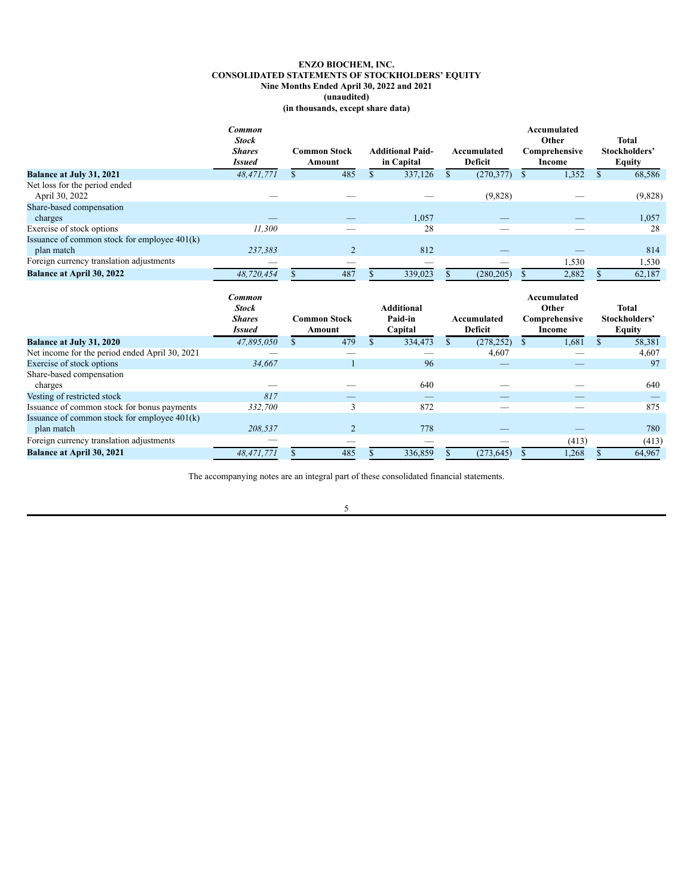## **ENZO BIOCHEM, INC. CONSOLIDATED STATEMENTS OF STOCKHOLDERS' EQUITY Nine Months Ended April 30, 2022 and 2021 (unaudited) (in thousands, except share data)**

|                                                              | <b>Common</b><br><b>Stock</b><br><b>Shares</b><br><i>Issued</i> | <b>Common Stock</b><br>Amount |     | <b>Additional Paid-</b><br>in Capital |         | Accumulated<br><b>Deficit</b> |            | Accumulated<br>Other<br>Comprehensive<br>Income |       | <b>Total</b><br>Stockholders'<br><b>Equity</b> |
|--------------------------------------------------------------|-----------------------------------------------------------------|-------------------------------|-----|---------------------------------------|---------|-------------------------------|------------|-------------------------------------------------|-------|------------------------------------------------|
| <b>Balance at July 31, 2021</b>                              | 48,471,771                                                      |                               | 485 |                                       | 337,126 |                               | (270, 377) |                                                 | 1,352 | 68,586                                         |
| Net loss for the period ended<br>April 30, 2022              |                                                                 |                               |     |                                       |         |                               | (9,828)    |                                                 |       | (9,828)                                        |
| Share-based compensation<br>charges                          |                                                                 |                               |     |                                       | 1,057   |                               |            |                                                 |       | 1,057                                          |
| Exercise of stock options                                    | 11.300                                                          |                               |     |                                       | 28      |                               |            |                                                 |       | 28                                             |
| Issuance of common stock for employee $401(k)$<br>plan match | 237.383                                                         |                               |     |                                       | 812     |                               |            |                                                 |       | 814                                            |
| Foreign currency translation adjustments                     |                                                                 |                               |     |                                       |         |                               |            |                                                 | 1,530 | 1,530                                          |
| <b>Balance at April 30, 2022</b>                             | 48,720,454                                                      |                               | 487 |                                       | 339,023 |                               | (280, 205) |                                                 | 2,882 | 62,187                                         |

|                                                | <b>Common</b><br><b>Stock</b>  |                                                     |  | <b>Additional</b> |                        |            |                         | Accumulated<br>Other | Total                          |
|------------------------------------------------|--------------------------------|-----------------------------------------------------|--|-------------------|------------------------|------------|-------------------------|----------------------|--------------------------------|
|                                                | <b>Shares</b><br><b>Issued</b> | Paid-in<br><b>Common Stock</b><br>Capital<br>Amount |  |                   | Accumulated<br>Deficit |            | Comprehensive<br>Income |                      | Stockholders'<br><b>Equity</b> |
| <b>Balance at July 31, 2020</b>                | 47.895.050                     | 479                                                 |  | 334,473           |                        | (278, 252) |                         | 1,681                | 58,381                         |
| Net income for the period ended April 30, 2021 |                                |                                                     |  |                   |                        | 4,607      |                         |                      | 4,607                          |
| Exercise of stock options                      | 34,667                         |                                                     |  | 96                |                        |            |                         |                      | 97                             |
| Share-based compensation                       |                                |                                                     |  |                   |                        |            |                         |                      |                                |
| charges                                        |                                |                                                     |  | 640               |                        |            |                         |                      | 640                            |
| Vesting of restricted stock                    | 817                            |                                                     |  |                   |                        |            |                         |                      |                                |
| Issuance of common stock for bonus payments    | 332.700                        | 3                                                   |  | 872               |                        |            |                         |                      | 875                            |
| Issuance of common stock for employee $401(k)$ |                                |                                                     |  |                   |                        |            |                         |                      |                                |
| plan match                                     | 208.537                        |                                                     |  | 778               |                        |            |                         |                      | 780                            |
| Foreign currency translation adjustments       |                                |                                                     |  |                   |                        |            |                         | (413)                | (413)                          |
| <b>Balance at April 30, 2021</b>               | 48,471,771                     | 485                                                 |  | 336,859           |                        | (273, 645) |                         | 1,268                | 64,967                         |

The accompanying notes are an integral part of these consolidated financial statements.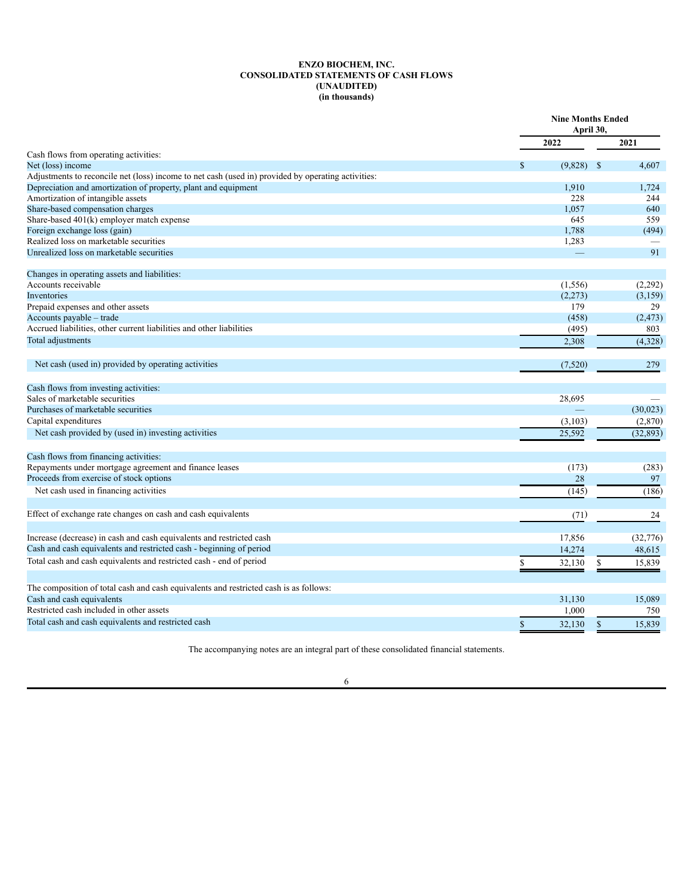## **ENZO BIOCHEM, INC. CONSOLIDATED STATEMENTS OF CASH FLOWS (UNAUDITED) (in thousands)**

<span id="page-7-0"></span>

|                                                                                                                                                                      |                | <b>Nine Months Ended</b><br>April 30, |
|----------------------------------------------------------------------------------------------------------------------------------------------------------------------|----------------|---------------------------------------|
|                                                                                                                                                                      | 2022           | 2021                                  |
| Cash flows from operating activities:                                                                                                                                |                |                                       |
| Net (loss) income                                                                                                                                                    | (9,828)<br>\$  | <sup>\$</sup><br>4,607                |
| Adjustments to reconcile net (loss) income to net cash (used in) provided by operating activities:<br>Depreciation and amortization of property, plant and equipment |                |                                       |
| Amortization of intangible assets                                                                                                                                    | 1,910<br>228   | 1,724<br>244                          |
|                                                                                                                                                                      | 1,057          | 640                                   |
| Share-based compensation charges                                                                                                                                     | 645            | 559                                   |
| Share-based 401(k) employer match expense                                                                                                                            |                |                                       |
| Foreign exchange loss (gain)<br>Realized loss on marketable securities                                                                                               | 1,788<br>1,283 | (494)                                 |
| Unrealized loss on marketable securities                                                                                                                             |                | 91                                    |
|                                                                                                                                                                      |                |                                       |
| Changes in operating assets and liabilities:                                                                                                                         |                |                                       |
| Accounts receivable                                                                                                                                                  | (1, 556)       | (2,292)                               |
| Inventories                                                                                                                                                          | (2,273)        | (3,159)                               |
| Prepaid expenses and other assets                                                                                                                                    | 179            | 29                                    |
| Accounts payable - trade                                                                                                                                             | (458)          | (2, 473)                              |
| Accrued liabilities, other current liabilities and other liabilities                                                                                                 | (495)          | 803                                   |
| Total adjustments                                                                                                                                                    | 2,308          | (4,328)                               |
| Net cash (used in) provided by operating activities                                                                                                                  | (7,520)        | 279                                   |
| Cash flows from investing activities:                                                                                                                                |                |                                       |
| Sales of marketable securities                                                                                                                                       | 28,695         |                                       |
| Purchases of marketable securities                                                                                                                                   |                | (30,023)                              |
| Capital expenditures                                                                                                                                                 | (3,103)        | (2,870)                               |
| Net cash provided by (used in) investing activities                                                                                                                  | 25,592         | (32, 893)                             |
| Cash flows from financing activities:                                                                                                                                |                |                                       |
| Repayments under mortgage agreement and finance leases                                                                                                               | (173)          | (283)                                 |
| Proceeds from exercise of stock options                                                                                                                              | 28             | 97                                    |
|                                                                                                                                                                      |                |                                       |
| Net cash used in financing activities                                                                                                                                | (145)          | (186)                                 |
| Effect of exchange rate changes on cash and cash equivalents                                                                                                         | (71)           | 24                                    |
| Increase (decrease) in cash and cash equivalents and restricted cash                                                                                                 | 17,856         | (32, 776)                             |
| Cash and cash equivalents and restricted cash - beginning of period                                                                                                  | 14,274         | 48,615                                |
| Total cash and cash equivalents and restricted cash - end of period                                                                                                  | \$<br>32,130   | \$<br>15,839                          |
|                                                                                                                                                                      |                |                                       |
| The composition of total cash and cash equivalents and restricted cash is as follows:                                                                                |                |                                       |
| Cash and cash equivalents                                                                                                                                            | 31,130         | 15,089                                |
| Restricted cash included in other assets                                                                                                                             | 1,000          | 750                                   |
| Total cash and cash equivalents and restricted cash                                                                                                                  | \$<br>32,130   | \$<br>15,839                          |

The accompanying notes are an integral part of these consolidated financial statements.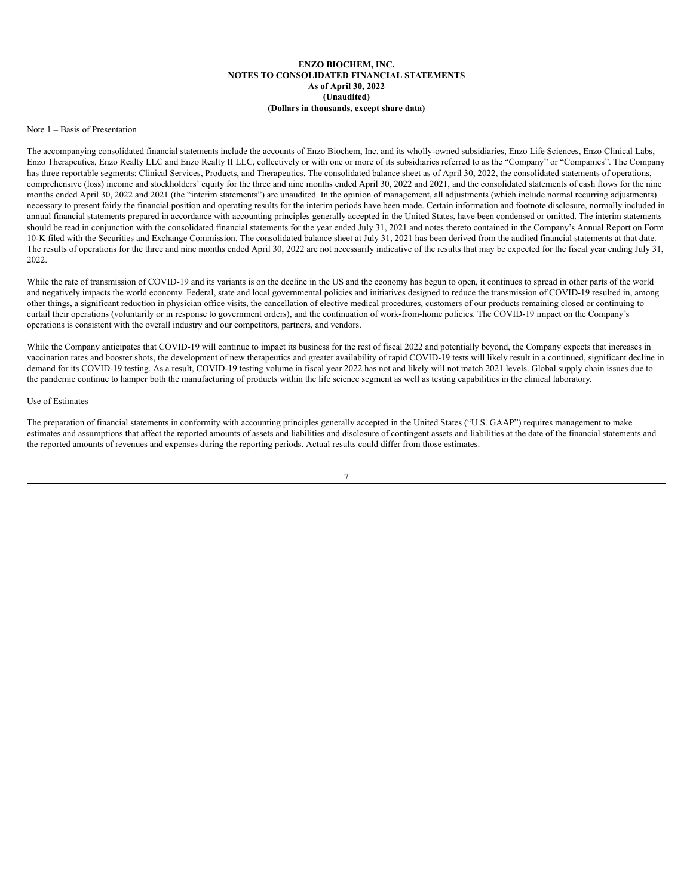### **ENZO BIOCHEM, INC. NOTES TO CONSOLIDATED FINANCIAL STATEMENTS As of April 30, 2022 (Unaudited) (Dollars in thousands, except share data)**

### <span id="page-8-0"></span>Note 1 – Basis of Presentation

The accompanying consolidated financial statements include the accounts of Enzo Biochem, Inc. and its wholly-owned subsidiaries, Enzo Life Sciences, Enzo Clinical Labs, Enzo Therapeutics, Enzo Realty LLC and Enzo Realty II LLC, collectively or with one or more of its subsidiaries referred to as the "Company" or "Companies". The Company has three reportable segments: Clinical Services, Products, and Therapeutics. The consolidated balance sheet as of April 30, 2022, the consolidated statements of operations, comprehensive (loss) income and stockholders' equity for the three and nine months ended April 30, 2022 and 2021, and the consolidated statements of cash flows for the nine months ended April 30, 2022 and 2021 (the "interim statements") are unaudited. In the opinion of management, all adjustments (which include normal recurring adjustments) necessary to present fairly the financial position and operating results for the interim periods have been made. Certain information and footnote disclosure, normally included in annual financial statements prepared in accordance with accounting principles generally accepted in the United States, have been condensed or omitted. The interim statements should be read in conjunction with the consolidated financial statements for the year ended July 31, 2021 and notes thereto contained in the Company's Annual Report on Form 10-K filed with the Securities and Exchange Commission. The consolidated balance sheet at July 31, 2021 has been derived from the audited financial statements at that date. The results of operations for the three and nine months ended April 30, 2022 are not necessarily indicative of the results that may be expected for the fiscal year ending July 31, 2022.

While the rate of transmission of COVID-19 and its variants is on the decline in the US and the economy has begun to open, it continues to spread in other parts of the world and negatively impacts the world economy. Federal, state and local governmental policies and initiatives designed to reduce the transmission of COVID-19 resulted in, among other things, a significant reduction in physician office visits, the cancellation of elective medical procedures, customers of our products remaining closed or continuing to curtail their operations (voluntarily or in response to government orders), and the continuation of work-from-home policies. The COVID-19 impact on the Company's operations is consistent with the overall industry and our competitors, partners, and vendors.

While the Company anticipates that COVID-19 will continue to impact its business for the rest of fiscal 2022 and potentially beyond, the Company expects that increases in vaccination rates and booster shots, the development of new therapeutics and greater availability of rapid COVID-19 tests will likely result in a continued, significant decline in demand for its COVID-19 testing. As a result, COVID-19 testing volume in fiscal year 2022 has not and likely will not match 2021 levels. Global supply chain issues due to the pandemic continue to hamper both the manufacturing of products within the life science segment as well as testing capabilities in the clinical laboratory.

### Use of Estimates

The preparation of financial statements in conformity with accounting principles generally accepted in the United States ("U.S. GAAP") requires management to make estimates and assumptions that affect the reported amounts of assets and liabilities and disclosure of contingent assets and liabilities at the date of the financial statements and the reported amounts of revenues and expenses during the reporting periods. Actual results could differ from those estimates.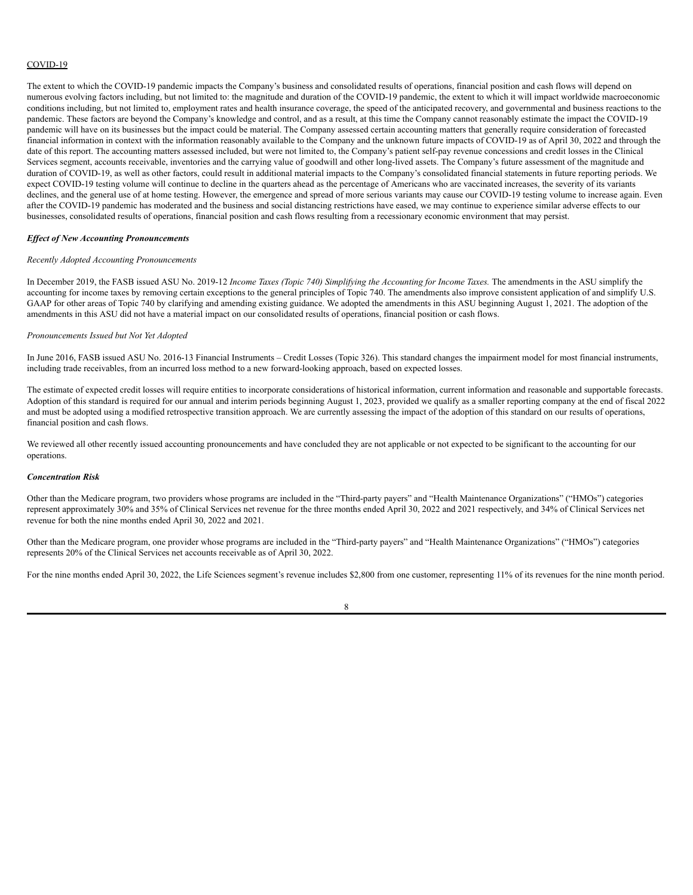## COVID-19

The extent to which the COVID-19 pandemic impacts the Company's business and consolidated results of operations, financial position and cash flows will depend on numerous evolving factors including, but not limited to: the magnitude and duration of the COVID-19 pandemic, the extent to which it will impact worldwide macroeconomic conditions including, but not limited to, employment rates and health insurance coverage, the speed of the anticipated recovery, and governmental and business reactions to the pandemic. These factors are beyond the Company's knowledge and control, and as a result, at this time the Company cannot reasonably estimate the impact the COVID-19 pandemic will have on its businesses but the impact could be material. The Company assessed certain accounting matters that generally require consideration of forecasted financial information in context with the information reasonably available to the Company and the unknown future impacts of COVID-19 as of April 30, 2022 and through the date of this report. The accounting matters assessed included, but were not limited to, the Company's patient self-pay revenue concessions and credit losses in the Clinical Services segment, accounts receivable, inventories and the carrying value of goodwill and other long-lived assets. The Company's future assessment of the magnitude and duration of COVID-19, as well as other factors, could result in additional material impacts to the Company's consolidated financial statements in future reporting periods. We expect COVID-19 testing volume will continue to decline in the quarters ahead as the percentage of Americans who are vaccinated increases, the severity of its variants declines, and the general use of at home testing. However, the emergence and spread of more serious variants may cause our COVID-19 testing volume to increase again. Even after the COVID-19 pandemic has moderated and the business and social distancing restrictions have eased, we may continue to experience similar adverse effects to our businesses, consolidated results of operations, financial position and cash flows resulting from a recessionary economic environment that may persist.

### *Ef ect of New Accounting Pronouncements*

## *Recently Adopted Accounting Pronouncements*

In December 2019, the FASB issued ASU No. 2019-12 Income Taxes (Topic 740) Simplifying the Accounting for Income Taxes. The amendments in the ASU simplify the accounting for income taxes by removing certain exceptions to the general principles of Topic 740. The amendments also improve consistent application of and simplify U.S. GAAP for other areas of Topic 740 by clarifying and amending existing guidance. We adopted the amendments in this ASU beginning August 1, 2021. The adoption of the amendments in this ASU did not have a material impact on our consolidated results of operations, financial position or cash flows.

### *Pronouncements Issued but Not Yet Adopted*

In June 2016, FASB issued ASU No. 2016-13 Financial Instruments – Credit Losses (Topic 326). This standard changes the impairment model for most financial instruments, including trade receivables, from an incurred loss method to a new forward-looking approach, based on expected losses.

The estimate of expected credit losses will require entities to incorporate considerations of historical information, current information and reasonable and supportable forecasts. Adoption of this standard is required for our annual and interim periods beginning August 1, 2023, provided we qualify as a smaller reporting company at the end of fiscal 2022 and must be adopted using a modified retrospective transition approach. We are currently assessing the impact of the adoption of this standard on our results of operations, financial position and cash flows.

We reviewed all other recently issued accounting pronouncements and have concluded they are not applicable or not expected to be significant to the accounting for our operations.

### *Concentration Risk*

Other than the Medicare program, two providers whose programs are included in the "Third-party payers" and "Health Maintenance Organizations" ("HMOs") categories represent approximately 30% and 35% of Clinical Services net revenue for the three months ended April 30, 2022 and 2021 respectively, and 34% of Clinical Services net revenue for both the nine months ended April 30, 2022 and 2021.

Other than the Medicare program, one provider whose programs are included in the "Third-party payers" and "Health Maintenance Organizations" ("HMOs") categories represents 20% of the Clinical Services net accounts receivable as of April 30, 2022.

For the nine months ended April 30, 2022, the Life Sciences segment's revenue includes \$2,800 from one customer, representing 11% of its revenues for the nine month period.

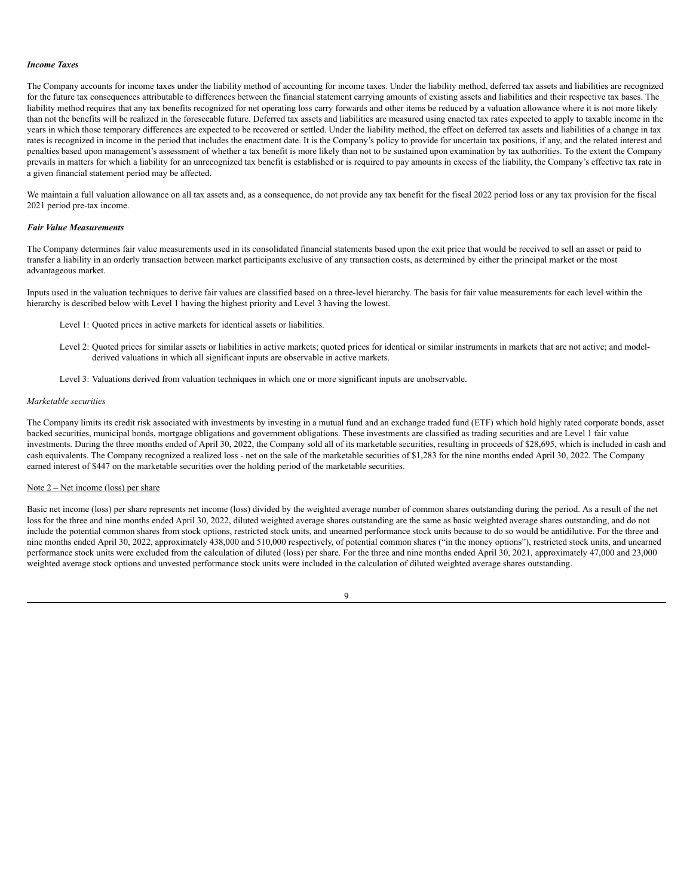### *Income Taxes*

The Company accounts for income taxes under the liability method of accounting for income taxes. Under the liability method, deferred tax assets and liabilities are recognized for the future tax consequences attributable to differences between the financial statement carrying amounts of existing assets and liabilities and their respective tax bases. The liability method requires that any tax benefits recognized for net operating loss carry forwards and other items be reduced by a valuation allowance where it is not more likely than not the benefits will be realized in the foreseeable future. Deferred tax assets and liabilities are measured using enacted tax rates expected to apply to taxable income in the years in which those temporary differences are expected to be recovered or settled. Under the liability method, the effect on deferred tax assets and liabilities of a change in tax rates is recognized in income in the period that includes the enactment date. It is the Company's policy to provide for uncertain tax positions, if any, and the related interest and penalties based upon management's assessment of whether a tax benefit is more likely than not to be sustained upon examination by tax authorities. To the extent the Company prevails in matters for which a liability for an unrecognized tax benefit is established or is required to pay amounts in excess of the liability, the Company's effective tax rate in a given financial statement period may be affected.

We maintain a full valuation allowance on all tax assets and, as a consequence, do not provide any tax benefit for the fiscal 2022 period loss or any tax provision for the fiscal 2021 period pre-tax income.

## *Fair Value Measurements*

The Company determines fair value measurements used in its consolidated financial statements based upon the exit price that would be received to sell an asset or paid to transfer a liability in an orderly transaction between market participants exclusive of any transaction costs, as determined by either the principal market or the most advantageous market.

Inputs used in the valuation techniques to derive fair values are classified based on a three-level hierarchy. The basis for fair value measurements for each level within the hierarchy is described below with Level 1 having the highest priority and Level 3 having the lowest.

- Level 1: Quoted prices in active markets for identical assets or liabilities.
- Level 2: Quoted prices for similar assets or liabilities in active markets; quoted prices for identical or similar instruments in markets that are not active; and modelderived valuations in which all significant inputs are observable in active markets.
- Level 3: Valuations derived from valuation techniques in which one or more significant inputs are unobservable.

### *Marketable securities*

The Company limits its credit risk associated with investments by investing in a mutual fund and an exchange traded fund (ETF) which hold highly rated corporate bonds, asset backed securities, municipal bonds, mortgage obligations and government obligations. These investments are classified as trading securities and are Level 1 fair value investments. During the three months ended of April 30, 2022, the Company sold all of its marketable securities, resulting in proceeds of \$28,695, which is included in cash and cash equivalents. The Company recognized a realized loss - net on the sale of the marketable securities of \$1,283 for the nine months ended April 30, 2022. The Company earned interest of \$447 on the marketable securities over the holding period of the marketable securities.

### Note 2 – Net income (loss) per share

Basic net income (loss) per share represents net income (loss) divided by the weighted average number of common shares outstanding during the period. As a result of the net loss for the three and nine months ended April 30, 2022, diluted weighted average shares outstanding are the same as basic weighted average shares outstanding, and do not include the potential common shares from stock options, restricted stock units, and unearned performance stock units because to do so would be antidilutive. For the three and nine months ended April 30, 2022, approximately 438,000 and 510,000 respectively, of potential common shares ("in the money options"), restricted stock units, and unearned performance stock units were excluded from the calculation of diluted (loss) per share. For the three and nine months ended April 30, 2021, approximately 47,000 and 23,000 weighted average stock options and unvested performance stock units were included in the calculation of diluted weighted average shares outstanding.

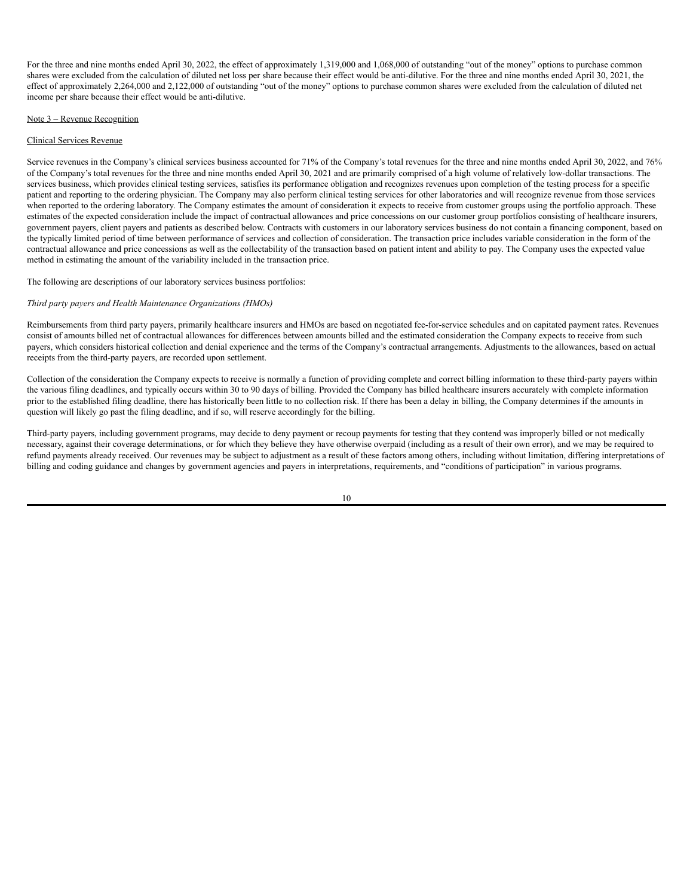For the three and nine months ended April 30, 2022, the effect of approximately 1,319,000 and 1,068,000 of outstanding "out of the money" options to purchase common shares were excluded from the calculation of diluted net loss per share because their effect would be anti-dilutive. For the three and nine months ended April 30, 2021, the effect of approximately 2,264,000 and 2,122,000 of outstanding "out of the money" options to purchase common shares were excluded from the calculation of diluted net income per share because their effect would be anti-dilutive.

## Note 3 – Revenue Recognition

### Clinical Services Revenue

Service revenues in the Company's clinical services business accounted for 71% of the Company's total revenues for the three and nine months ended April 30, 2022, and 76% of the Company's total revenues for the three and nine months ended April 30, 2021 and are primarily comprised of a high volume of relatively low-dollar transactions. The services business, which provides clinical testing services, satisfies its performance obligation and recognizes revenues upon completion of the testing process for a specific patient and reporting to the ordering physician. The Company may also perform clinical testing services for other laboratories and will recognize revenue from those services when reported to the ordering laboratory. The Company estimates the amount of consideration it expects to receive from customer groups using the portfolio approach. These estimates of the expected consideration include the impact of contractual allowances and price concessions on our customer group portfolios consisting of healthcare insurers, government payers, client payers and patients as described below. Contracts with customers in our laboratory services business do not contain a financing component, based on the typically limited period of time between performance of services and collection of consideration. The transaction price includes variable consideration in the form of the contractual allowance and price concessions as well as the collectability of the transaction based on patient intent and ability to pay. The Company uses the expected value method in estimating the amount of the variability included in the transaction price.

The following are descriptions of our laboratory services business portfolios:

## *Third party payers and Health Maintenance Organizations (HMOs)*

Reimbursements from third party payers, primarily healthcare insurers and HMOs are based on negotiated fee-for-service schedules and on capitated payment rates. Revenues consist of amounts billed net of contractual allowances for differences between amounts billed and the estimated consideration the Company expects to receive from such payers, which considers historical collection and denial experience and the terms of the Company's contractual arrangements. Adjustments to the allowances, based on actual receipts from the third-party payers, are recorded upon settlement.

Collection of the consideration the Company expects to receive is normally a function of providing complete and correct billing information to these third-party payers within the various filing deadlines, and typically occurs within 30 to 90 days of billing. Provided the Company has billed healthcare insurers accurately with complete information prior to the established filing deadline, there has historically been little to no collection risk. If there has been a delay in billing, the Company determines if the amounts in question will likely go past the filing deadline, and if so, will reserve accordingly for the billing.

Third-party payers, including government programs, may decide to deny payment or recoup payments for testing that they contend was improperly billed or not medically necessary, against their coverage determinations, or for which they believe they have otherwise overpaid (including as a result of their own error), and we may be required to refund payments already received. Our revenues may be subject to adjustment as a result of these factors among others, including without limitation, differing interpretations of billing and coding guidance and changes by government agencies and payers in interpretations, requirements, and "conditions of participation" in various programs.

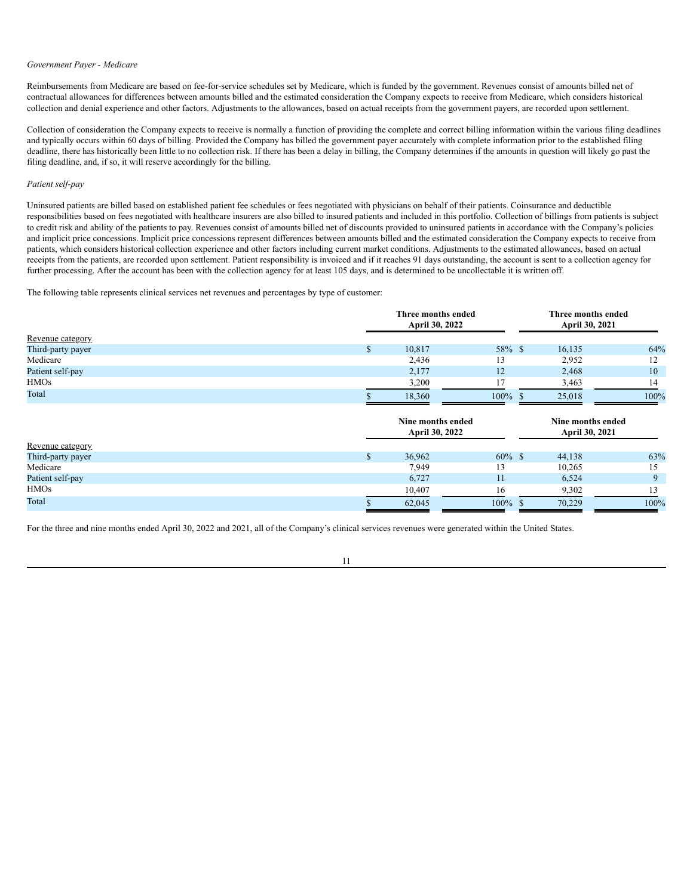### *Government Payer - Medicare*

Reimbursements from Medicare are based on fee-for-service schedules set by Medicare, which is funded by the government. Revenues consist of amounts billed net of contractual allowances for differences between amounts billed and the estimated consideration the Company expects to receive from Medicare, which considers historical collection and denial experience and other factors. Adjustments to the allowances, based on actual receipts from the government payers, are recorded upon settlement.

Collection of consideration the Company expects to receive is normally a function of providing the complete and correct billing information within the various filing deadlines and typically occurs within 60 days of billing. Provided the Company has billed the government payer accurately with complete information prior to the established filing deadline, there has historically been little to no collection risk. If there has been a delay in billing, the Company determines if the amounts in question will likely go past the filing deadline, and, if so, it will reserve accordingly for the billing.

## *Patient self-pay*

Uninsured patients are billed based on established patient fee schedules or fees negotiated with physicians on behalf of their patients. Coinsurance and deductible responsibilities based on fees negotiated with healthcare insurers are also billed to insured patients and included in this portfolio. Collection of billings from patients is subject to credit risk and ability of the patients to pay. Revenues consist of amounts billed net of discounts provided to uninsured patients in accordance with the Company's policies and implicit price concessions. Implicit price concessions represent differences between amounts billed and the estimated consideration the Company expects to receive from patients, which considers historical collection experience and other factors including current market conditions. Adjustments to the estimated allowances, based on actual receipts from the patients, are recorded upon settlement. Patient responsibility is invoiced and if it reaches 91 days outstanding, the account is sent to a collection agency for further processing. After the account has been with the collection agency for at least 105 days, and is determined to be uncollectable it is written off.

The following table represents clinical services net revenues and percentages by type of customer:

|                   | Three months ended<br>April 30, 2022 |           |  | Three months ended<br>April 30, 2021 |      |  |  |
|-------------------|--------------------------------------|-----------|--|--------------------------------------|------|--|--|
| Revenue category  |                                      |           |  |                                      |      |  |  |
| Third-party payer | \$<br>10,817                         | 58% \$    |  | 16,135                               | 64%  |  |  |
| Medicare          | 2,436                                | 13        |  | 2,952                                | 12   |  |  |
| Patient self-pay  | 2,177                                | 12        |  | 2,468                                | 10   |  |  |
| <b>HMOs</b>       | 3,200                                | 17        |  | 3,463                                | 14   |  |  |
| Total             | 18,360                               | 100% \$   |  | 25,018                               | 100% |  |  |
|                   | Nine months ended<br>April 30, 2022  |           |  | Nine months ended<br>April 30, 2021  |      |  |  |
| Revenue category  |                                      |           |  |                                      |      |  |  |
| Third-party payer | \$<br>36,962                         | $60\%$ \$ |  | 44,138                               | 63%  |  |  |
|                   |                                      |           |  |                                      |      |  |  |
| Medicare          | 7,949                                | 13        |  | 10,265                               | 15   |  |  |
| Patient self-pay  | 6,727                                | 11        |  | 6,524                                | 9    |  |  |
| <b>HMOs</b>       | 10,407                               | 16        |  | 9,302                                | 13   |  |  |

For the three and nine months ended April 30, 2022 and 2021, all of the Company's clinical services revenues were generated within the United States.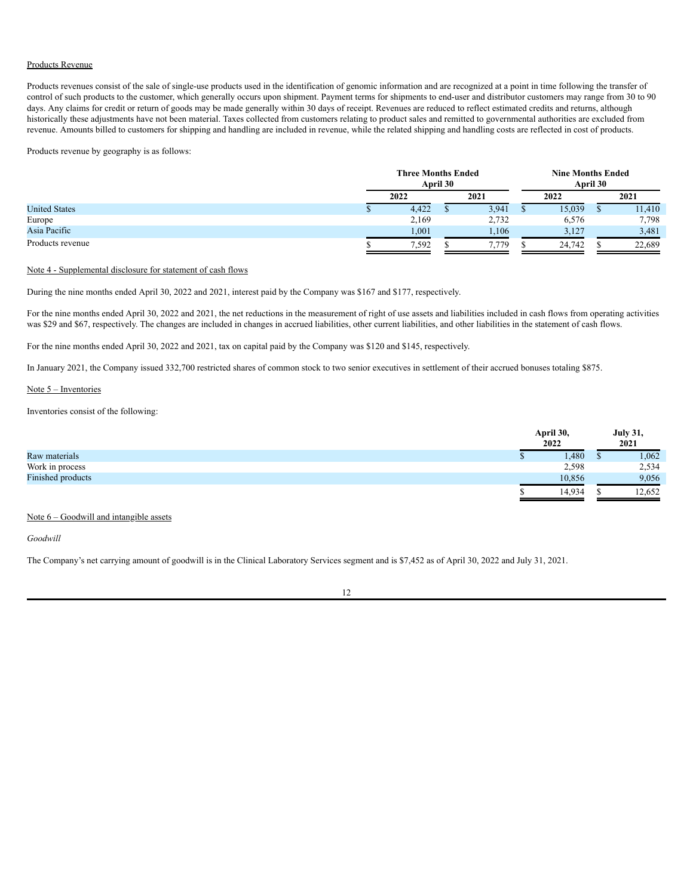### Products Revenue

Products revenues consist of the sale of single-use products used in the identification of genomic information and are recognized at a point in time following the transfer of control of such products to the customer, which generally occurs upon shipment. Payment terms for shipments to end-user and distributor customers may range from 30 to 90 days. Any claims for credit or return of goods may be made generally within 30 days of receipt. Revenues are reduced to reflect estimated credits and returns, although historically these adjustments have not been material. Taxes collected from customers relating to product sales and remitted to governmental authorities are excluded from revenue. Amounts billed to customers for shipping and handling are included in revenue, while the related shipping and handling costs are reflected in cost of products.

Products revenue by geography is as follows:

|                      | <b>Three Months Ended</b><br>April 30 |  |       | <b>Nine Months Ended</b><br>April 30 |        |  |        |  |
|----------------------|---------------------------------------|--|-------|--------------------------------------|--------|--|--------|--|
|                      | 2022                                  |  | 2021  |                                      | 2022   |  | 2021   |  |
| <b>United States</b> | 4,422                                 |  | 3,941 |                                      | 15,039 |  | 11,410 |  |
| Europe               | 2,169                                 |  | 2,732 |                                      | 6,576  |  | 7.798  |  |
| Asia Pacific         | 1,001                                 |  | 1,106 |                                      | 3,127  |  | 3,481  |  |
| Products revenue     | 7,592                                 |  | .779  |                                      | 24.742 |  | 22,689 |  |

### Note 4 - Supplemental disclosure for statement of cash flows

During the nine months ended April 30, 2022 and 2021, interest paid by the Company was \$167 and \$177, respectively.

For the nine months ended April 30, 2022 and 2021, the net reductions in the measurement of right of use assets and liabilities included in cash flows from operating activities was \$29 and \$67, respectively. The changes are included in changes in accrued liabilities, other current liabilities, and other liabilities in the statement of cash flows.

For the nine months ended April 30, 2022 and 2021, tax on capital paid by the Company was \$120 and \$145, respectively.

In January 2021, the Company issued 332,700 restricted shares of common stock to two senior executives in settlement of their accrued bonuses totaling \$875.

## Note 5 – Inventories

Inventories consist of the following:

|                   | April 30,<br>2022 | <b>July 31,</b><br>2021 |
|-------------------|-------------------|-------------------------|
| Raw materials     | 1,480             | .062                    |
| Work in process   | 2,598             | 2,534                   |
| Finished products | 10.856            | 9,056                   |
|                   | 14,934            | 12,652                  |

# Note 6 – Goodwill and intangible assets

*Goodwill*

The Company's net carrying amount of goodwill is in the Clinical Laboratory Services segment and is \$7,452 as of April 30, 2022 and July 31, 2021.

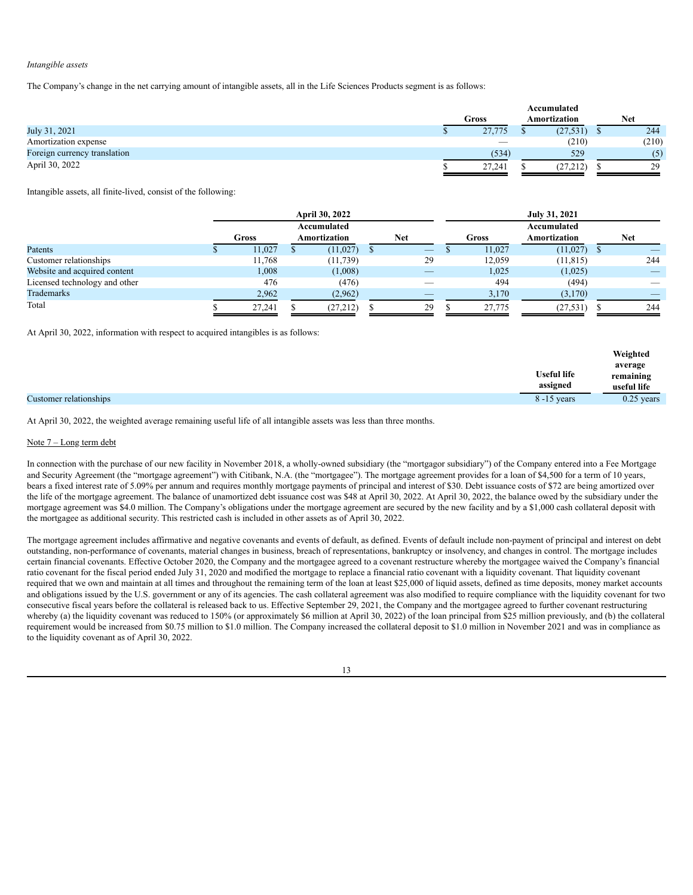### *Intangible assets*

The Company's change in the net carrying amount of intangible assets, all in the Life Sciences Products segment is as follows:

|                              | Amortization<br>Gross |  | <b>Net</b> |  |       |
|------------------------------|-----------------------|--|------------|--|-------|
| July 31, 2021                | 27.775                |  | (27, 531)  |  | 244   |
| Amortization expense         |                       |  | (210)      |  | (210) |
| Foreign currency translation | (534)                 |  | 529        |  | (5)   |
| April 30, 2022               | 27.241                |  | (27, 212)  |  | 29    |

Intangible assets, all finite-lived, consist of the following:

|                               |        | <b>April 30, 2022</b> |                          |        | July 31, 2021 |            |
|-------------------------------|--------|-----------------------|--------------------------|--------|---------------|------------|
|                               |        | Accumulated           |                          |        | Accumulated   |            |
|                               | Gross  | Amortization          | <b>Net</b>               | Gross  | Amortization  | <b>Net</b> |
| Patents                       | 11,027 | (11, 027)             | $\overline{\phantom{m}}$ | 11,027 | (11, 027)     |            |
| Customer relationships        | 11,768 | (11, 739)             | 29                       | 12,059 | (11, 815)     | 244        |
| Website and acquired content  | 1,008  | (1,008)               |                          | 1,025  | (1,025)       |            |
| Licensed technology and other | 476    | (476)                 |                          | 494    | (494)         |            |
| Trademarks                    | 2,962  | (2,962)               |                          | 3,170  | (3,170)       |            |
| Total                         | 27.241 | (27, 212)             | 29                       | 27.775 | (27, 531)     | 244        |

At April 30, 2022, information with respect to acquired intangibles is as follows:

|                        |                                | Weighted                            |
|------------------------|--------------------------------|-------------------------------------|
|                        | <b>Useful life</b><br>assigned | average<br>remaining<br>useful life |
| Customer relationships | $8 - 15$ years                 | $0.25$ years                        |

At April 30, 2022, the weighted average remaining useful life of all intangible assets was less than three months.

## Note 7 – Long term debt

In connection with the purchase of our new facility in November 2018, a wholly-owned subsidiary (the "mortgagor subsidiary") of the Company entered into a Fee Mortgage and Security Agreement (the "mortgage agreement") with Citibank, N.A. (the "mortgagee"). The mortgage agreement provides for a loan of \$4,500 for a term of 10 years, bears a fixed interest rate of 5.09% per annum and requires monthly mortgage payments of principal and interest of \$30. Debt issuance costs of \$72 are being amortized over the life of the mortgage agreement. The balance of unamortized debt issuance cost was \$48 at April 30, 2022. At April 30, 2022, the balance owed by the subsidiary under the mortgage agreement was \$4.0 million. The Company's obligations under the mortgage agreement are secured by the new facility and by a \$1,000 cash collateral deposit with the mortgagee as additional security. This restricted cash is included in other assets as of April 30, 2022.

The mortgage agreement includes affirmative and negative covenants and events of default, as defined. Events of default include non-payment of principal and interest on debt outstanding, non-performance of covenants, material changes in business, breach of representations, bankruptcy or insolvency, and changes in control. The mortgage includes certain financial covenants. Effective October 2020, the Company and the mortgagee agreed to a covenant restructure whereby the mortgagee waived the Company's financial ratio covenant for the fiscal period ended July 31, 2020 and modified the mortgage to replace a financial ratio covenant with a liquidity covenant. That liquidity covenant required that we own and maintain at all times and throughout the remaining term of the loan at least \$25,000 of liquid assets, defined as time deposits, money market accounts and obligations issued by the U.S. government or any of its agencies. The cash collateral agreement was also modified to require compliance with the liquidity covenant for two consecutive fiscal years before the collateral is released back to us. Effective September 29, 2021, the Company and the mortgagee agreed to further covenant restructuring whereby (a) the liquidity covenant was reduced to 150% (or approximately \$6 million at April 30, 2022) of the loan principal from \$25 million previously, and (b) the collateral requirement would be increased from \$0.75 million to \$1.0 million. The Company increased the collateral deposit to \$1.0 million in November 2021 and was in compliance as to the liquidity covenant as of April 30, 2022.

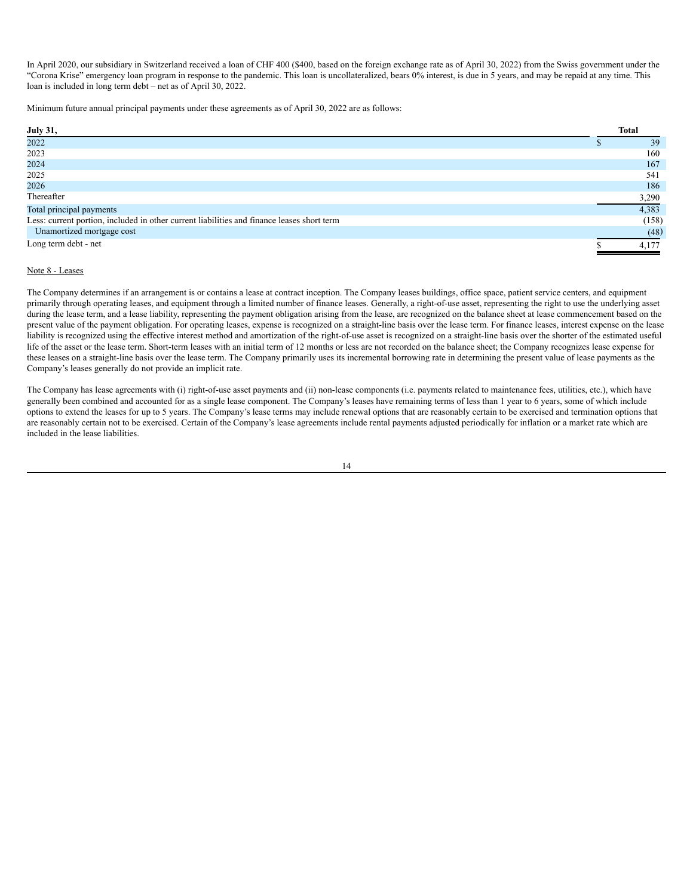In April 2020, our subsidiary in Switzerland received a loan of CHF 400 (\$400, based on the foreign exchange rate as of April 30, 2022) from the Swiss government under the "Corona Krise" emergency loan program in response to the pandemic. This loan is uncollateralized, bears 0% interest, is due in 5 years, and may be repaid at any time. This loan is included in long term debt – net as of April 30, 2022.

Minimum future annual principal payments under these agreements as of April 30, 2022 are as follows:

| <b>July 31,</b>                                                                            | <b>Total</b> |
|--------------------------------------------------------------------------------------------|--------------|
| 2022                                                                                       | 39           |
| 2023                                                                                       | 160          |
| 2024                                                                                       | 167          |
| 2025                                                                                       | 541          |
| 2026                                                                                       | 186          |
| Thereafter                                                                                 | 3,290        |
| Total principal payments                                                                   | 4,383        |
| Less: current portion, included in other current liabilities and finance leases short term | (158)        |
| Unamortized mortgage cost                                                                  | (48)         |
| Long term debt - net                                                                       | 4,177        |

## Note 8 - Leases

The Company determines if an arrangement is or contains a lease at contract inception. The Company leases buildings, office space, patient service centers, and equipment primarily through operating leases, and equipment through a limited number of finance leases. Generally, a right-of-use asset, representing the right to use the underlying asset during the lease term, and a lease liability, representing the payment obligation arising from the lease, are recognized on the balance sheet at lease commencement based on the present value of the payment obligation. For operating leases, expense is recognized on a straight-line basis over the lease term. For finance leases, interest expense on the lease liability is recognized using the effective interest method and amortization of the right-of-use asset is recognized on a straight-line basis over the shorter of the estimated useful life of the asset or the lease term. Short-term leases with an initial term of 12 months or less are not recorded on the balance sheet; the Company recognizes lease expense for these leases on a straight-line basis over the lease term. The Company primarily uses its incremental borrowing rate in determining the present value of lease payments as the Company's leases generally do not provide an implicit rate.

The Company has lease agreements with (i) right-of-use asset payments and (ii) non-lease components (i.e. payments related to maintenance fees, utilities, etc.), which have generally been combined and accounted for as a single lease component. The Company's leases have remaining terms of less than 1 year to 6 years, some of which include options to extend the leases for up to 5 years. The Company's lease terms may include renewal options that are reasonably certain to be exercised and termination options that are reasonably certain not to be exercised. Certain of the Company's lease agreements include rental payments adjusted periodically for inflation or a market rate which are included in the lease liabilities.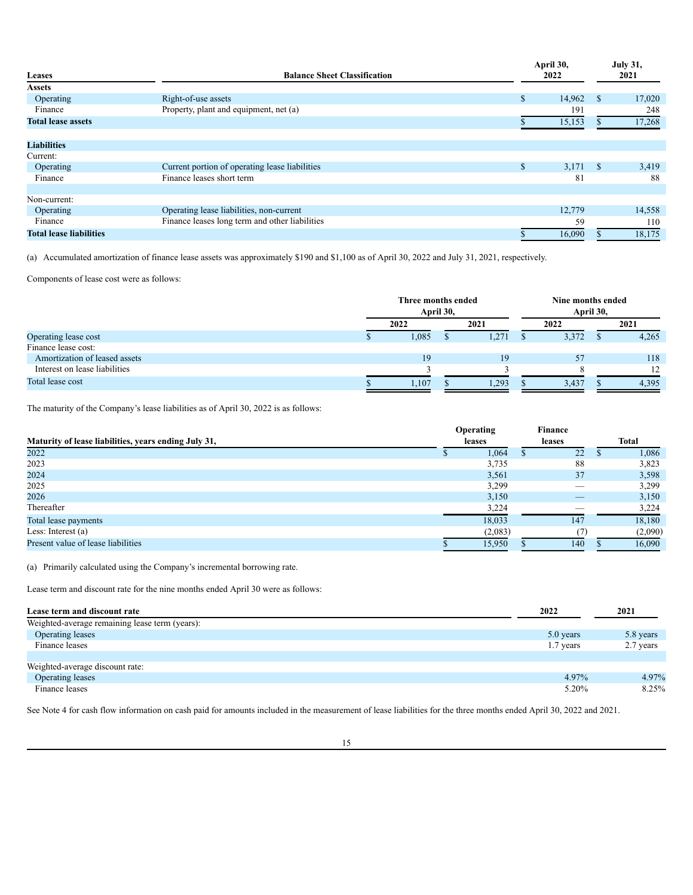| Leases                         | April 30,<br>2022<br><b>Balance Sheet Classification</b> |                         |              | <b>July 31,</b><br>2021 |
|--------------------------------|----------------------------------------------------------|-------------------------|--------------|-------------------------|
| <b>Assets</b>                  |                                                          |                         |              |                         |
| Operating                      | Right-of-use assets                                      | 14,962<br><sup>\$</sup> | <sup>S</sup> | 17,020                  |
| Finance                        | Property, plant and equipment, net (a)                   | 191                     |              | 248                     |
| <b>Total lease assets</b>      |                                                          | 15,153                  |              | 17,268                  |
| <b>Liabilities</b>             |                                                          |                         |              |                         |
| Current:                       |                                                          |                         |              |                         |
| Operating                      | Current portion of operating lease liabilities           | \$<br>3,171             | $^{\circ}$   | 3,419                   |
| Finance                        | Finance leases short term                                |                         | 81           | 88                      |
| Non-current:                   |                                                          |                         |              |                         |
| Operating                      | Operating lease liabilities, non-current                 | 12,779                  |              | 14,558                  |
| Finance                        | Finance leases long term and other liabilities           |                         | 59           | 110                     |
| <b>Total lease liabilities</b> |                                                          | 16,090                  |              | 18,175                  |

(a) Accumulated amortization of finance lease assets was approximately \$190 and \$1,100 as of April 30, 2022 and July 31, 2021, respectively.

Components of lease cost were as follows:

|                               | Three months ended<br>April 30, |  |       |  | Nine months ended |  |       |
|-------------------------------|---------------------------------|--|-------|--|-------------------|--|-------|
|                               | 2022                            |  | 2021  |  | 2022              |  | 2021  |
| Operating lease cost          | 1,085                           |  | 1,271 |  | 3,372             |  | 4,265 |
| Finance lease cost:           |                                 |  |       |  |                   |  |       |
| Amortization of leased assets | 19                              |  | 19    |  |                   |  | 118   |
| Interest on lease liabilities |                                 |  |       |  |                   |  | 12    |
| Total lease cost              | 1,107                           |  | 1,293 |  | 3,437             |  | 4,395 |

The maturity of the Company's lease liabilities as of April 30, 2022 is as follows:

|                                                      | Operating | Finance |              |
|------------------------------------------------------|-----------|---------|--------------|
| Maturity of lease liabilities, years ending July 31, | leases    | leases  | <b>Total</b> |
| 2022                                                 | 1,064     | 22      | 1,086        |
| 2023                                                 | 3,735     | 88      | 3,823        |
| 2024                                                 | 3,561     | 37      | 3,598        |
| 2025                                                 | 3,299     |         | 3,299        |
| 2026                                                 | 3,150     |         | 3,150        |
| Thereafter                                           | 3,224     |         | 3,224        |
| Total lease payments                                 | 18,033    | 147     | 18,180       |
| Less: Interest $(a)$                                 | (2,083)   |         | (2,090)      |
| Present value of lease liabilities                   | 15,950    | 140     | 16,090       |

(a) Primarily calculated using the Company's incremental borrowing rate.

Lease term and discount rate for the nine months ended April 30 were as follows:

| Lease term and discount rate                   | 2022        | 2021      |
|------------------------------------------------|-------------|-----------|
| Weighted-average remaining lease term (years): |             |           |
| Operating leases                               | $5.0$ years | 5.8 years |
| Finance leases                                 | 1.7 years   | 2.7 years |
|                                                |             |           |
| Weighted-average discount rate:                |             |           |
| Operating leases                               | 4.97%       | 4.97%     |
| Finance leases                                 | 5.20%       | 8.25%     |

See Note 4 for cash flow information on cash paid for amounts included in the measurement of lease liabilities for the three months ended April 30, 2022 and 2021.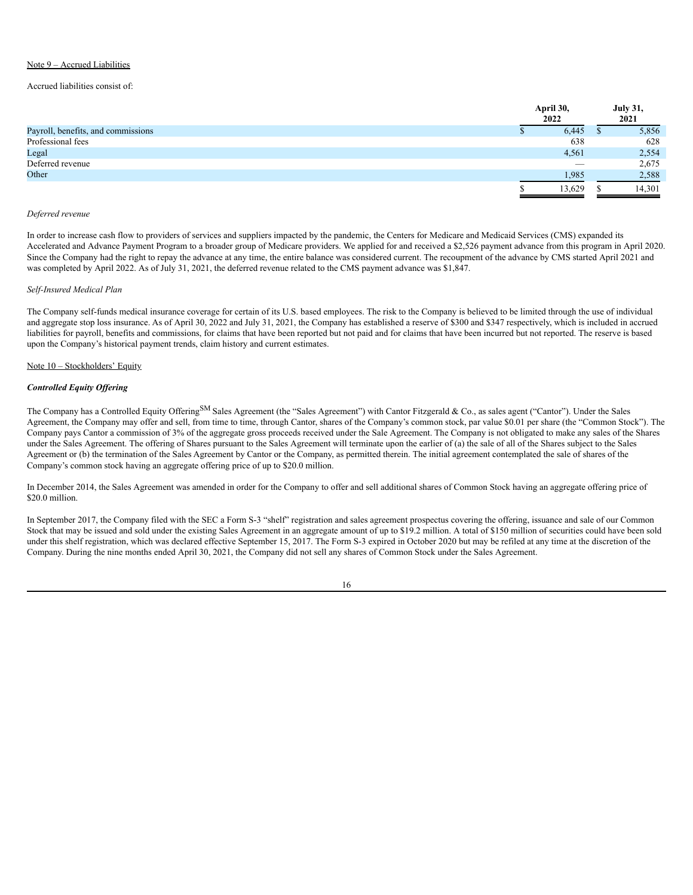## Note 9 – Accrued Liabilities

## Accrued liabilities consist of:

|                                    | April 30,<br>2022 | <b>July 31,</b><br>2021 |
|------------------------------------|-------------------|-------------------------|
| Payroll, benefits, and commissions | 6,445             | 5,856                   |
| Professional fees                  | 638               | 628                     |
| Legal                              | 4,561             | 2,554                   |
| Deferred revenue                   |                   | 2,675                   |
| Other                              | 1,985             | 2,588                   |
|                                    | 13,629            | 14,301                  |

### *Deferred revenue*

In order to increase cash flow to providers of services and suppliers impacted by the pandemic, the Centers for Medicare and Medicaid Services (CMS) expanded its Accelerated and Advance Payment Program to a broader group of Medicare providers. We applied for and received a \$2,526 payment advance from this program in April 2020. Since the Company had the right to repay the advance at any time, the entire balance was considered current. The recoupment of the advance by CMS started April 2021 and was completed by April 2022. As of July 31, 2021, the deferred revenue related to the CMS payment advance was \$1,847.

## *Self-Insured Medical Plan*

The Company self-funds medical insurance coverage for certain of its U.S. based employees. The risk to the Company is believed to be limited through the use of individual and aggregate stop loss insurance. As of April 30, 2022 and July 31, 2021, the Company has established a reserve of \$300 and \$347 respectively, which is included in accrued liabilities for payroll, benefits and commissions, for claims that have been reported but not paid and for claims that have been incurred but not reported. The reserve is based upon the Company's historical payment trends, claim history and current estimates.

### Note 10 – Stockholders' Equity

## *Controlled Equity Of ering*

The Company has a Controlled Equity Offering<sup>SM</sup> Sales Agreement (the "Sales Agreement") with Cantor Fitzgerald & Co., as sales agent ("Cantor"). Under the Sales Agreement, the Company may offer and sell, from time to time, through Cantor, shares of the Company's common stock, par value \$0.01 per share (the "Common Stock"). The Company pays Cantor a commission of 3% of the aggregate gross proceeds received under the Sale Agreement. The Company is not obligated to make any sales of the Shares under the Sales Agreement. The offering of Shares pursuant to the Sales Agreement will terminate upon the earlier of (a) the sale of all of the Shares subject to the Sales Agreement or (b) the termination of the Sales Agreement by Cantor or the Company, as permitted therein. The initial agreement contemplated the sale of shares of the Company's common stock having an aggregate offering price of up to \$20.0 million.

In December 2014, the Sales Agreement was amended in order for the Company to offer and sell additional shares of Common Stock having an aggregate offering price of \$20.0 million.

In September 2017, the Company filed with the SEC a Form S-3 "shelf" registration and sales agreement prospectus covering the offering, issuance and sale of our Common Stock that may be issued and sold under the existing Sales Agreement in an aggregate amount of up to \$19.2 million. A total of \$150 million of securities could have been sold under this shelf registration, which was declared effective September 15, 2017. The Form S-3 expired in October 2020 but may be refiled at any time at the discretion of the Company. During the nine months ended April 30, 2021, the Company did not sell any shares of Common Stock under the Sales Agreement.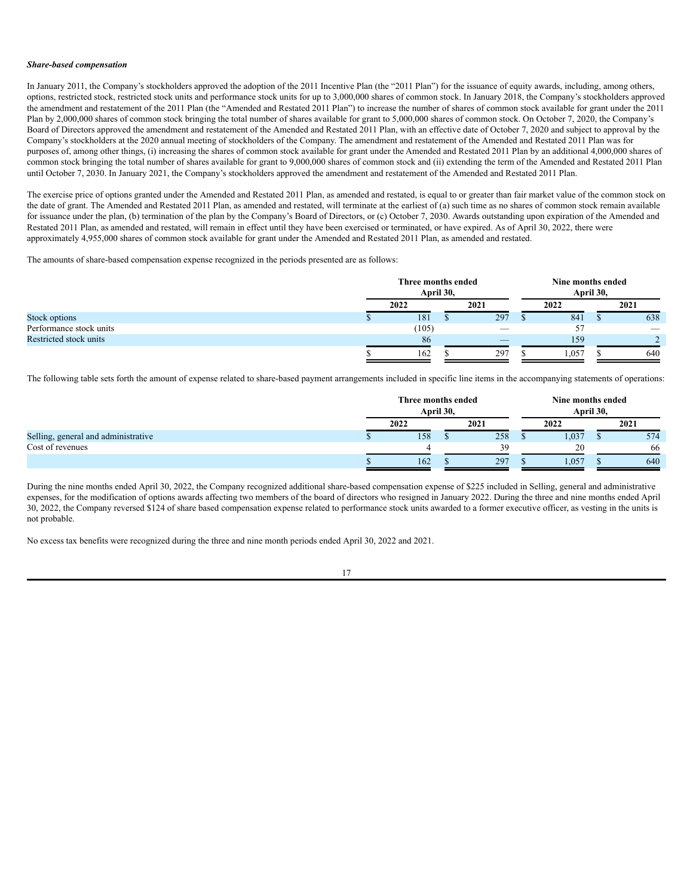### *Share-based compensation*

In January 2011, the Company's stockholders approved the adoption of the 2011 Incentive Plan (the "2011 Plan") for the issuance of equity awards, including, among others, options, restricted stock, restricted stock units and performance stock units for up to 3,000,000 shares of common stock. In January 2018, the Company's stockholders approved the amendment and restatement of the 2011 Plan (the "Amended and Restated 2011 Plan") to increase the number of shares of common stock available for grant under the 2011 Plan by 2,000,000 shares of common stock bringing the total number of shares available for grant to 5,000,000 shares of common stock. On October 7, 2020, the Company's Board of Directors approved the amendment and restatement of the Amended and Restated 2011 Plan, with an effective date of October 7, 2020 and subject to approval by the Company's stockholders at the 2020 annual meeting of stockholders of the Company. The amendment and restatement of the Amended and Restated 2011 Plan was for purposes of, among other things, (i) increasing the shares of common stock available for grant under the Amended and Restated 2011 Plan by an additional 4,000,000 shares of common stock bringing the total number of shares available for grant to 9,000,000 shares of common stock and (ii) extending the term of the Amended and Restated 2011 Plan until October 7, 2030. In January 2021, the Company's stockholders approved the amendment and restatement of the Amended and Restated 2011 Plan.

The exercise price of options granted under the Amended and Restated 2011 Plan, as amended and restated, is equal to or greater than fair market value of the common stock on the date of grant. The Amended and Restated 2011 Plan, as amended and restated, will terminate at the earliest of (a) such time as no shares of common stock remain available for issuance under the plan, (b) termination of the plan by the Company's Board of Directors, or (c) October 7, 2030. Awards outstanding upon expiration of the Amended and Restated 2011 Plan, as amended and restated, will remain in effect until they have been exercised or terminated, or have expired. As of April 30, 2022, there were approximately 4,955,000 shares of common stock available for grant under the Amended and Restated 2011 Plan, as amended and restated.

The amounts of share-based compensation expense recognized in the periods presented are as follows:

|                         | Three months ended<br>April 30, |  |                          |      | Nine months ended<br>April 30, |      |
|-------------------------|---------------------------------|--|--------------------------|------|--------------------------------|------|
|                         | 2022                            |  | 2021                     | 2022 |                                | 2021 |
| Stock options           | 181                             |  | 297                      | 841  |                                | 638  |
| Performance stock units | (105)                           |  | $\overline{\phantom{a}}$ |      |                                |      |
| Restricted stock units  | 86                              |  |                          | 159  |                                |      |
|                         | 162                             |  | 297                      | .057 |                                | 640  |

The following table sets forth the amount of expense related to share-based payment arrangements included in specific line items in the accompanying statements of operations:

|                                     | Three months ended<br>April 30, |  |      | Nine months ended<br>April 30, |       |  |      |
|-------------------------------------|---------------------------------|--|------|--------------------------------|-------|--|------|
|                                     | 2022                            |  | 2021 |                                | 2022  |  | 2021 |
| Selling, general and administrative | 158                             |  | 258  |                                | 1,037 |  | 574  |
| Cost of revenues                    |                                 |  | 39   |                                | 20    |  | 66   |
|                                     | 162                             |  | 297  |                                | 1,057 |  | 640  |

During the nine months ended April 30, 2022, the Company recognized additional share-based compensation expense of \$225 included in Selling, general and administrative expenses, for the modification of options awards affecting two members of the board of directors who resigned in January 2022. During the three and nine months ended April 30, 2022, the Company reversed \$124 of share based compensation expense related to performance stock units awarded to a former executive officer, as vesting in the units is not probable.

No excess tax benefits were recognized during the three and nine month periods ended April 30, 2022 and 2021.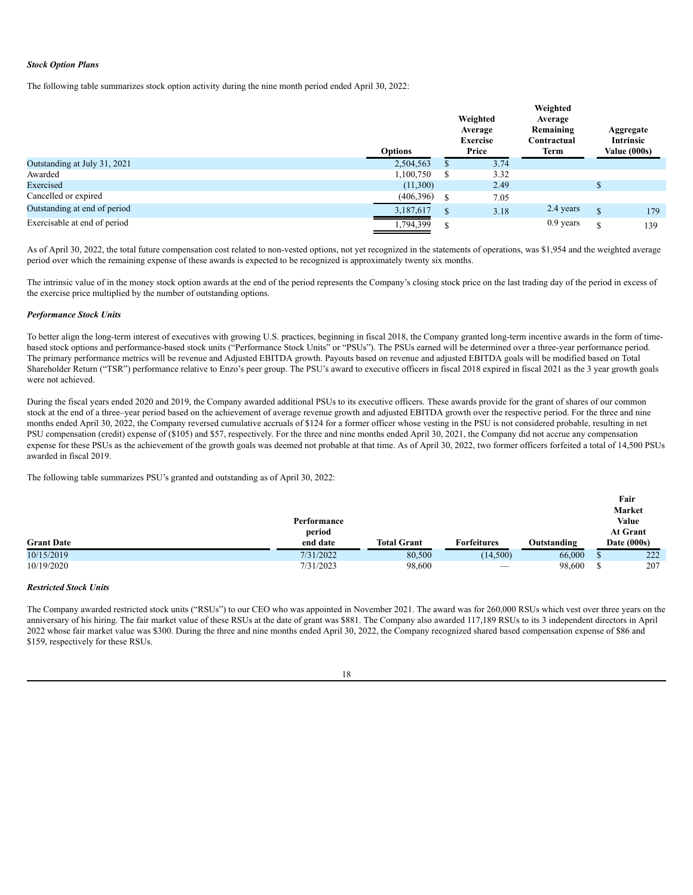### *Stock Option Plans*

The following table summarizes stock option activity during the nine month period ended April 30, 2022:

|                              | <b>Options</b> |     | Weighted<br>Average<br><b>Exercise</b><br>Price | Weighted<br>Average<br>Remaining<br>Contractual<br>Term | Aggregate<br><b>Intrinsic</b><br><b>Value (000s)</b> |
|------------------------------|----------------|-----|-------------------------------------------------|---------------------------------------------------------|------------------------------------------------------|
| Outstanding at July 31, 2021 | 2,504,563      | ЭĐ. | 3.74                                            |                                                         |                                                      |
| Awarded                      | 1,100,750      | S   | 3.32                                            |                                                         |                                                      |
| Exercised                    | (11,300)       |     | 2.49                                            |                                                         |                                                      |
| Cancelled or expired         | (406,396)      | \$  | 7.05                                            |                                                         |                                                      |
| Outstanding at end of period | 3,187,617      | \$  | 3.18                                            | 2.4 years                                               | 179                                                  |
| Exercisable at end of period | 1,794,399      | S   |                                                 | $0.9$ years                                             | 139                                                  |

As of April 30, 2022, the total future compensation cost related to non-vested options, not yet recognized in the statements of operations, was \$1,954 and the weighted average period over which the remaining expense of these awards is expected to be recognized is approximately twenty six months.

The intrinsic value of in the money stock option awards at the end of the period represents the Company's closing stock price on the last trading day of the period in excess of the exercise price multiplied by the number of outstanding options.

### *Performance Stock Units*

To better align the long-term interest of executives with growing U.S. practices, beginning in fiscal 2018, the Company granted long-term incentive awards in the form of timebased stock options and performance-based stock units ("Performance Stock Units" or "PSUs"). The PSUs earned will be determined over a three-year performance period. The primary performance metrics will be revenue and Adjusted EBITDA growth. Payouts based on revenue and adjusted EBITDA goals will be modified based on Total Shareholder Return ("TSR") performance relative to Enzo's peer group. The PSU's award to executive officers in fiscal 2018 expired in fiscal 2021 as the 3 year growth goals were not achieved.

During the fiscal years ended 2020 and 2019, the Company awarded additional PSUs to its executive officers. These awards provide for the grant of shares of our common stock at the end of a three–year period based on the achievement of average revenue growth and adjusted EBITDA growth over the respective period. For the three and nine months ended April 30, 2022, the Company reversed cumulative accruals of \$124 for a former officer whose vesting in the PSU is not considered probable, resulting in net PSU compensation (credit) expense of (\$105) and \$57, respectively. For the three and nine months ended April 30, 2021, the Company did not accrue any compensation expense for these PSUs as the achievement of the growth goals was deemed not probable at that time. As of April 30, 2022, two former officers forfeited a total of 14,500 PSUs awarded in fiscal 2019.

The following table summarizes PSU's granted and outstanding as of April 30, 2022:

|                   |             |                    |                    |             | r air           |
|-------------------|-------------|--------------------|--------------------|-------------|-----------------|
|                   |             |                    |                    |             | <b>Market</b>   |
|                   | Performance |                    |                    |             | <b>Value</b>    |
|                   | period      |                    |                    |             | <b>At Grant</b> |
| <b>Grant Date</b> | end date    | <b>Total Grant</b> | <b>Forfeitures</b> | Outstanding | Date (000s)     |
| 10/15/2019        | 7/31/2022   | 80,500             | (14, 500)          | 66,000      | 222             |
| 10/19/2020        | 7/31/2023   | 98,600             |                    | 98,600      | 207             |

**Fair**

### *Restricted Stock Units*

The Company awarded restricted stock units ("RSUs") to our CEO who was appointed in November 2021. The award was for 260,000 RSUs which vest over three years on the anniversary of his hiring. The fair market value of these RSUs at the date of grant was \$881. The Company also awarded 117,189 RSUs to its 3 independent directors in April 2022 whose fair market value was \$300. During the three and nine months ended April 30, 2022, the Company recognized shared based compensation expense of \$86 and \$159, respectively for these RSUs.

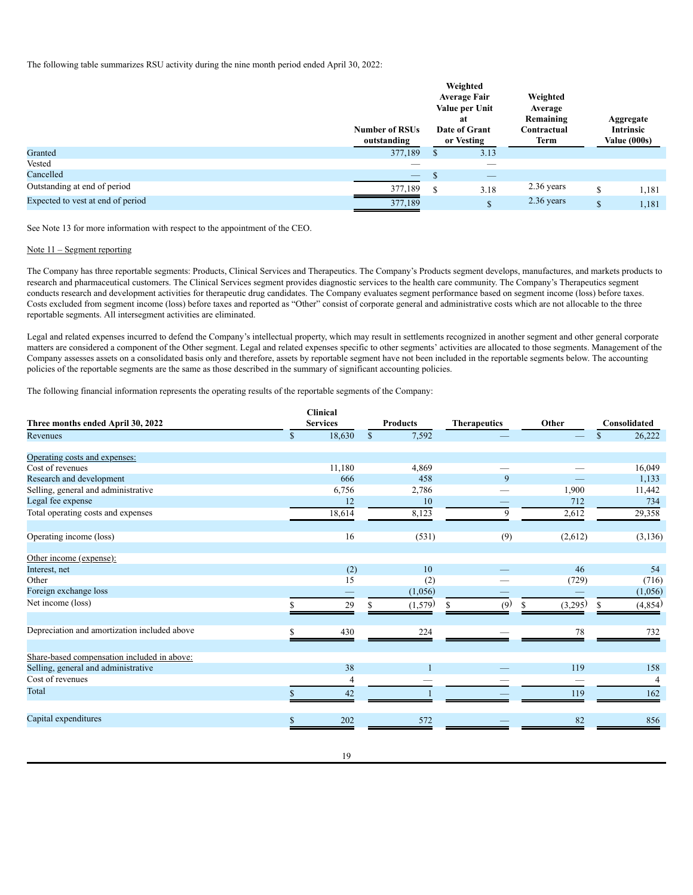The following table summarizes RSU activity during the nine month period ended April 30, 2022:

|                                   | <b>Number of RSUs</b><br>outstanding | Weighted<br><b>Average Fair</b><br>Value per Unit<br>at<br>Date of Grant<br>or Vesting |                          | Weighted<br>Average<br>Remaining<br>Contractual<br>Term | Aggregate<br>Intrinsic<br>Value (000s) |
|-----------------------------------|--------------------------------------|----------------------------------------------------------------------------------------|--------------------------|---------------------------------------------------------|----------------------------------------|
| Granted                           | 377,189                              |                                                                                        | 3.13                     |                                                         |                                        |
| Vested                            |                                      |                                                                                        | $\overline{\phantom{a}}$ |                                                         |                                        |
| Cancelled                         |                                      | - \$                                                                                   |                          |                                                         |                                        |
| Outstanding at end of period      | 377,189                              | S                                                                                      | 3.18                     | $2.36$ years                                            | 1,181                                  |
| Expected to vest at end of period | 377,189                              |                                                                                        | $\sigma$                 | $2.36$ years                                            | 1,181                                  |

See Note 13 for more information with respect to the appointment of the CEO.

## Note 11 – Segment reporting

The Company has three reportable segments: Products, Clinical Services and Therapeutics. The Company's Products segment develops, manufactures, and markets products to research and pharmaceutical customers. The Clinical Services segment provides diagnostic services to the health care community. The Company's Therapeutics segment conducts research and development activities for therapeutic drug candidates. The Company evaluates segment performance based on segment income (loss) before taxes. Costs excluded from segment income (loss) before taxes and reported as "Other" consist of corporate general and administrative costs which are not allocable to the three reportable segments. All intersegment activities are eliminated.

Legal and related expenses incurred to defend the Company's intellectual property, which may result in settlements recognized in another segment and other general corporate matters are considered a component of the Other segment. Legal and related expenses specific to other segments' activities are allocated to those segments. Management of the Company assesses assets on a consolidated basis only and therefore, assets by reportable segment have not been included in the reportable segments below. The accounting policies of the reportable segments are the same as those described in the summary of significant accounting policies.

The following financial information represents the operating results of the reportable segments of the Company:

| Three months ended April 30, 2022            |              | <b>Clinical</b><br><b>Services</b> |              | <b>Products</b> | <b>Therapeutics</b> | Other   | Consolidated  |
|----------------------------------------------|--------------|------------------------------------|--------------|-----------------|---------------------|---------|---------------|
| Revenues                                     | $\mathbb{S}$ | 18,630                             | $\mathbb{S}$ | 7,592           |                     |         | 26,222<br>\$  |
| Operating costs and expenses:                |              |                                    |              |                 |                     |         |               |
| Cost of revenues                             |              | 11,180                             |              | 4,869           |                     |         | 16,049        |
| Research and development                     |              | 666                                |              | 458             | 9                   |         | 1,133         |
| Selling, general and administrative          |              | 6,756                              |              | 2,786           |                     | 1,900   | 11,442        |
| Legal fee expense                            |              | 12                                 |              | 10              |                     | 712     | 734           |
| Total operating costs and expenses           |              | 18,614                             |              | 8,123           | 9                   | 2,612   | 29,358        |
| Operating income (loss)                      |              | 16                                 |              | (531)           | (9)                 | (2,612) | (3, 136)      |
| Other income (expense):                      |              |                                    |              |                 |                     |         |               |
| Interest, net                                |              | (2)                                |              | 10              |                     | 46      | 54            |
| Other                                        |              | 15                                 |              | (2)             |                     | (729)   | (716)         |
| Foreign exchange loss                        |              |                                    |              | (1,056)         |                     |         | (1,056)       |
| Net income (loss)                            |              | 29                                 |              | (1,579)         | (9)                 | (3,295) | (4,854)<br>\$ |
| Depreciation and amortization included above |              | 430                                |              | 224             |                     | 78      | 732           |
|                                              |              |                                    |              |                 |                     |         |               |
| Share-based compensation included in above:  |              |                                    |              |                 |                     |         |               |
| Selling, general and administrative          |              | 38                                 |              |                 |                     | 119     | 158           |
| Cost of revenues                             |              | 4                                  |              |                 |                     |         | 4             |
| Total                                        |              | 42                                 |              |                 |                     | 119     | 162           |
| Capital expenditures                         |              | 202                                |              | 572             |                     | 82      | 856           |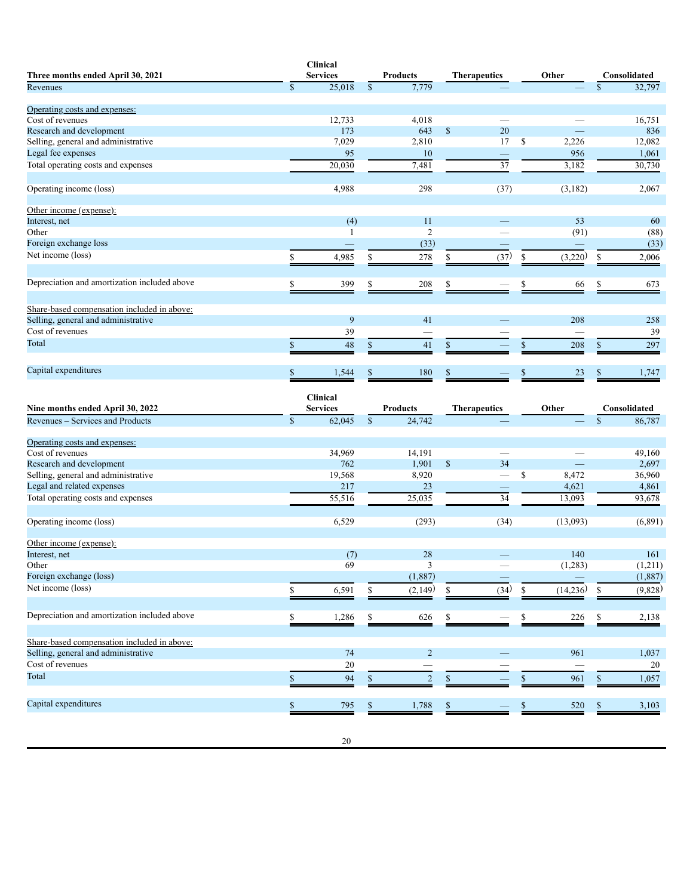|                                              |     | <b>Clinical</b> |               |                 |              |                     |     |         |          |              |
|----------------------------------------------|-----|-----------------|---------------|-----------------|--------------|---------------------|-----|---------|----------|--------------|
| Three months ended April 30, 2021            |     | <b>Services</b> |               | <b>Products</b> |              | <b>Therapeutics</b> |     | Other   |          | Consolidated |
| Revenues                                     | \$  | 25,018          | <sup>\$</sup> | 7,779           |              |                     |     |         |          | 32,797       |
| Operating costs and expenses:                |     |                 |               |                 |              |                     |     |         |          |              |
| Cost of revenues                             |     | 12,733          |               | 4,018           |              |                     |     |         |          | 16,751       |
| Research and development                     |     | 173             |               | 643             | $\mathbb{S}$ | 20                  |     |         |          | 836          |
| Selling, general and administrative          |     | 7,029           |               | 2,810           |              | 17                  | \$  | 2,226   |          | 12,082       |
| Legal fee expenses                           |     | 95              |               | 10              |              |                     |     | 956     |          | 1,061        |
| Total operating costs and expenses           |     | 20,030          |               | 7,481           |              | 37                  |     | 3,182   |          | 30,730       |
| Operating income (loss)                      |     | 4,988           |               | 298             |              | (37)                |     | (3,182) |          | 2,067        |
| Other income (expense):                      |     |                 |               |                 |              |                     |     |         |          |              |
| Interest, net                                |     | (4)             |               | 11              |              |                     |     | 53      |          | 60           |
| Other                                        |     |                 |               | $\overline{2}$  |              |                     |     | (91)    |          | (88)         |
| Foreign exchange loss                        |     |                 |               | (33)            |              |                     |     |         |          | (33)         |
| Net income (loss)                            |     | 4,985           |               | 278             |              | (37)                | \$. | (3,220) |          | 2,006        |
| Depreciation and amortization included above |     | 399             |               | 208             | \$           |                     |     | 66      |          | 673          |
| Share-based compensation included in above:  |     |                 |               |                 |              |                     |     |         |          |              |
| Selling, general and administrative          |     | 9               |               | 41              |              |                     |     | 208     |          | 258          |
| Cost of revenues                             |     | 39              |               |                 |              |                     |     |         |          | 39           |
| Total                                        |     | 48              | S             | 41              | \$           |                     | £.  | 208     | \$       | 297          |
| Capital expenditures                         | \$. | 1,544           |               | 180             | \$           |                     |     | 23      | <b>S</b> | 1,747        |
|                                              |     |                 |               |                 |              |                     |     |         |          |              |

| Nine months ended April 30, 2022             |              | <b>Clinical</b><br><b>Services</b> |              | <b>Products</b> |              | <b>Therapeutics</b> |    | Other    |    | Consolidated |
|----------------------------------------------|--------------|------------------------------------|--------------|-----------------|--------------|---------------------|----|----------|----|--------------|
| Revenues – Services and Products             | $\mathbb{S}$ | 62,045                             | $\mathbb{S}$ | 24,742          |              |                     |    |          | \$ | 86,787       |
| Operating costs and expenses:                |              |                                    |              |                 |              |                     |    |          |    |              |
| Cost of revenues                             |              | 34,969                             |              | 14,191          |              |                     |    |          |    | 49,160       |
| Research and development                     |              | 762                                |              | 1,901           | $\mathbb{S}$ | 34                  |    |          |    | 2,697        |
| Selling, general and administrative          |              | 19,568                             |              | 8,920           |              |                     | \$ | 8,472    |    | 36,960       |
| Legal and related expenses                   |              | 217                                |              | 23              |              |                     |    | 4,621    |    | 4,861        |
| Total operating costs and expenses           |              | 55,516                             |              | 25,035          |              | 34                  |    | 13,093   |    | 93,678       |
| Operating income (loss)                      |              | 6,529                              |              | (293)           |              | (34)                |    | (13,093) |    | (6,891)      |
| Other income (expense):                      |              |                                    |              |                 |              |                     |    |          |    |              |
| Interest, net                                |              | (7)                                |              | 28              |              |                     |    | 140      |    | 161          |
| Other                                        |              | 69                                 |              | 3               |              |                     |    | (1,283)  |    | (1,211)      |
| Foreign exchange (loss)                      |              |                                    |              | (1,887)         |              |                     |    |          |    | (1,887)      |
| Net income (loss)                            |              | 6,591                              |              | (2,149)         | S            | (34)                | S  | (14,236) | S  | (9,828)      |
| Depreciation and amortization included above |              | 1,286                              |              | 626             | S            |                     |    | 226      |    | 2,138        |
| Share-based compensation included in above:  |              |                                    |              |                 |              |                     |    |          |    |              |
| Selling, general and administrative          |              | 74                                 |              | $\overline{2}$  |              |                     |    | 961      |    | 1,037        |
| Cost of revenues                             |              | 20                                 |              |                 |              |                     |    |          |    | 20           |
| Total                                        |              | 94                                 |              | $\overline{2}$  |              |                     |    | 961      |    | 1,057        |
| Capital expenditures                         |              | 795                                | S            | 1,788           | S            |                     |    | 520      |    | 3,103        |
|                                              |              |                                    |              |                 |              |                     |    |          |    |              |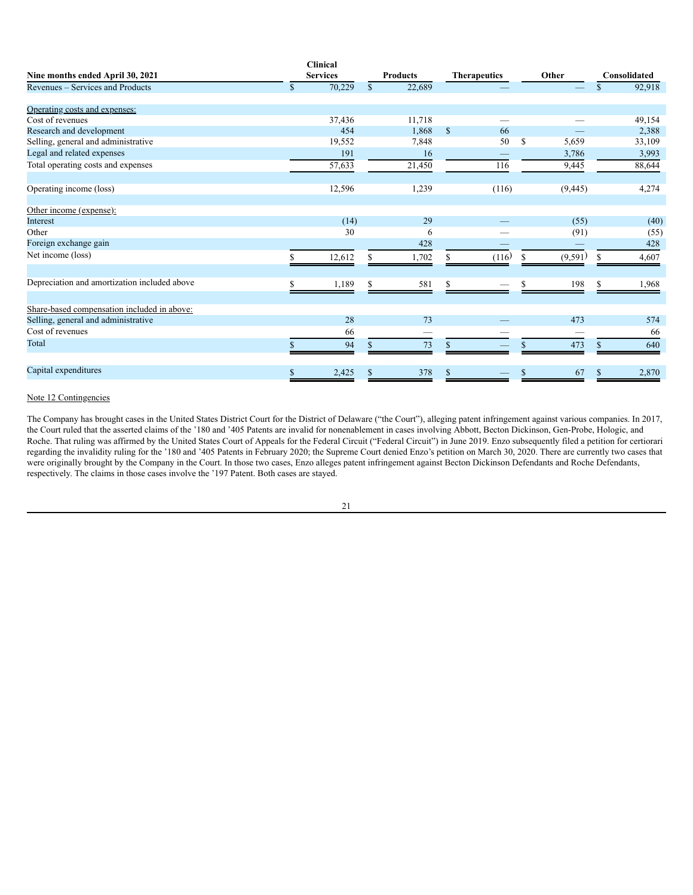|                                              | <b>Clinical</b> |                 |    |                     |               |          |   |              |
|----------------------------------------------|-----------------|-----------------|----|---------------------|---------------|----------|---|--------------|
| Nine months ended April 30, 2021             | <b>Services</b> | <b>Products</b> |    | <b>Therapeutics</b> |               | Other    |   | Consolidated |
| Revenues – Services and Products             | \$<br>70,229    | \$<br>22,689    |    |                     |               |          |   | 92,918       |
| Operating costs and expenses:                |                 |                 |    |                     |               |          |   |              |
| Cost of revenues                             | 37,436          | 11,718          |    |                     |               |          |   | 49,154       |
| Research and development                     | 454             | 1,868           | \$ | 66                  |               |          |   | 2,388        |
| Selling, general and administrative          | 19,552          | 7,848           |    | 50                  | <sup>\$</sup> | 5,659    |   | 33,109       |
| Legal and related expenses                   | 191             | 16              |    |                     |               | 3,786    |   | 3,993        |
| Total operating costs and expenses           | 57,633          | 21,450          |    | 116                 |               | 9,445    |   | 88,644       |
| Operating income (loss)                      | 12,596          | 1,239           |    | (116)               |               | (9, 445) |   | 4,274        |
| Other income (expense):                      |                 |                 |    |                     |               |          |   |              |
| Interest                                     | (14)            | 29              |    |                     |               | (55)     |   | (40)         |
| Other                                        | 30              | 6               |    |                     |               | (91)     |   | (55)         |
| Foreign exchange gain                        |                 | 428             |    |                     |               |          |   | 428          |
| Net income (loss)                            | 12,612          | 1,702           |    | (116)               |               | (9,591)  |   | 4,607        |
| Depreciation and amortization included above | 1,189           | \$<br>581       | S  |                     |               | 198      |   | 1,968        |
| Share-based compensation included in above:  |                 |                 |    |                     |               |          |   |              |
| Selling, general and administrative          | 28              | 73              |    |                     |               | 473      |   | 574          |
| Cost of revenues                             | 66              |                 |    |                     |               |          |   | 66           |
| Total                                        | 94              | 73              |    |                     |               | 473      | S | 640          |
| Capital expenditures                         | 2,425           | 378             |    |                     |               | 67       |   | 2,870        |
|                                              |                 |                 |    |                     |               |          |   |              |

# Note 12 Contingencies

The Company has brought cases in the United States District Court for the District of Delaware ("the Court"), alleging patent infringement against various companies. In 2017, the Court ruled that the asserted claims of the '180 and '405 Patents are invalid for nonenablement in cases involving Abbott, Becton Dickinson, Gen-Probe, Hologic, and Roche. That ruling was affirmed by the United States Court of Appeals for the Federal Circuit ("Federal Circuit") in June 2019. Enzo subsequently filed a petition for certiorari regarding the invalidity ruling for the '180 and '405 Patents in February 2020; the Supreme Court denied Enzo's petition on March 30, 2020. There are currently two cases that were originally brought by the Company in the Court. In those two cases, Enzo alleges patent infringement against Becton Dickinson Defendants and Roche Defendants, respectively. The claims in those cases involve the '197 Patent. Both cases are stayed.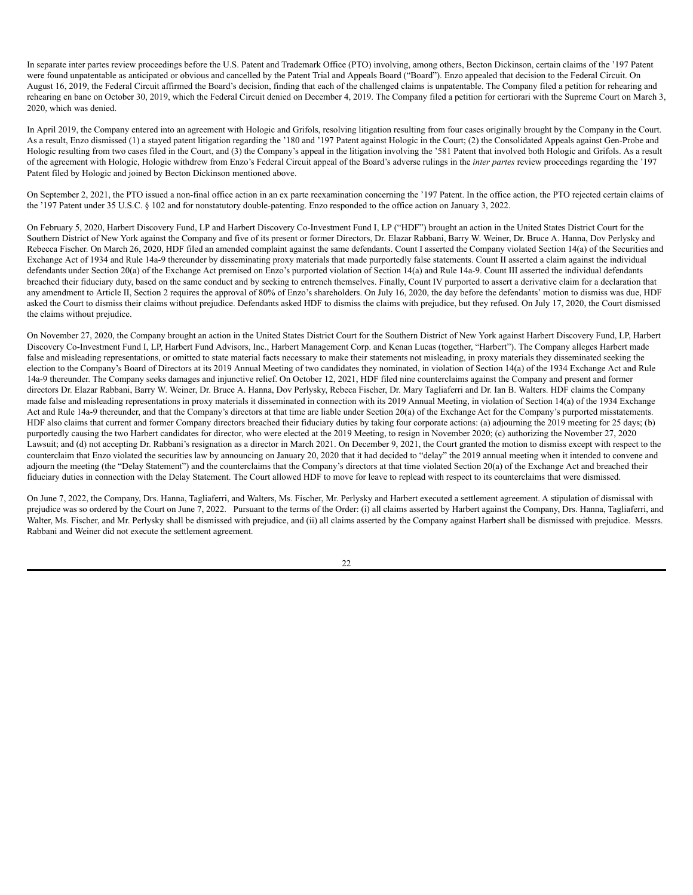In separate inter partes review proceedings before the U.S. Patent and Trademark Office (PTO) involving, among others, Becton Dickinson, certain claims of the '197 Patent were found unpatentable as anticipated or obvious and cancelled by the Patent Trial and Appeals Board ("Board"). Enzo appealed that decision to the Federal Circuit. On August 16, 2019, the Federal Circuit affirmed the Board's decision, finding that each of the challenged claims is unpatentable. The Company filed a petition for rehearing and rehearing en banc on October 30, 2019, which the Federal Circuit denied on December 4, 2019. The Company filed a petition for certiorari with the Supreme Court on March 3, 2020, which was denied.

In April 2019, the Company entered into an agreement with Hologic and Grifols, resolving litigation resulting from four cases originally brought by the Company in the Court. As a result, Enzo dismissed (1) a stayed patent litigation regarding the '180 and '197 Patent against Hologic in the Court; (2) the Consolidated Appeals against Gen-Probe and Hologic resulting from two cases filed in the Court, and (3) the Company's appeal in the litigation involving the '581 Patent that involved both Hologic and Grifols. As a result of the agreement with Hologic, Hologic withdrew from Enzo's Federal Circuit appeal of the Board's adverse rulings in the *inter partes* review proceedings regarding the '197 Patent filed by Hologic and joined by Becton Dickinson mentioned above.

On September 2, 2021, the PTO issued a non-final office action in an ex parte reexamination concerning the '197 Patent. In the office action, the PTO rejected certain claims of the '197 Patent under 35 U.S.C. § 102 and for nonstatutory double-patenting. Enzo responded to the office action on January 3, 2022.

On February 5, 2020, Harbert Discovery Fund, LP and Harbert Discovery Co-Investment Fund I, LP ("HDF") brought an action in the United States District Court for the Southern District of New York against the Company and five of its present or former Directors, Dr. Elazar Rabbani, Barry W. Weiner, Dr. Bruce A. Hanna, Dov Perlysky and Rebecca Fischer. On March 26, 2020, HDF filed an amended complaint against the same defendants. Count I asserted the Company violated Section 14(a) of the Securities and Exchange Act of 1934 and Rule 14a-9 thereunder by disseminating proxy materials that made purportedly false statements. Count II asserted a claim against the individual defendants under Section 20(a) of the Exchange Act premised on Enzo's purported violation of Section 14(a) and Rule 14a-9. Count III asserted the individual defendants breached their fiduciary duty, based on the same conduct and by seeking to entrench themselves. Finally, Count IV purported to assert a derivative claim for a declaration that any amendment to Article II, Section 2 requires the approval of 80% of Enzo's shareholders. On July 16, 2020, the day before the defendants' motion to dismiss was due, HDF asked the Court to dismiss their claims without prejudice. Defendants asked HDF to dismiss the claims with prejudice, but they refused. On July 17, 2020, the Court dismissed the claims without prejudice.

On November 27, 2020, the Company brought an action in the United States District Court for the Southern District of New York against Harbert Discovery Fund, LP, Harbert Discovery Co-Investment Fund I, LP, Harbert Fund Advisors, Inc., Harbert Management Corp. and Kenan Lucas (together, "Harbert"). The Company alleges Harbert made false and misleading representations, or omitted to state material facts necessary to make their statements not misleading, in proxy materials they disseminated seeking the election to the Company's Board of Directors at its 2019 Annual Meeting of two candidates they nominated, in violation of Section 14(a) of the 1934 Exchange Act and Rule 14a-9 thereunder. The Company seeks damages and injunctive relief. On October 12, 2021, HDF filed nine counterclaims against the Company and present and former directors Dr. Elazar Rabbani, Barry W. Weiner, Dr. Bruce A. Hanna, Dov Perlysky, Rebeca Fischer, Dr. Mary Tagliaferri and Dr. Ian B. Walters. HDF claims the Company made false and misleading representations in proxy materials it disseminated in connection with its 2019 Annual Meeting, in violation of Section 14(a) of the 1934 Exchange Act and Rule 14a-9 thereunder, and that the Company's directors at that time are liable under Section 20(a) of the Exchange Act for the Company's purported misstatements. HDF also claims that current and former Company directors breached their fiduciary duties by taking four corporate actions: (a) adjourning the 2019 meeting for 25 days; (b) purportedly causing the two Harbert candidates for director, who were elected at the 2019 Meeting, to resign in November 2020; (c) authorizing the November 27, 2020 Lawsuit; and (d) not accepting Dr. Rabbani's resignation as a director in March 2021. On December 9, 2021, the Court granted the motion to dismiss except with respect to the counterclaim that Enzo violated the securities law by announcing on January 20, 2020 that it had decided to "delay" the 2019 annual meeting when it intended to convene and adjourn the meeting (the "Delay Statement") and the counterclaims that the Company's directors at that time violated Section 20(a) of the Exchange Act and breached their fiduciary duties in connection with the Delay Statement. The Court allowed HDF to move for leave to replead with respect to its counterclaims that were dismissed.

On June 7, 2022, the Company, Drs. Hanna, Tagliaferri, and Walters, Ms. Fischer, Mr. Perlysky and Harbert executed a settlement agreement. A stipulation of dismissal with prejudice was so ordered by the Court on June 7, 2022. Pursuant to the terms of the Order: (i) all claims asserted by Harbert against the Company, Drs. Hanna, Tagliaferri, and Walter, Ms. Fischer, and Mr. Perlysky shall be dismissed with prejudice, and (ii) all claims asserted by the Company against Harbert shall be dismissed with prejudice. Messrs. Rabbani and Weiner did not execute the settlement agreement.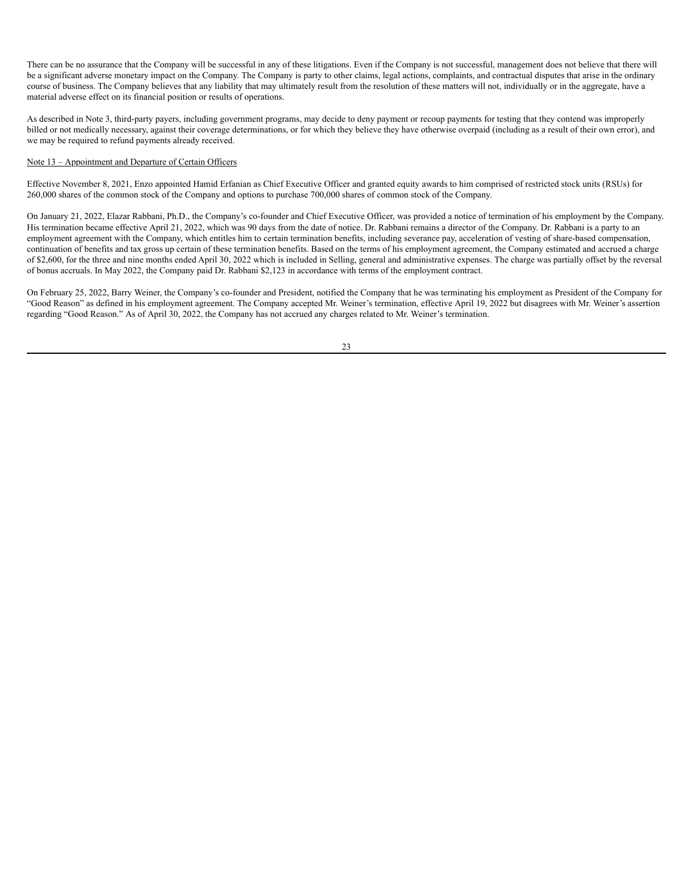There can be no assurance that the Company will be successful in any of these litigations. Even if the Company is not successful, management does not believe that there will be a significant adverse monetary impact on the Company. The Company is party to other claims, legal actions, complaints, and contractual disputes that arise in the ordinary course of business. The Company believes that any liability that may ultimately result from the resolution of these matters will not, individually or in the aggregate, have a material adverse effect on its financial position or results of operations.

As described in Note 3, third-party payers, including government programs, may decide to deny payment or recoup payments for testing that they contend was improperly billed or not medically necessary, against their coverage determinations, or for which they believe they have otherwise overpaid (including as a result of their own error), and we may be required to refund payments already received.

## Note 13 – Appointment and Departure of Certain Officers

Effective November 8, 2021, Enzo appointed Hamid Erfanian as Chief Executive Officer and granted equity awards to him comprised of restricted stock units (RSUs) for 260,000 shares of the common stock of the Company and options to purchase 700,000 shares of common stock of the Company.

On January 21, 2022, Elazar Rabbani, Ph.D., the Company's co-founder and Chief Executive Officer, was provided a notice of termination of his employment by the Company. His termination became effective April 21, 2022, which was 90 days from the date of notice. Dr. Rabbani remains a director of the Company. Dr. Rabbani is a party to an employment agreement with the Company, which entitles him to certain termination benefits, including severance pay, acceleration of vesting of share-based compensation, continuation of benefits and tax gross up certain of these termination benefits. Based on the terms of his employment agreement, the Company estimated and accrued a charge of \$2,600, for the three and nine months ended April 30, 2022 which is included in Selling, general and administrative expenses. The charge was partially offset by the reversal of bonus accruals. In May 2022, the Company paid Dr. Rabbani \$2,123 in accordance with terms of the employment contract.

On February 25, 2022, Barry Weiner, the Company's co-founder and President, notified the Company that he was terminating his employment as President of the Company for "Good Reason" as defined in his employment agreement. The Company accepted Mr. Weiner's termination, effective April 19, 2022 but disagrees with Mr. Weiner's assertion regarding "Good Reason." As of April 30, 2022, the Company has not accrued any charges related to Mr. Weiner's termination.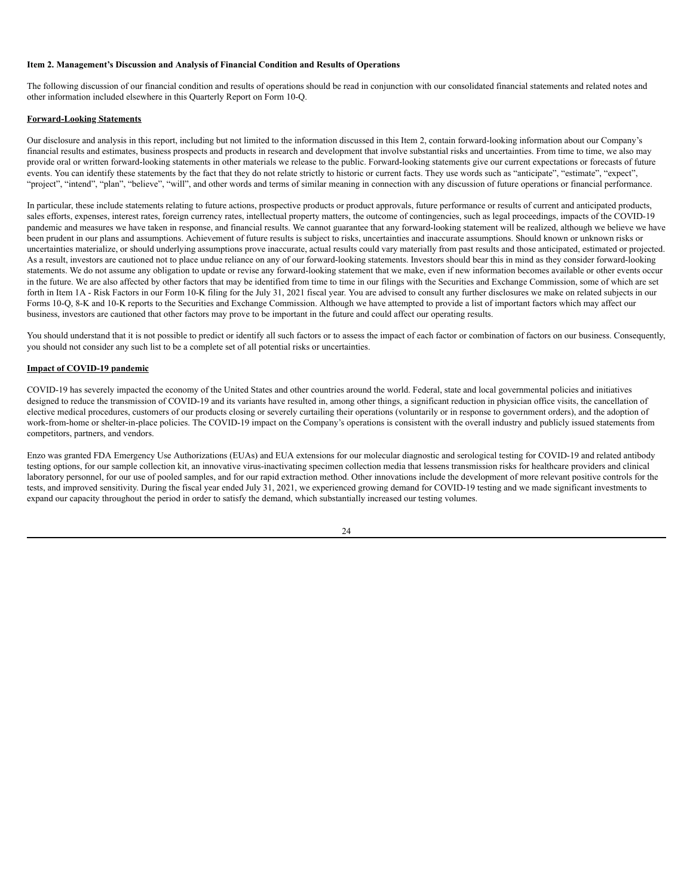### <span id="page-25-0"></span>**Item 2. Management's Discussion and Analysis of Financial Condition and Results of Operations**

The following discussion of our financial condition and results of operations should be read in conjunction with our consolidated financial statements and related notes and other information included elsewhere in this Quarterly Report on Form 10-Q.

## **Forward-Looking Statements**

Our disclosure and analysis in this report, including but not limited to the information discussed in this Item 2, contain forward-looking information about our Company's financial results and estimates, business prospects and products in research and development that involve substantial risks and uncertainties. From time to time, we also may provide oral or written forward-looking statements in other materials we release to the public. Forward-looking statements give our current expectations or forecasts of future events. You can identify these statements by the fact that they do not relate strictly to historic or current facts. They use words such as "anticipate", "estimate", "expect", "project", "intend", "plan", "believe", "will", and other words and terms of similar meaning in connection with any discussion of future operations or financial performance.

In particular, these include statements relating to future actions, prospective products or product approvals, future performance or results of current and anticipated products, sales efforts, expenses, interest rates, foreign currency rates, intellectual property matters, the outcome of contingencies, such as legal proceedings, impacts of the COVID-19 pandemic and measures we have taken in response, and financial results. We cannot guarantee that any forward-looking statement will be realized, although we believe we have been prudent in our plans and assumptions. Achievement of future results is subject to risks, uncertainties and inaccurate assumptions. Should known or unknown risks or uncertainties materialize, or should underlying assumptions prove inaccurate, actual results could vary materially from past results and those anticipated, estimated or projected. As a result, investors are cautioned not to place undue reliance on any of our forward-looking statements. Investors should bear this in mind as they consider forward-looking statements. We do not assume any obligation to update or revise any forward-looking statement that we make, even if new information becomes available or other events occur in the future. We are also affected by other factors that may be identified from time to time in our filings with the Securities and Exchange Commission, some of which are set forth in Item 1A - Risk Factors in our Form 10-K filing for the July 31, 2021 fiscal year. You are advised to consult any further disclosures we make on related subjects in our Forms 10-Q, 8-K and 10-K reports to the Securities and Exchange Commission. Although we have attempted to provide a list of important factors which may affect our business, investors are cautioned that other factors may prove to be important in the future and could affect our operating results.

You should understand that it is not possible to predict or identify all such factors or to assess the impact of each factor or combination of factors on our business. Consequently, you should not consider any such list to be a complete set of all potential risks or uncertainties.

## **Impact of COVID-19 pandemic**

COVID-19 has severely impacted the economy of the United States and other countries around the world. Federal, state and local governmental policies and initiatives designed to reduce the transmission of COVID-19 and its variants have resulted in, among other things, a significant reduction in physician office visits, the cancellation of elective medical procedures, customers of our products closing or severely curtailing their operations (voluntarily or in response to government orders), and the adoption of work-from-home or shelter-in-place policies. The COVID-19 impact on the Company's operations is consistent with the overall industry and publicly issued statements from competitors, partners, and vendors.

Enzo was granted FDA Emergency Use Authorizations (EUAs) and EUA extensions for our molecular diagnostic and serological testing for COVID-19 and related antibody testing options, for our sample collection kit, an innovative virus-inactivating specimen collection media that lessens transmission risks for healthcare providers and clinical laboratory personnel, for our use of pooled samples, and for our rapid extraction method. Other innovations include the development of more relevant positive controls for the tests, and improved sensitivity. During the fiscal year ended July 31, 2021, we experienced growing demand for COVID-19 testing and we made significant investments to expand our capacity throughout the period in order to satisfy the demand, which substantially increased our testing volumes.

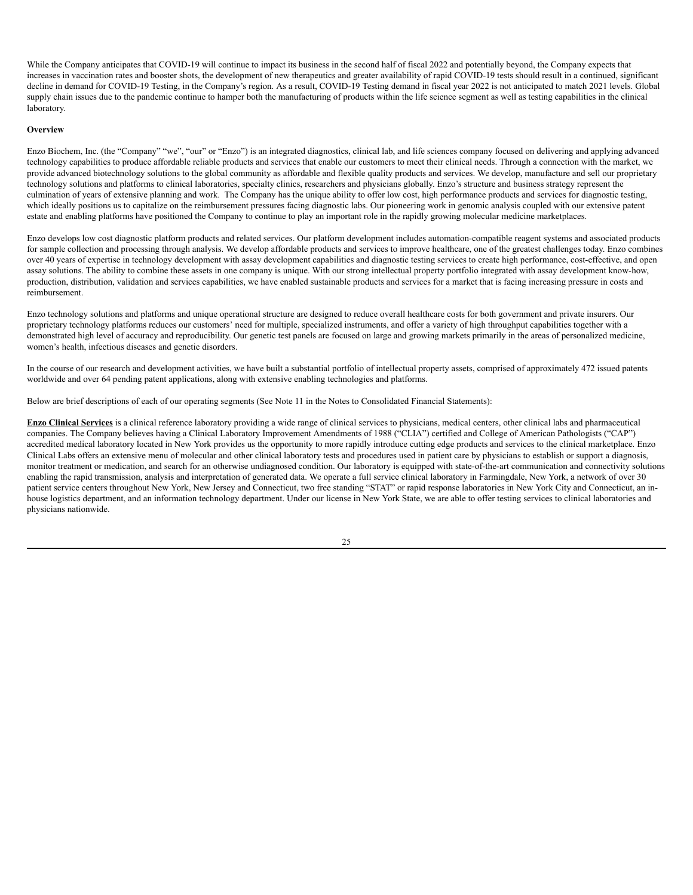While the Company anticipates that COVID-19 will continue to impact its business in the second half of fiscal 2022 and potentially beyond, the Company expects that increases in vaccination rates and booster shots, the development of new therapeutics and greater availability of rapid COVID-19 tests should result in a continued, significant decline in demand for COVID-19 Testing, in the Company's region. As a result, COVID-19 Testing demand in fiscal year 2022 is not anticipated to match 2021 levels. Global supply chain issues due to the pandemic continue to hamper both the manufacturing of products within the life science segment as well as testing capabilities in the clinical laboratory.

### **Overview**

Enzo Biochem, Inc. (the "Company" "we", "our" or "Enzo") is an integrated diagnostics, clinical lab, and life sciences company focused on delivering and applying advanced technology capabilities to produce affordable reliable products and services that enable our customers to meet their clinical needs. Through a connection with the market, we provide advanced biotechnology solutions to the global community as affordable and flexible quality products and services. We develop, manufacture and sell our proprietary technology solutions and platforms to clinical laboratories, specialty clinics, researchers and physicians globally. Enzo's structure and business strategy represent the culmination of years of extensive planning and work. The Company has the unique ability to offer low cost, high performance products and services for diagnostic testing, which ideally positions us to capitalize on the reimbursement pressures facing diagnostic labs. Our pioneering work in genomic analysis coupled with our extensive patent estate and enabling platforms have positioned the Company to continue to play an important role in the rapidly growing molecular medicine marketplaces.

Enzo develops low cost diagnostic platform products and related services. Our platform development includes automation-compatible reagent systems and associated products for sample collection and processing through analysis. We develop affordable products and services to improve healthcare, one of the greatest challenges today. Enzo combines over 40 years of expertise in technology development with assay development capabilities and diagnostic testing services to create high performance, cost-effective, and open assay solutions. The ability to combine these assets in one company is unique. With our strong intellectual property portfolio integrated with assay development know-how, production, distribution, validation and services capabilities, we have enabled sustainable products and services for a market that is facing increasing pressure in costs and reimbursement.

Enzo technology solutions and platforms and unique operational structure are designed to reduce overall healthcare costs for both government and private insurers. Our proprietary technology platforms reduces our customers' need for multiple, specialized instruments, and offer a variety of high throughput capabilities together with a demonstrated high level of accuracy and reproducibility. Our genetic test panels are focused on large and growing markets primarily in the areas of personalized medicine, women's health, infectious diseases and genetic disorders.

In the course of our research and development activities, we have built a substantial portfolio of intellectual property assets, comprised of approximately 472 issued patents worldwide and over 64 pending patent applications, along with extensive enabling technologies and platforms.

Below are brief descriptions of each of our operating segments (See Note 11 in the Notes to Consolidated Financial Statements):

**Enzo Clinical Services** is a clinical reference laboratory providing a wide range of clinical services to physicians, medical centers, other clinical labs and pharmaceutical companies. The Company believes having a Clinical Laboratory Improvement Amendments of 1988 ("CLIA") certified and College of American Pathologists ("CAP") accredited medical laboratory located in New York provides us the opportunity to more rapidly introduce cutting edge products and services to the clinical marketplace. Enzo Clinical Labs offers an extensive menu of molecular and other clinical laboratory tests and procedures used in patient care by physicians to establish or support a diagnosis, monitor treatment or medication, and search for an otherwise undiagnosed condition. Our laboratory is equipped with state-of-the-art communication and connectivity solutions enabling the rapid transmission, analysis and interpretation of generated data. We operate a full service clinical laboratory in Farmingdale, New York, a network of over 30 patient service centers throughout New York, New Jersey and Connecticut, two free standing "STAT" or rapid response laboratories in New York City and Connecticut, an inhouse logistics department, and an information technology department. Under our license in New York State, we are able to offer testing services to clinical laboratories and physicians nationwide.

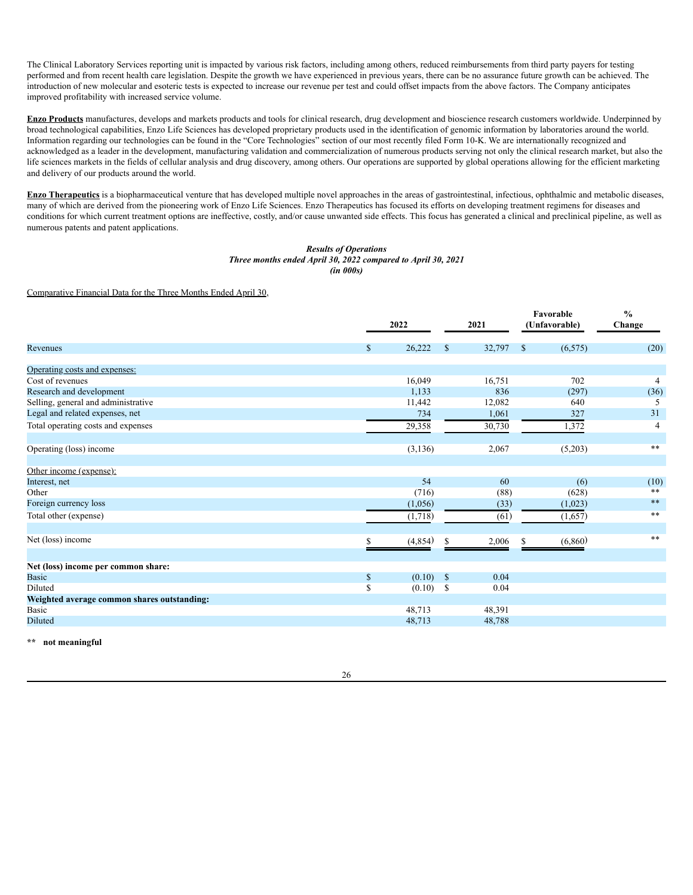The Clinical Laboratory Services reporting unit is impacted by various risk factors, including among others, reduced reimbursements from third party payers for testing performed and from recent health care legislation. Despite the growth we have experienced in previous years, there can be no assurance future growth can be achieved. The introduction of new molecular and esoteric tests is expected to increase our revenue per test and could offset impacts from the above factors. The Company anticipates improved profitability with increased service volume.

**Enzo Products** manufactures, develops and markets products and tools for clinical research, drug development and bioscience research customers worldwide. Underpinned by broad technological capabilities, Enzo Life Sciences has developed proprietary products used in the identification of genomic information by laboratories around the world. Information regarding our technologies can be found in the "Core Technologies" section of our most recently filed Form 10-K. We are internationally recognized and acknowledged as a leader in the development, manufacturing validation and commercialization of numerous products serving not only the clinical research market, but also the life sciences markets in the fields of cellular analysis and drug discovery, among others. Our operations are supported by global operations allowing for the efficient marketing and delivery of our products around the world.

**Enzo Therapeutics** is a biopharmaceutical venture that has developed multiple novel approaches in the areas of gastrointestinal, infectious, ophthalmic and metabolic diseases, many of which are derived from the pioneering work of Enzo Life Sciences. Enzo Therapeutics has focused its efforts on developing treatment regimens for diseases and conditions for which current treatment options are ineffective, costly, and/or cause unwanted side effects. This focus has generated a clinical and preclinical pipeline, as well as numerous patents and patent applications.

### *Results of Operations Three months ended April 30, 2022 compared to April 30, 2021 (in 000s)*

Comparative Financial Data for the Three Months Ended April 30,

|             | 2022    |                           |        | Favorable<br>(Unfavorable) | $\frac{0}{0}$<br>Change |
|-------------|---------|---------------------------|--------|----------------------------|-------------------------|
| \$          | 26,222  | \$                        | 32,797 | \$<br>(6, 575)             | (20)                    |
|             |         |                           |        |                            |                         |
|             | 16,049  |                           | 16,751 | 702                        | $\overline{4}$          |
|             | 1,133   |                           | 836    | (297)                      | (36)                    |
|             | 11,442  |                           | 12,082 | 640                        | 5                       |
|             | 734     |                           | 1,061  | 327                        | 31                      |
|             | 29,358  |                           | 30,730 | 1,372                      | $\overline{4}$          |
|             |         |                           |        |                            |                         |
|             |         |                           |        |                            | $\ast\ast$              |
|             |         |                           |        |                            |                         |
|             | 54      |                           | 60     | (6)                        | (10)                    |
|             | (716)   |                           | (88)   | (628)                      | $\ast\ast$              |
|             | (1,056) |                           |        | (1,023)                    | $\ast\ast$              |
|             | (1,718) |                           | (61)   | (1,657)                    | $\ast\ast$              |
|             |         |                           |        |                            |                         |
| \$          | (4,854) | \$                        | 2,006  | (6,860)<br>\$              | $***$                   |
|             |         |                           |        |                            |                         |
|             |         |                           |        |                            |                         |
| $\mathbb S$ | (0.10)  | $\boldsymbol{\mathsf{S}}$ | 0.04   |                            |                         |
| \$          | (0.10)  | \$                        | 0.04   |                            |                         |
|             |         |                           |        |                            |                         |
|             | 48,713  |                           | 48,391 |                            |                         |
|             | 48,713  |                           | 48,788 |                            |                         |
|             |         | (3, 136)                  |        | 2021<br>2,067<br>(33)      | (5,203)                 |

**\*\* not meaningful**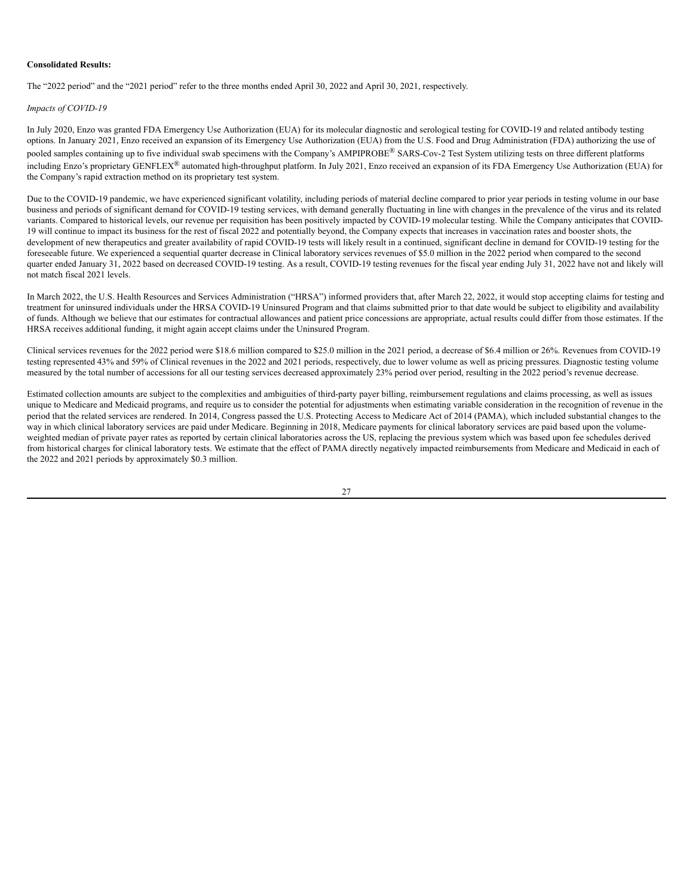## **Consolidated Results:**

The "2022 period" and the "2021 period" refer to the three months ended April 30, 2022 and April 30, 2021, respectively.

### *Impacts of COVID-19*

In July 2020, Enzo was granted FDA Emergency Use Authorization (EUA) for its molecular diagnostic and serological testing for COVID-19 and related antibody testing options. In January 2021, Enzo received an expansion of its Emergency Use Authorization (EUA) from the U.S. Food and Drug Administration (FDA) authorizing the use of pooled samples containing up to five individual swab specimens with the Company's AMPIPROBE® SARS-Cov-2 Test System utilizing tests on three different platforms including Enzo's proprietary GENFLEX<sup>®</sup> automated high-throughput platform. In July 2021, Enzo received an expansion of its FDA Emergency Use Authorization (EUA) for the Company's rapid extraction method on its proprietary test system.

Due to the COVID-19 pandemic, we have experienced significant volatility, including periods of material decline compared to prior year periods in testing volume in our base business and periods of significant demand for COVID-19 testing services, with demand generally fluctuating in line with changes in the prevalence of the virus and its related variants. Compared to historical levels, our revenue per requisition has been positively impacted by COVID-19 molecular testing. While the Company anticipates that COVID-19 will continue to impact its business for the rest of fiscal 2022 and potentially beyond, the Company expects that increases in vaccination rates and booster shots, the development of new therapeutics and greater availability of rapid COVID-19 tests will likely result in a continued, significant decline in demand for COVID-19 testing for the foreseeable future. We experienced a sequential quarter decrease in Clinical laboratory services revenues of \$5.0 million in the 2022 period when compared to the second quarter ended January 31, 2022 based on decreased COVID-19 testing. As a result, COVID-19 testing revenues for the fiscal year ending July 31, 2022 have not and likely will not match fiscal 2021 levels.

In March 2022, the U.S. Health Resources and Services Administration ("HRSA") informed providers that, after March 22, 2022, it would stop accepting claims for testing and treatment for uninsured individuals under the HRSA COVID-19 Uninsured Program and that claims submitted prior to that date would be subject to eligibility and availability of funds. Although we believe that our estimates for contractual allowances and patient price concessions are appropriate, actual results could differ from those estimates. If the HRSA receives additional funding, it might again accept claims under the Uninsured Program.

Clinical services revenues for the 2022 period were \$18.6 million compared to \$25.0 million in the 2021 period, a decrease of \$6.4 million or 26%. Revenues from COVID-19 testing represented 43% and 59% of Clinical revenues in the 2022 and 2021 periods, respectively, due to lower volume as well as pricing pressures. Diagnostic testing volume measured by the total number of accessions for all our testing services decreased approximately 23% period over period, resulting in the 2022 period's revenue decrease.

Estimated collection amounts are subject to the complexities and ambiguities of third-party payer billing, reimbursement regulations and claims processing, as well as issues unique to Medicare and Medicaid programs, and require us to consider the potential for adjustments when estimating variable consideration in the recognition of revenue in the period that the related services are rendered. In 2014, Congress passed the U.S. Protecting Access to Medicare Act of 2014 (PAMA), which included substantial changes to the way in which clinical laboratory services are paid under Medicare. Beginning in 2018, Medicare payments for clinical laboratory services are paid based upon the volumeweighted median of private payer rates as reported by certain clinical laboratories across the US, replacing the previous system which was based upon fee schedules derived from historical charges for clinical laboratory tests. We estimate that the effect of PAMA directly negatively impacted reimbursements from Medicare and Medicaid in each of the 2022 and 2021 periods by approximately \$0.3 million.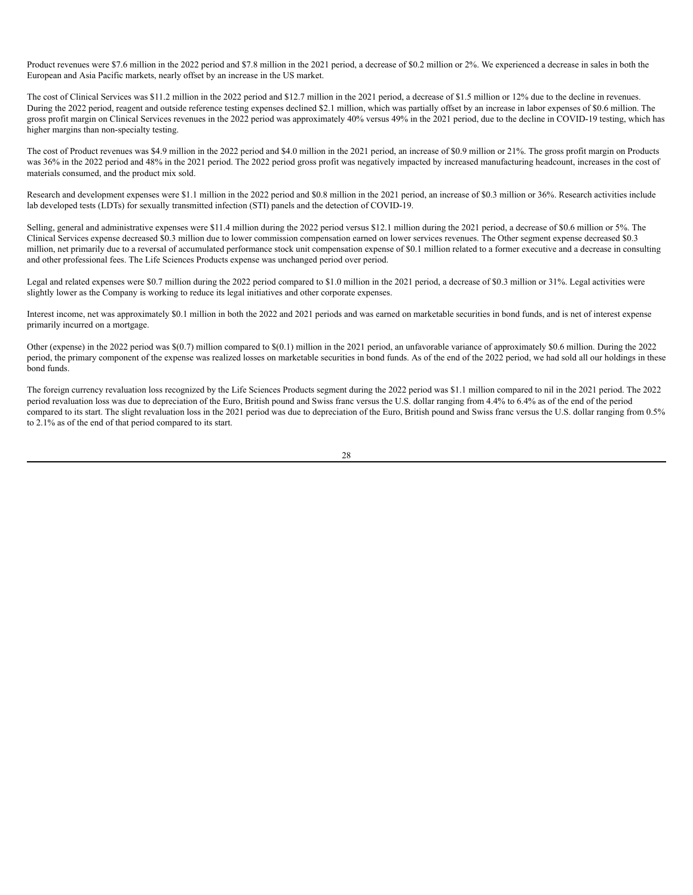Product revenues were \$7.6 million in the 2022 period and \$7.8 million in the 2021 period, a decrease of \$0.2 million or 2%. We experienced a decrease in sales in both the European and Asia Pacific markets, nearly offset by an increase in the US market.

The cost of Clinical Services was \$11.2 million in the 2022 period and \$12.7 million in the 2021 period, a decrease of \$1.5 million or 12% due to the decline in revenues. During the 2022 period, reagent and outside reference testing expenses declined \$2.1 million, which was partially offset by an increase in labor expenses of \$0.6 million. The gross profit margin on Clinical Services revenues in the 2022 period was approximately 40% versus 49% in the 2021 period, due to the decline in COVID-19 testing, which has higher margins than non-specialty testing.

The cost of Product revenues was \$4.9 million in the 2022 period and \$4.0 million in the 2021 period, an increase of \$0.9 million or 21%. The gross profit margin on Products was 36% in the 2022 period and 48% in the 2021 period. The 2022 period gross profit was negatively impacted by increased manufacturing headcount, increases in the cost of materials consumed, and the product mix sold.

Research and development expenses were \$1.1 million in the 2022 period and \$0.8 million in the 2021 period, an increase of \$0.3 million or 36%. Research activities include lab developed tests (LDTs) for sexually transmitted infection (STI) panels and the detection of COVID-19.

Selling, general and administrative expenses were \$11.4 million during the 2022 period versus \$12.1 million during the 2021 period, a decrease of \$0.6 million or 5%. The Clinical Services expense decreased \$0.3 million due to lower commission compensation earned on lower services revenues. The Other segment expense decreased \$0.3 million, net primarily due to a reversal of accumulated performance stock unit compensation expense of \$0.1 million related to a former executive and a decrease in consulting and other professional fees. The Life Sciences Products expense was unchanged period over period.

Legal and related expenses were \$0.7 million during the 2022 period compared to \$1.0 million in the 2021 period, a decrease of \$0.3 million or 31%. Legal activities were slightly lower as the Company is working to reduce its legal initiatives and other corporate expenses.

Interest income, net was approximately \$0.1 million in both the 2022 and 2021 periods and was earned on marketable securities in bond funds, and is net of interest expense primarily incurred on a mortgage.

Other (expense) in the 2022 period was \$(0.7) million compared to \$(0.1) million in the 2021 period, an unfavorable variance of approximately \$0.6 million. During the 2022 period, the primary component of the expense was realized losses on marketable securities in bond funds. As of the end of the 2022 period, we had sold all our holdings in these bond funds.

The foreign currency revaluation loss recognized by the Life Sciences Products segment during the 2022 period was \$1.1 million compared to nil in the 2021 period. The 2022 period revaluation loss was due to depreciation of the Euro, British pound and Swiss franc versus the U.S. dollar ranging from 4.4% to 6.4% as of the end of the period compared to its start. The slight revaluation loss in the 2021 period was due to depreciation of the Euro, British pound and Swiss franc versus the U.S. dollar ranging from 0.5% to 2.1% as of the end of that period compared to its start.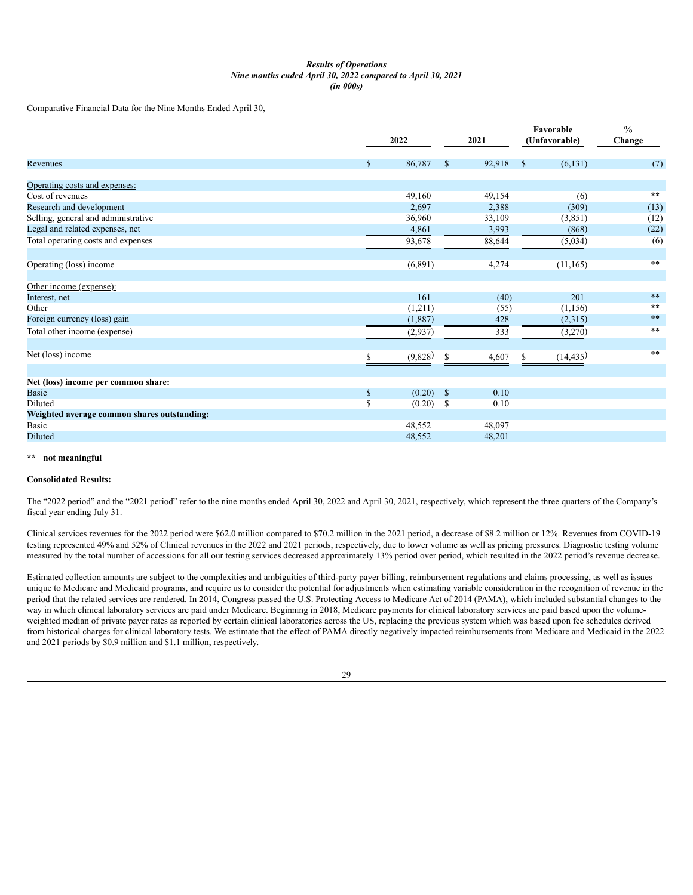## *Results of Operations Nine months ended April 30, 2022 compared to April 30, 2021 (in 000s)*

Comparative Financial Data for the Nine Months Ended April 30,

|                                             |              | 2022     |              | 2021   |              | Favorable<br>(Unfavorable) | $\frac{0}{0}$<br>Change |
|---------------------------------------------|--------------|----------|--------------|--------|--------------|----------------------------|-------------------------|
| Revenues                                    | $\mathbb{S}$ | 86,787   | $\mathbb{S}$ | 92,918 | $\mathbb{S}$ | (6, 131)                   | (7)                     |
| Operating costs and expenses:               |              |          |              |        |              |                            |                         |
| Cost of revenues                            |              | 49,160   |              | 49,154 |              | (6)                        | $\ast\ast$              |
| Research and development                    |              | 2,697    |              | 2,388  |              | (309)                      | (13)                    |
| Selling, general and administrative         |              | 36,960   |              | 33,109 |              | (3,851)                    | (12)                    |
| Legal and related expenses, net             |              | 4,861    |              | 3,993  |              | (868)                      | (22)                    |
| Total operating costs and expenses          |              | 93,678   |              | 88,644 |              | (5,034)                    | (6)                     |
| Operating (loss) income                     |              | (6, 891) |              | 4,274  |              | (11, 165)                  | $\ast\ast$              |
| Other income (expense):                     |              |          |              |        |              |                            |                         |
| Interest, net                               |              | 161      |              | (40)   |              | 201                        | $\ast\ast$              |
| Other                                       |              | (1,211)  |              | (55)   |              | (1,156)                    | **                      |
| Foreign currency (loss) gain                |              | (1, 887) |              | 428    |              | (2,315)                    | $***$                   |
| Total other income (expense)                |              | (2,937)  |              | 333    |              | (3,270)                    | $***$                   |
| Net (loss) income                           | S.           | (9,828)  | S            | 4,607  | S            | (14, 435)                  | **                      |
| Net (loss) income per common share:         |              |          |              |        |              |                            |                         |
| <b>Basic</b>                                | $\mathbb{S}$ | (0.20)   | $\mathbb{S}$ | 0.10   |              |                            |                         |
| Diluted                                     | \$           | (0.20)   | -S           | 0.10   |              |                            |                         |
| Weighted average common shares outstanding: |              |          |              |        |              |                            |                         |
| Basic                                       |              | 48,552   |              | 48,097 |              |                            |                         |
| Diluted                                     |              | 48,552   |              | 48,201 |              |                            |                         |

## **\*\* not meaningful**

### **Consolidated Results:**

The "2022 period" and the "2021 period" refer to the nine months ended April 30, 2022 and April 30, 2021, respectively, which represent the three quarters of the Company's fiscal year ending July 31.

Clinical services revenues for the 2022 period were \$62.0 million compared to \$70.2 million in the 2021 period, a decrease of \$8.2 million or 12%. Revenues from COVID-19 testing represented 49% and 52% of Clinical revenues in the 2022 and 2021 periods, respectively, due to lower volume as well as pricing pressures. Diagnostic testing volume measured by the total number of accessions for all our testing services decreased approximately 13% period over period, which resulted in the 2022 period's revenue decrease.

Estimated collection amounts are subject to the complexities and ambiguities of third-party payer billing, reimbursement regulations and claims processing, as well as issues unique to Medicare and Medicaid programs, and require us to consider the potential for adjustments when estimating variable consideration in the recognition of revenue in the period that the related services are rendered. In 2014, Congress passed the U.S. Protecting Access to Medicare Act of 2014 (PAMA), which included substantial changes to the way in which clinical laboratory services are paid under Medicare. Beginning in 2018, Medicare payments for clinical laboratory services are paid based upon the volumeweighted median of private payer rates as reported by certain clinical laboratories across the US, replacing the previous system which was based upon fee schedules derived from historical charges for clinical laboratory tests. We estimate that the effect of PAMA directly negatively impacted reimbursements from Medicare and Medicaid in the 2022 and 2021 periods by \$0.9 million and \$1.1 million, respectively.

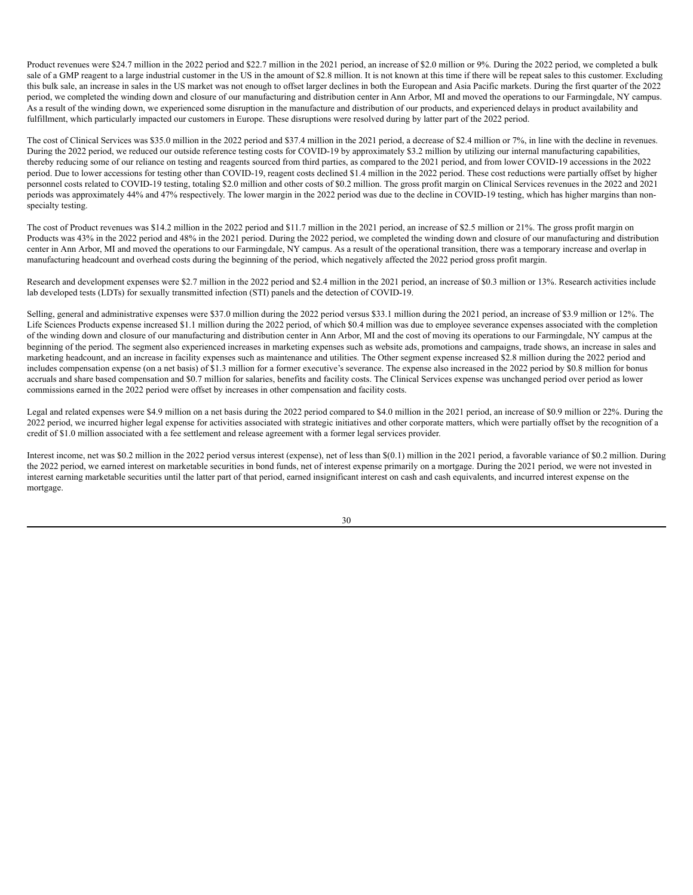Product revenues were \$24.7 million in the 2022 period and \$22.7 million in the 2021 period, an increase of \$2.0 million or 9%. During the 2022 period, we completed a bulk sale of a GMP reagent to a large industrial customer in the US in the amount of \$2.8 million. It is not known at this time if there will be repeat sales to this customer. Excluding this bulk sale, an increase in sales in the US market was not enough to offset larger declines in both the European and Asia Pacific markets. During the first quarter of the 2022 period, we completed the winding down and closure of our manufacturing and distribution center in Ann Arbor, MI and moved the operations to our Farmingdale, NY campus. As a result of the winding down, we experienced some disruption in the manufacture and distribution of our products, and experienced delays in product availability and fulfillment, which particularly impacted our customers in Europe. These disruptions were resolved during by latter part of the 2022 period.

The cost of Clinical Services was \$35.0 million in the 2022 period and \$37.4 million in the 2021 period, a decrease of \$2.4 million or 7%, in line with the decline in revenues. During the 2022 period, we reduced our outside reference testing costs for COVID-19 by approximately \$3.2 million by utilizing our internal manufacturing capabilities, thereby reducing some of our reliance on testing and reagents sourced from third parties, as compared to the 2021 period, and from lower COVID-19 accessions in the 2022 period. Due to lower accessions for testing other than COVID-19, reagent costs declined \$1.4 million in the 2022 period. These cost reductions were partially offset by higher personnel costs related to COVID-19 testing, totaling \$2.0 million and other costs of \$0.2 million. The gross profit margin on Clinical Services revenues in the 2022 and 2021 periods was approximately 44% and 47% respectively. The lower margin in the 2022 period was due to the decline in COVID-19 testing, which has higher margins than nonspecialty testing.

The cost of Product revenues was \$14.2 million in the 2022 period and \$11.7 million in the 2021 period, an increase of \$2.5 million or 21%. The gross profit margin on Products was 43% in the 2022 period and 48% in the 2021 period. During the 2022 period, we completed the winding down and closure of our manufacturing and distribution center in Ann Arbor, MI and moved the operations to our Farmingdale, NY campus. As a result of the operational transition, there was a temporary increase and overlap in manufacturing headcount and overhead costs during the beginning of the period, which negatively affected the 2022 period gross profit margin.

Research and development expenses were \$2.7 million in the 2022 period and \$2.4 million in the 2021 period, an increase of \$0.3 million or 13%. Research activities include lab developed tests (LDTs) for sexually transmitted infection (STI) panels and the detection of COVID-19.

Selling, general and administrative expenses were \$37.0 million during the 2022 period versus \$33.1 million during the 2021 period, an increase of \$3.9 million or 12%. The Life Sciences Products expense increased \$1.1 million during the 2022 period, of which \$0.4 million was due to employee severance expenses associated with the completion of the winding down and closure of our manufacturing and distribution center in Ann Arbor, MI and the cost of moving its operations to our Farmingdale, NY campus at the beginning of the period. The segment also experienced increases in marketing expenses such as website ads, promotions and campaigns, trade shows, an increase in sales and marketing headcount, and an increase in facility expenses such as maintenance and utilities. The Other segment expense increased \$2.8 million during the 2022 period and includes compensation expense (on a net basis) of \$1.3 million for a former executive's severance. The expense also increased in the 2022 period by \$0.8 million for bonus accruals and share based compensation and \$0.7 million for salaries, benefits and facility costs. The Clinical Services expense was unchanged period over period as lower commissions earned in the 2022 period were offset by increases in other compensation and facility costs.

Legal and related expenses were \$4.9 million on a net basis during the 2022 period compared to \$4.0 million in the 2021 period, an increase of \$0.9 million or 22%. During the 2022 period, we incurred higher legal expense for activities associated with strategic initiatives and other corporate matters, which were partially offset by the recognition of a credit of \$1.0 million associated with a fee settlement and release agreement with a former legal services provider.

Interest income, net was \$0.2 million in the 2022 period versus interest (expense), net of less than \$(0.1) million in the 2021 period, a favorable variance of \$0.2 million. During the 2022 period, we earned interest on marketable securities in bond funds, net of interest expense primarily on a mortgage. During the 2021 period, we were not invested in interest earning marketable securities until the latter part of that period, earned insignificant interest on cash and cash equivalents, and incurred interest expense on the mortgage.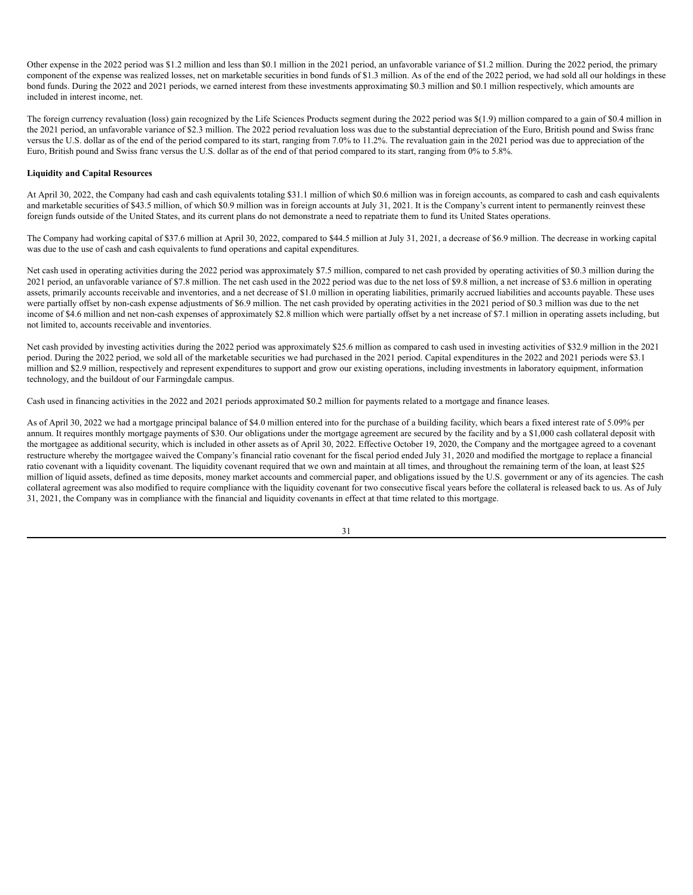Other expense in the 2022 period was \$1.2 million and less than \$0.1 million in the 2021 period, an unfavorable variance of \$1.2 million. During the 2022 period, the primary component of the expense was realized losses, net on marketable securities in bond funds of \$1.3 million. As of the end of the 2022 period, we had sold all our holdings in these bond funds. During the 2022 and 2021 periods, we earned interest from these investments approximating \$0.3 million and \$0.1 million respectively, which amounts are included in interest income, net.

The foreign currency revaluation (loss) gain recognized by the Life Sciences Products segment during the 2022 period was \$(1.9) million compared to a gain of \$0.4 million in the 2021 period, an unfavorable variance of \$2.3 million. The 2022 period revaluation loss was due to the substantial depreciation of the Euro, British pound and Swiss franc versus the U.S. dollar as of the end of the period compared to its start, ranging from 7.0% to 11.2%. The revaluation gain in the 2021 period was due to appreciation of the Euro, British pound and Swiss franc versus the U.S. dollar as of the end of that period compared to its start, ranging from 0% to 5.8%.

## **Liquidity and Capital Resources**

At April 30, 2022, the Company had cash and cash equivalents totaling \$31.1 million of which \$0.6 million was in foreign accounts, as compared to cash and cash equivalents and marketable securities of \$43.5 million, of which \$0.9 million was in foreign accounts at July 31, 2021. It is the Company's current intent to permanently reinvest these foreign funds outside of the United States, and its current plans do not demonstrate a need to repatriate them to fund its United States operations.

The Company had working capital of \$37.6 million at April 30, 2022, compared to \$44.5 million at July 31, 2021, a decrease of \$6.9 million. The decrease in working capital was due to the use of cash and cash equivalents to fund operations and capital expenditures.

Net cash used in operating activities during the 2022 period was approximately \$7.5 million, compared to net cash provided by operating activities of \$0.3 million during the 2021 period, an unfavorable variance of \$7.8 million. The net cash used in the 2022 period was due to the net loss of \$9.8 million, a net increase of \$3.6 million in operating assets, primarily accounts receivable and inventories, and a net decrease of \$1.0 million in operating liabilities, primarily accrued liabilities and accounts payable. These uses were partially offset by non-cash expense adjustments of \$6.9 million. The net cash provided by operating activities in the 2021 period of \$0.3 million was due to the net income of \$4.6 million and net non-cash expenses of approximately \$2.8 million which were partially offset by a net increase of \$7.1 million in operating assets including, but not limited to, accounts receivable and inventories.

Net cash provided by investing activities during the 2022 period was approximately \$25.6 million as compared to cash used in investing activities of \$32.9 million in the 2021 period. During the 2022 period, we sold all of the marketable securities we had purchased in the 2021 period. Capital expenditures in the 2022 and 2021 periods were \$3.1 million and \$2.9 million, respectively and represent expenditures to support and grow our existing operations, including investments in laboratory equipment, information technology, and the buildout of our Farmingdale campus.

Cash used in financing activities in the 2022 and 2021 periods approximated \$0.2 million for payments related to a mortgage and finance leases.

As of April 30, 2022 we had a mortgage principal balance of \$4.0 million entered into for the purchase of a building facility, which bears a fixed interest rate of 5.09% per annum. It requires monthly mortgage payments of \$30. Our obligations under the mortgage agreement are secured by the facility and by a \$1,000 cash collateral deposit with the mortgagee as additional security, which is included in other assets as of April 30, 2022. Effective October 19, 2020, the Company and the mortgagee agreed to a covenant restructure whereby the mortgagee waived the Company's financial ratio covenant for the fiscal period ended July 31, 2020 and modified the mortgage to replace a financial ratio covenant with a liquidity covenant. The liquidity covenant required that we own and maintain at all times, and throughout the remaining term of the loan, at least \$25 million of liquid assets, defined as time deposits, money market accounts and commercial paper, and obligations issued by the U.S. government or any of its agencies. The cash collateral agreement was also modified to require compliance with the liquidity covenant for two consecutive fiscal years before the collateral is released back to us. As of July 31, 2021, the Company was in compliance with the financial and liquidity covenants in effect at that time related to this mortgage.

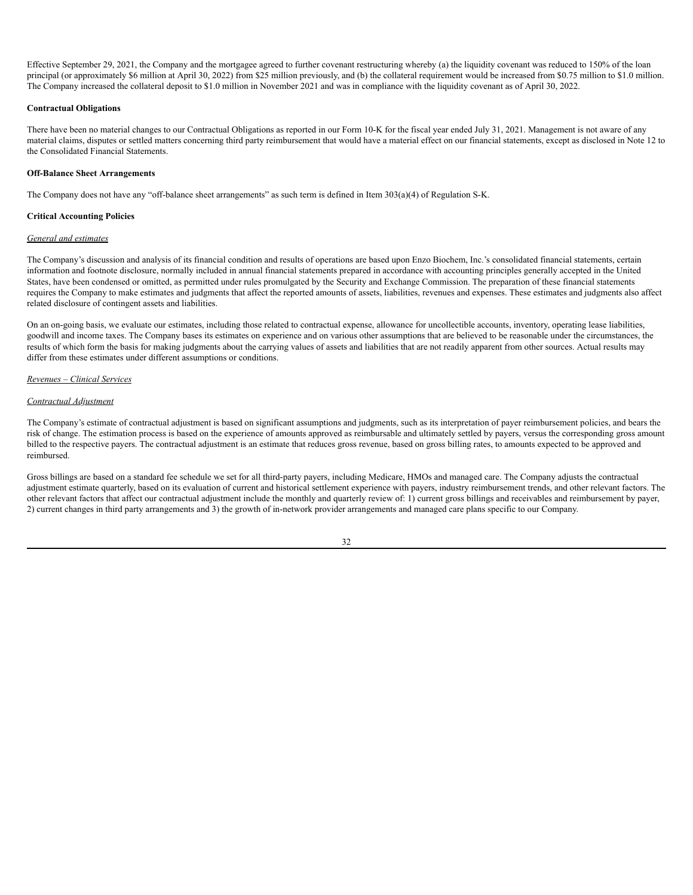Effective September 29, 2021, the Company and the mortgagee agreed to further covenant restructuring whereby (a) the liquidity covenant was reduced to 150% of the loan principal (or approximately \$6 million at April 30, 2022) from \$25 million previously, and (b) the collateral requirement would be increased from \$0.75 million to \$1.0 million. The Company increased the collateral deposit to \$1.0 million in November 2021 and was in compliance with the liquidity covenant as of April 30, 2022.

## **Contractual Obligations**

There have been no material changes to our Contractual Obligations as reported in our Form 10-K for the fiscal year ended July 31, 2021. Management is not aware of any material claims, disputes or settled matters concerning third party reimbursement that would have a material effect on our financial statements, except as disclosed in Note 12 to the Consolidated Financial Statements.

## **Off-Balance Sheet Arrangements**

The Company does not have any "off-balance sheet arrangements" as such term is defined in Item 303(a)(4) of Regulation S-K.

## **Critical Accounting Policies**

## *General and estimates*

The Company's discussion and analysis of its financial condition and results of operations are based upon Enzo Biochem, Inc.'s consolidated financial statements, certain information and footnote disclosure, normally included in annual financial statements prepared in accordance with accounting principles generally accepted in the United States, have been condensed or omitted, as permitted under rules promulgated by the Security and Exchange Commission. The preparation of these financial statements requires the Company to make estimates and judgments that affect the reported amounts of assets, liabilities, revenues and expenses. These estimates and judgments also affect related disclosure of contingent assets and liabilities.

On an on-going basis, we evaluate our estimates, including those related to contractual expense, allowance for uncollectible accounts, inventory, operating lease liabilities, goodwill and income taxes. The Company bases its estimates on experience and on various other assumptions that are believed to be reasonable under the circumstances, the results of which form the basis for making judgments about the carrying values of assets and liabilities that are not readily apparent from other sources. Actual results may differ from these estimates under different assumptions or conditions.

## *Revenues – Clinical Services*

## *Contractual Adjustment*

The Company's estimate of contractual adjustment is based on significant assumptions and judgments, such as its interpretation of payer reimbursement policies, and bears the risk of change. The estimation process is based on the experience of amounts approved as reimbursable and ultimately settled by payers, versus the corresponding gross amount billed to the respective payers. The contractual adjustment is an estimate that reduces gross revenue, based on gross billing rates, to amounts expected to be approved and reimbursed.

Gross billings are based on a standard fee schedule we set for all third-party payers, including Medicare, HMOs and managed care. The Company adjusts the contractual adjustment estimate quarterly, based on its evaluation of current and historical settlement experience with payers, industry reimbursement trends, and other relevant factors. The other relevant factors that affect our contractual adjustment include the monthly and quarterly review of: 1) current gross billings and receivables and reimbursement by payer, 2) current changes in third party arrangements and 3) the growth of in-network provider arrangements and managed care plans specific to our Company.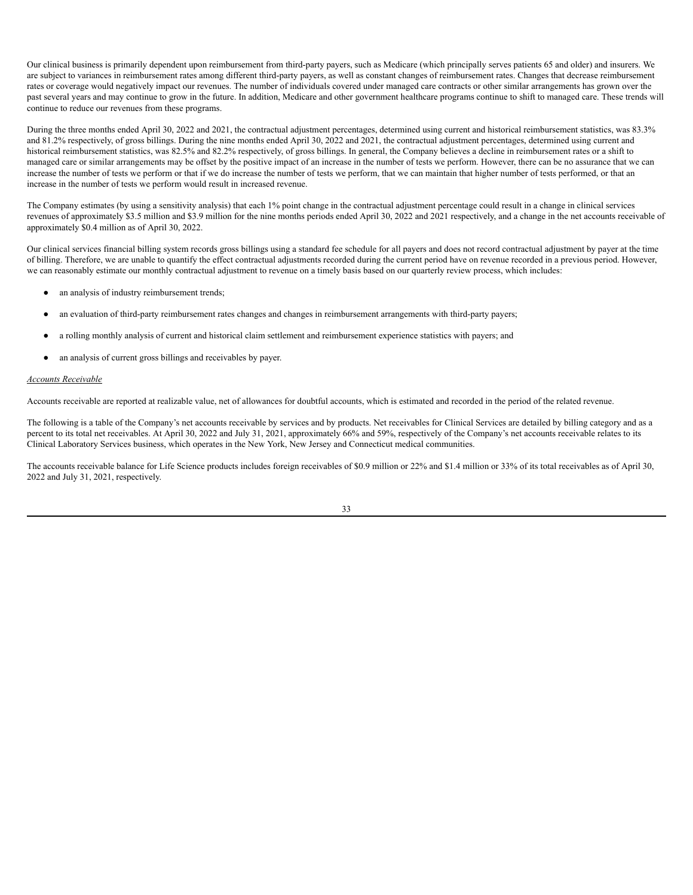Our clinical business is primarily dependent upon reimbursement from third-party payers, such as Medicare (which principally serves patients 65 and older) and insurers. We are subject to variances in reimbursement rates among different third-party payers, as well as constant changes of reimbursement rates. Changes that decrease reimbursement rates or coverage would negatively impact our revenues. The number of individuals covered under managed care contracts or other similar arrangements has grown over the past several years and may continue to grow in the future. In addition, Medicare and other government healthcare programs continue to shift to managed care. These trends will continue to reduce our revenues from these programs.

During the three months ended April 30, 2022 and 2021, the contractual adjustment percentages, determined using current and historical reimbursement statistics, was 83.3% and 81.2% respectively, of gross billings. During the nine months ended April 30, 2022 and 2021, the contractual adjustment percentages, determined using current and historical reimbursement statistics, was 82.5% and 82.2% respectively, of gross billings. In general, the Company believes a decline in reimbursement rates or a shift to managed care or similar arrangements may be offset by the positive impact of an increase in the number of tests we perform. However, there can be no assurance that we can increase the number of tests we perform or that if we do increase the number of tests we perform, that we can maintain that higher number of tests performed, or that an increase in the number of tests we perform would result in increased revenue.

The Company estimates (by using a sensitivity analysis) that each 1% point change in the contractual adjustment percentage could result in a change in clinical services revenues of approximately \$3.5 million and \$3.9 million for the nine months periods ended April 30, 2022 and 2021 respectively, and a change in the net accounts receivable of approximately \$0.4 million as of April 30, 2022.

Our clinical services financial billing system records gross billings using a standard fee schedule for all payers and does not record contractual adjustment by payer at the time of billing. Therefore, we are unable to quantify the effect contractual adjustments recorded during the current period have on revenue recorded in a previous period. However, we can reasonably estimate our monthly contractual adjustment to revenue on a timely basis based on our quarterly review process, which includes:

- an analysis of industry reimbursement trends;
- an evaluation of third-party reimbursement rates changes and changes in reimbursement arrangements with third-party payers;
- a rolling monthly analysis of current and historical claim settlement and reimbursement experience statistics with payers; and
- an analysis of current gross billings and receivables by payer.

## *Accounts Receivable*

Accounts receivable are reported at realizable value, net of allowances for doubtful accounts, which is estimated and recorded in the period of the related revenue.

The following is a table of the Company's net accounts receivable by services and by products. Net receivables for Clinical Services are detailed by billing category and as a percent to its total net receivables. At April 30, 2022 and July 31, 2021, approximately 66% and 59%, respectively of the Company's net accounts receivable relates to its Clinical Laboratory Services business, which operates in the New York, New Jersey and Connecticut medical communities.

The accounts receivable balance for Life Science products includes foreign receivables of \$0.9 million or 22% and \$1.4 million or 33% of its total receivables as of April 30, 2022 and July 31, 2021, respectively.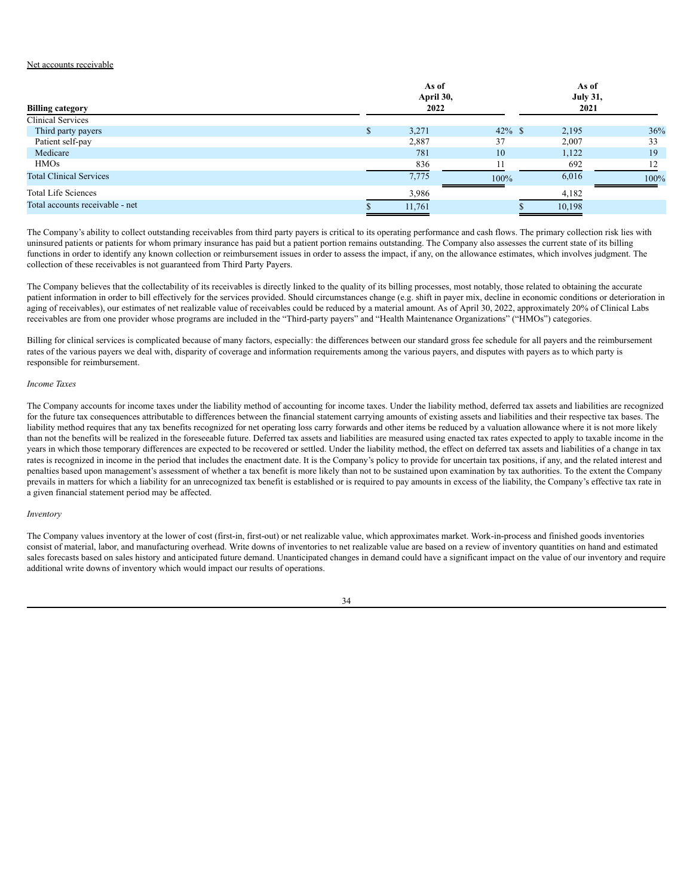## Net accounts receivable

| <b>Billing category</b>         |    | As of<br>April 30,<br>2022 |           |        |      |  |
|---------------------------------|----|----------------------------|-----------|--------|------|--|
| Clinical Services               |    |                            |           |        |      |  |
| Third party payers              | D. | 3,271                      | $42\%$ \$ | 2,195  | 36%  |  |
| Patient self-pay                |    | 2,887                      | 37        | 2,007  | 33   |  |
| Medicare                        |    | 781                        | 10        | 1,122  | 19   |  |
| <b>HMOs</b>                     |    | 836                        |           | 692    |      |  |
| <b>Total Clinical Services</b>  |    | 7,775                      | 100%      | 6,016  | 100% |  |
| <b>Total Life Sciences</b>      |    | 3,986                      |           | 4,182  |      |  |
| Total accounts receivable - net |    | 11,761                     |           | 10,198 |      |  |

The Company's ability to collect outstanding receivables from third party payers is critical to its operating performance and cash flows. The primary collection risk lies with uninsured patients or patients for whom primary insurance has paid but a patient portion remains outstanding. The Company also assesses the current state of its billing functions in order to identify any known collection or reimbursement issues in order to assess the impact, if any, on the allowance estimates, which involves judgment. The collection of these receivables is not guaranteed from Third Party Payers.

The Company believes that the collectability of its receivables is directly linked to the quality of its billing processes, most notably, those related to obtaining the accurate patient information in order to bill effectively for the services provided. Should circumstances change (e.g. shift in payer mix, decline in economic conditions or deterioration in aging of receivables), our estimates of net realizable value of receivables could be reduced by a material amount. As of April 30, 2022, approximately 20% of Clinical Labs receivables are from one provider whose programs are included in the "Third-party payers" and "Health Maintenance Organizations" ("HMOs") categories.

Billing for clinical services is complicated because of many factors, especially: the differences between our standard gross fee schedule for all payers and the reimbursement rates of the various payers we deal with, disparity of coverage and information requirements among the various payers, and disputes with payers as to which party is responsible for reimbursement.

### *Income Taxes*

The Company accounts for income taxes under the liability method of accounting for income taxes. Under the liability method, deferred tax assets and liabilities are recognized for the future tax consequences attributable to differences between the financial statement carrying amounts of existing assets and liabilities and their respective tax bases. The liability method requires that any tax benefits recognized for net operating loss carry forwards and other items be reduced by a valuation allowance where it is not more likely than not the benefits will be realized in the foreseeable future. Deferred tax assets and liabilities are measured using enacted tax rates expected to apply to taxable income in the years in which those temporary differences are expected to be recovered or settled. Under the liability method, the effect on deferred tax assets and liabilities of a change in tax rates is recognized in income in the period that includes the enactment date. It is the Company's policy to provide for uncertain tax positions, if any, and the related interest and penalties based upon management's assessment of whether a tax benefit is more likely than not to be sustained upon examination by tax authorities. To the extent the Company prevails in matters for which a liability for an unrecognized tax benefit is established or is required to pay amounts in excess of the liability, the Company's effective tax rate in a given financial statement period may be affected.

### *Inventory*

The Company values inventory at the lower of cost (first-in, first-out) or net realizable value, which approximates market. Work-in-process and finished goods inventories consist of material, labor, and manufacturing overhead. Write downs of inventories to net realizable value are based on a review of inventory quantities on hand and estimated sales forecasts based on sales history and anticipated future demand. Unanticipated changes in demand could have a significant impact on the value of our inventory and require additional write downs of inventory which would impact our results of operations.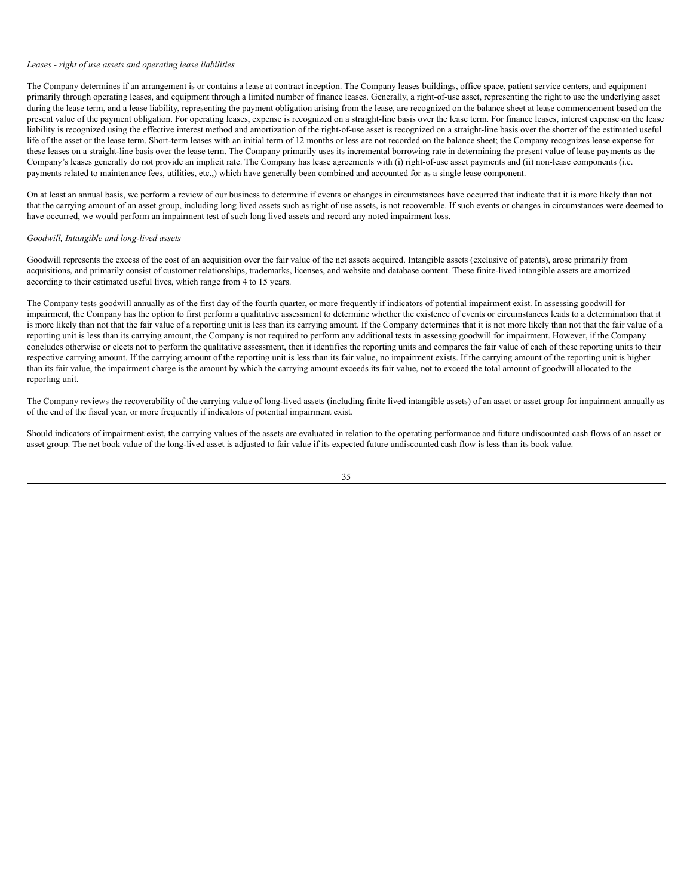### *Leases - right of use assets and operating lease liabilities*

The Company determines if an arrangement is or contains a lease at contract inception. The Company leases buildings, office space, patient service centers, and equipment primarily through operating leases, and equipment through a limited number of finance leases. Generally, a right-of-use asset, representing the right to use the underlying asset during the lease term, and a lease liability, representing the payment obligation arising from the lease, are recognized on the balance sheet at lease commencement based on the present value of the payment obligation. For operating leases, expense is recognized on a straight-line basis over the lease term. For finance leases, interest expense on the lease liability is recognized using the effective interest method and amortization of the right-of-use asset is recognized on a straight-line basis over the shorter of the estimated useful life of the asset or the lease term. Short-term leases with an initial term of 12 months or less are not recorded on the balance sheet; the Company recognizes lease expense for these leases on a straight-line basis over the lease term. The Company primarily uses its incremental borrowing rate in determining the present value of lease payments as the Company's leases generally do not provide an implicit rate. The Company has lease agreements with (i) right-of-use asset payments and (ii) non-lease components (i.e. payments related to maintenance fees, utilities, etc.,) which have generally been combined and accounted for as a single lease component.

On at least an annual basis, we perform a review of our business to determine if events or changes in circumstances have occurred that indicate that it is more likely than not that the carrying amount of an asset group, including long lived assets such as right of use assets, is not recoverable. If such events or changes in circumstances were deemed to have occurred, we would perform an impairment test of such long lived assets and record any noted impairment loss.

### *Goodwill, Intangible and long-lived assets*

Goodwill represents the excess of the cost of an acquisition over the fair value of the net assets acquired. Intangible assets (exclusive of patents), arose primarily from acquisitions, and primarily consist of customer relationships, trademarks, licenses, and website and database content. These finite-lived intangible assets are amortized according to their estimated useful lives, which range from 4 to 15 years.

The Company tests goodwill annually as of the first day of the fourth quarter, or more frequently if indicators of potential impairment exist. In assessing goodwill for impairment, the Company has the option to first perform a qualitative assessment to determine whether the existence of events or circumstances leads to a determination that it is more likely than not that the fair value of a reporting unit is less than its carrying amount. If the Company determines that it is not more likely than not that the fair value of a reporting unit is less than its carrying amount, the Company is not required to perform any additional tests in assessing goodwill for impairment. However, if the Company concludes otherwise or elects not to perform the qualitative assessment, then it identifies the reporting units and compares the fair value of each of these reporting units to their respective carrying amount. If the carrying amount of the reporting unit is less than its fair value, no impairment exists. If the carrying amount of the reporting unit is higher than its fair value, the impairment charge is the amount by which the carrying amount exceeds its fair value, not to exceed the total amount of goodwill allocated to the reporting unit.

The Company reviews the recoverability of the carrying value of long-lived assets (including finite lived intangible assets) of an asset or asset group for impairment annually as of the end of the fiscal year, or more frequently if indicators of potential impairment exist.

Should indicators of impairment exist, the carrying values of the assets are evaluated in relation to the operating performance and future undiscounted cash flows of an asset or asset group. The net book value of the long-lived asset is adjusted to fair value if its expected future undiscounted cash flow is less than its book value.

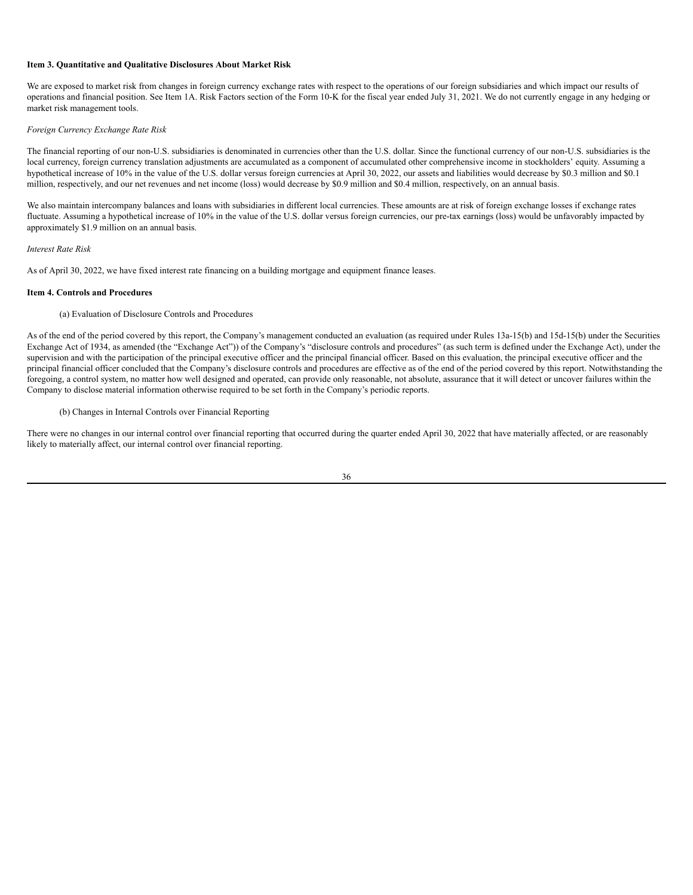### <span id="page-37-0"></span>**Item 3. Quantitative and Qualitative Disclosures About Market Risk**

We are exposed to market risk from changes in foreign currency exchange rates with respect to the operations of our foreign subsidiaries and which impact our results of operations and financial position. See Item 1A. Risk Factors section of the Form 10-K for the fiscal year ended July 31, 2021. We do not currently engage in any hedging or market risk management tools.

## *Foreign Currency Exchange Rate Risk*

The financial reporting of our non-U.S. subsidiaries is denominated in currencies other than the U.S. dollar. Since the functional currency of our non-U.S. subsidiaries is the local currency, foreign currency translation adjustments are accumulated as a component of accumulated other comprehensive income in stockholders' equity. Assuming a hypothetical increase of 10% in the value of the U.S. dollar versus foreign currencies at April 30, 2022, our assets and liabilities would decrease by \$0.3 million and \$0.1 million, respectively, and our net revenues and net income (loss) would decrease by \$0.9 million and \$0.4 million, respectively, on an annual basis.

We also maintain intercompany balances and loans with subsidiaries in different local currencies. These amounts are at risk of foreign exchange losses if exchange rates fluctuate. Assuming a hypothetical increase of 10% in the value of the U.S. dollar versus foreign currencies, our pre-tax earnings (loss) would be unfavorably impacted by approximately \$1.9 million on an annual basis.

## *Interest Rate Risk*

As of April 30, 2022, we have fixed interest rate financing on a building mortgage and equipment finance leases.

## <span id="page-37-1"></span>**Item 4. Controls and Procedures**

### (a) Evaluation of Disclosure Controls and Procedures

As of the end of the period covered by this report, the Company's management conducted an evaluation (as required under Rules 13a-15(b) and 15d-15(b) under the Securities Exchange Act of 1934, as amended (the "Exchange Act")) of the Company's "disclosure controls and procedures" (as such term is defined under the Exchange Act), under the supervision and with the participation of the principal executive officer and the principal financial officer. Based on this evaluation, the principal executive officer and the principal financial officer concluded that the Company's disclosure controls and procedures are effective as of the end of the period covered by this report. Notwithstanding the foregoing, a control system, no matter how well designed and operated, can provide only reasonable, not absolute, assurance that it will detect or uncover failures within the Company to disclose material information otherwise required to be set forth in the Company's periodic reports.

## (b) Changes in Internal Controls over Financial Reporting

There were no changes in our internal control over financial reporting that occurred during the quarter ended April 30, 2022 that have materially affected, or are reasonably likely to materially affect, our internal control over financial reporting.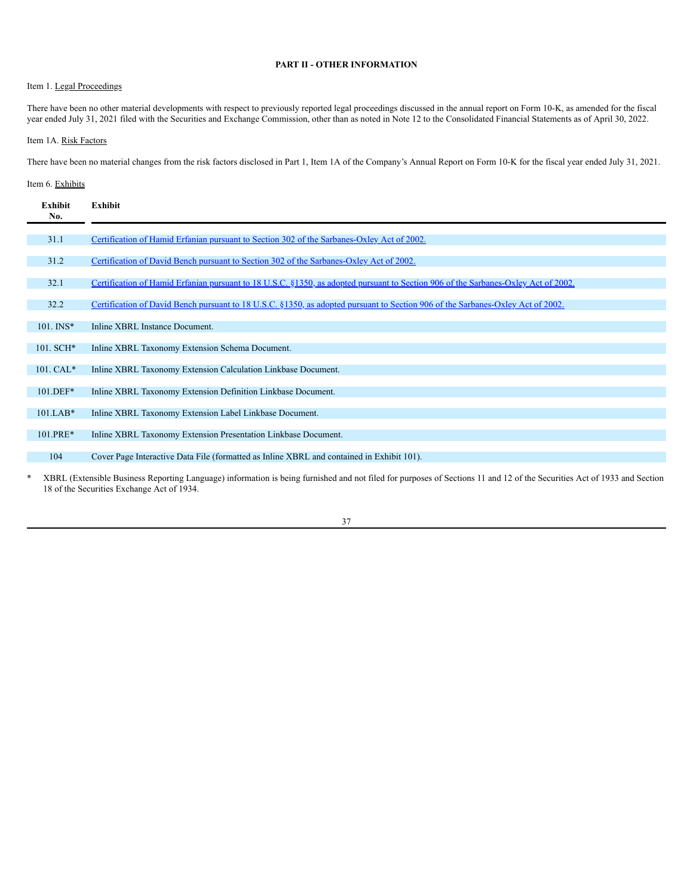# **PART II - OTHER INFORMATION**

# <span id="page-38-1"></span><span id="page-38-0"></span>Item 1. Legal Proceedings

There have been no other material developments with respect to previously reported legal proceedings discussed in the annual report on Form 10-K, as amended for the fiscal year ended July 31, 2021 filed with the Securities and Exchange Commission, other than as noted in Note 12 to the Consolidated Financial Statements as of April 30, 2022.

## <span id="page-38-2"></span>Item 1A. Risk Factors

There have been no material changes from the risk factors disclosed in Part 1, Item 1A of the Company's Annual Report on Form 10-K for the fiscal year ended July 31, 2021.

## <span id="page-38-3"></span>Item 6. Exhibits

| Exhibit<br>No. | Exhibit                                                                                                                            |
|----------------|------------------------------------------------------------------------------------------------------------------------------------|
| 31.1           | Certification of Hamid Erfanian pursuant to Section 302 of the Sarbanes-Oxley Act of 2002.                                         |
| 31.2           | Certification of David Bench pursuant to Section 302 of the Sarbanes-Oxley Act of 2002.                                            |
| 32.1           | Certification of Hamid Erfanian pursuant to 18 U.S.C. §1350, as adopted pursuant to Section 906 of the Sarbanes-Oxley Act of 2002. |
| 32.2           | Certification of David Bench pursuant to 18 U.S.C. §1350, as adopted pursuant to Section 906 of the Sarbanes-Oxley Act of 2002.    |
| $101.$ INS*    | Inline XBRL Instance Document.                                                                                                     |
| 101. SCH*      | Inline XBRL Taxonomy Extension Schema Document.                                                                                    |
| 101. CAL*      | Inline XBRL Taxonomy Extension Calculation Linkbase Document.                                                                      |
| 101.DEF*       | Inline XBRL Taxonomy Extension Definition Linkbase Document.                                                                       |
| $101.LAB*$     | Inline XBRL Taxonomy Extension Label Linkbase Document.                                                                            |
| 101.PRE*       | Inline XBRL Taxonomy Extension Presentation Linkbase Document.                                                                     |
| 104            | Cover Page Interactive Data File (formatted as Inline XBRL and contained in Exhibit 101).                                          |

\* XBRL (Extensible Business Reporting Language) information is being furnished and not filed for purposes of Sections 11 and 12 of the Securities Act of 1933 and Section 18 of the Securities Exchange Act of 1934.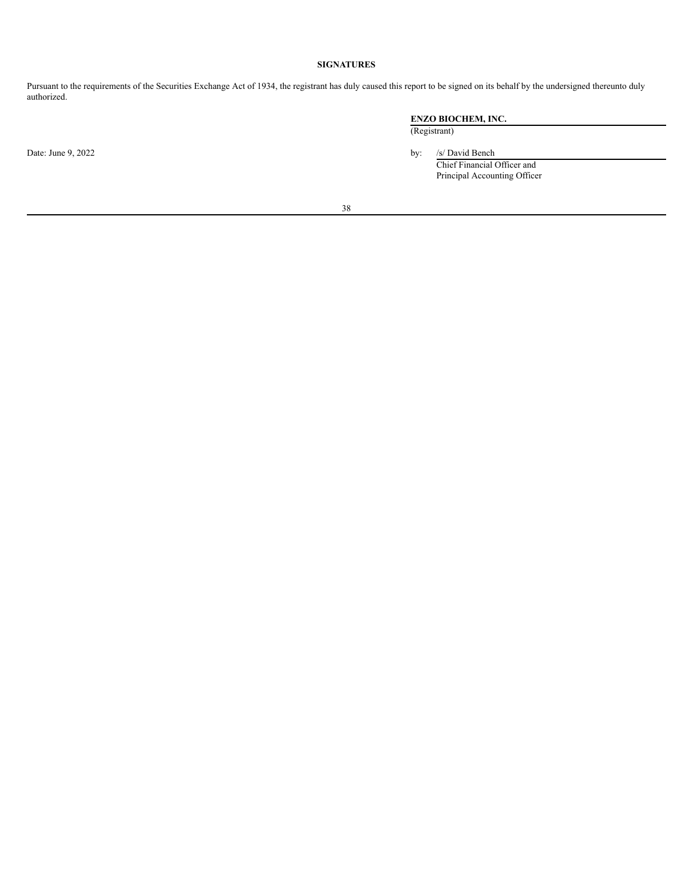# **SIGNATURES**

<span id="page-39-0"></span>Pursuant to the requirements of the Securities Exchange Act of 1934, the registrant has duly caused this report to be signed on its behalf by the undersigned thereunto duly authorized.

# **ENZO BIOCHEM, INC.**

(Registrant)

Date: June 9, 2022 by: /s/ David Bench

Chief Financial Officer and Principal Accounting Officer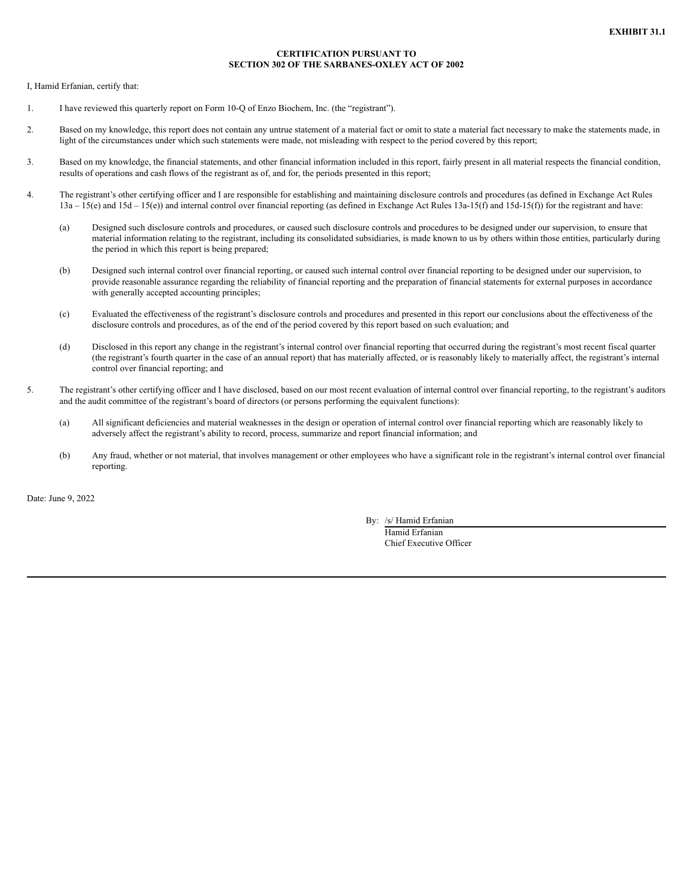## **CERTIFICATION PURSUANT TO SECTION 302 OF THE SARBANES-OXLEY ACT OF 2002**

I, Hamid Erfanian, certify that:

- 1. I have reviewed this quarterly report on Form 10-Q of Enzo Biochem, Inc. (the "registrant").
- 2. Based on my knowledge, this report does not contain any untrue statement of a material fact or omit to state a material fact necessary to make the statements made, in light of the circumstances under which such statements were made, not misleading with respect to the period covered by this report;
- 3. Based on my knowledge, the financial statements, and other financial information included in this report, fairly present in all material respects the financial condition, results of operations and cash flows of the registrant as of, and for, the periods presented in this report;
- 4. The registrant's other certifying officer and I are responsible for establishing and maintaining disclosure controls and procedures (as defined in Exchange Act Rules 13a – 15(e) and 15d – 15(e)) and internal control over financial reporting (as defined in Exchange Act Rules 13a-15(f) and 15d-15(f)) for the registrant and have:
	- (a) Designed such disclosure controls and procedures, or caused such disclosure controls and procedures to be designed under our supervision, to ensure that material information relating to the registrant, including its consolidated subsidiaries, is made known to us by others within those entities, particularly during the period in which this report is being prepared;
	- (b) Designed such internal control over financial reporting, or caused such internal control over financial reporting to be designed under our supervision, to provide reasonable assurance regarding the reliability of financial reporting and the preparation of financial statements for external purposes in accordance with generally accepted accounting principles;
	- (c) Evaluated the effectiveness of the registrant's disclosure controls and procedures and presented in this report our conclusions about the effectiveness of the disclosure controls and procedures, as of the end of the period covered by this report based on such evaluation; and
	- (d) Disclosed in this report any change in the registrant's internal control over financial reporting that occurred during the registrant's most recent fiscal quarter (the registrant's fourth quarter in the case of an annual report) that has materially affected, or is reasonably likely to materially affect, the registrant's internal control over financial reporting; and
- 5. The registrant's other certifying officer and I have disclosed, based on our most recent evaluation of internal control over financial reporting, to the registrant's auditors and the audit committee of the registrant's board of directors (or persons performing the equivalent functions):
	- (a) All significant deficiencies and material weaknesses in the design or operation of internal control over financial reporting which are reasonably likely to adversely affect the registrant's ability to record, process, summarize and report financial information; and
	- (b) Any fraud, whether or not material, that involves management or other employees who have a significant role in the registrant's internal control over financial reporting.

Date: June 9, 2022

By: /s/ Hamid Erfanian

Hamid Erfanian Chief Executive Officer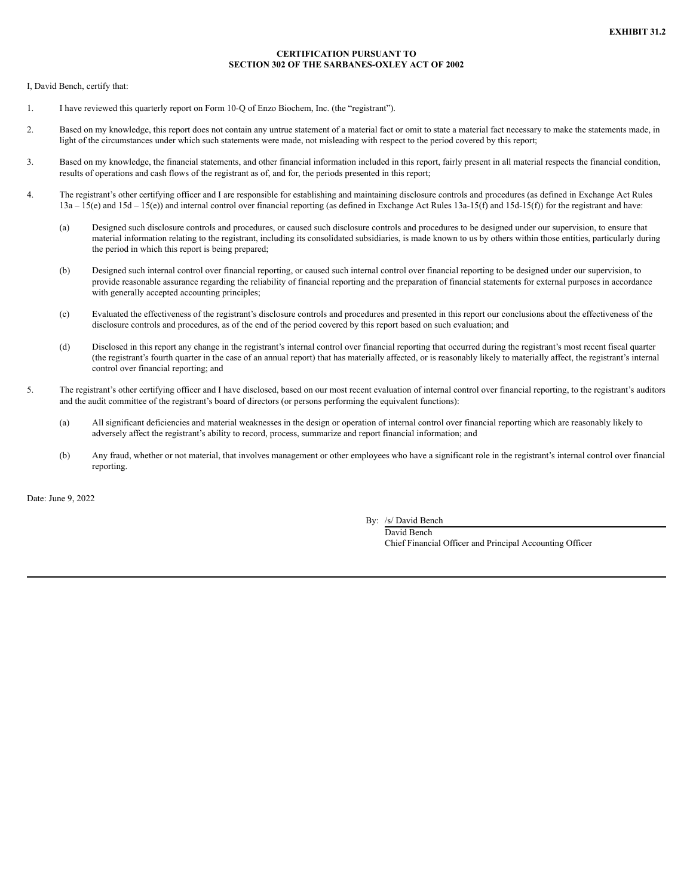## **CERTIFICATION PURSUANT TO SECTION 302 OF THE SARBANES-OXLEY ACT OF 2002**

I, David Bench, certify that:

- 1. I have reviewed this quarterly report on Form 10-Q of Enzo Biochem, Inc. (the "registrant").
- 2. Based on my knowledge, this report does not contain any untrue statement of a material fact or omit to state a material fact necessary to make the statements made, in light of the circumstances under which such statements were made, not misleading with respect to the period covered by this report;
- 3. Based on my knowledge, the financial statements, and other financial information included in this report, fairly present in all material respects the financial condition, results of operations and cash flows of the registrant as of, and for, the periods presented in this report;
- 4. The registrant's other certifying officer and I are responsible for establishing and maintaining disclosure controls and procedures (as defined in Exchange Act Rules 13a – 15(e) and 15d – 15(e)) and internal control over financial reporting (as defined in Exchange Act Rules 13a-15(f) and 15d-15(f)) for the registrant and have:
	- (a) Designed such disclosure controls and procedures, or caused such disclosure controls and procedures to be designed under our supervision, to ensure that material information relating to the registrant, including its consolidated subsidiaries, is made known to us by others within those entities, particularly during the period in which this report is being prepared;
	- (b) Designed such internal control over financial reporting, or caused such internal control over financial reporting to be designed under our supervision, to provide reasonable assurance regarding the reliability of financial reporting and the preparation of financial statements for external purposes in accordance with generally accepted accounting principles;
	- (c) Evaluated the effectiveness of the registrant's disclosure controls and procedures and presented in this report our conclusions about the effectiveness of the disclosure controls and procedures, as of the end of the period covered by this report based on such evaluation; and
	- (d) Disclosed in this report any change in the registrant's internal control over financial reporting that occurred during the registrant's most recent fiscal quarter (the registrant's fourth quarter in the case of an annual report) that has materially affected, or is reasonably likely to materially affect, the registrant's internal control over financial reporting; and
- 5. The registrant's other certifying officer and I have disclosed, based on our most recent evaluation of internal control over financial reporting, to the registrant's auditors and the audit committee of the registrant's board of directors (or persons performing the equivalent functions):
	- (a) All significant deficiencies and material weaknesses in the design or operation of internal control over financial reporting which are reasonably likely to adversely affect the registrant's ability to record, process, summarize and report financial information; and
	- (b) Any fraud, whether or not material, that involves management or other employees who have a significant role in the registrant's internal control over financial reporting.

Date: June 9, 2022

By: /s/ David Bench

David Bench Chief Financial Officer and Principal Accounting Officer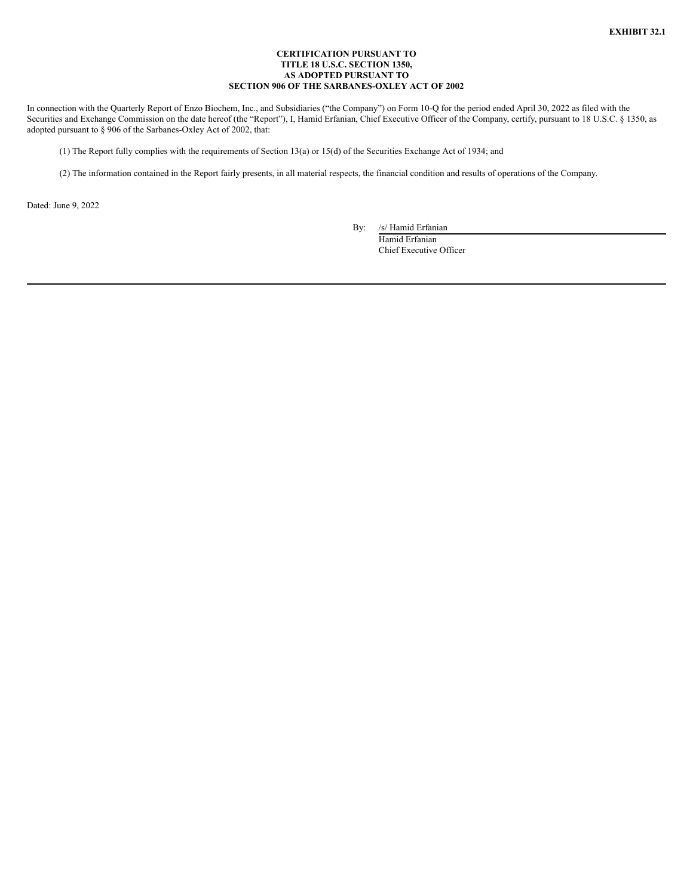## **CERTIFICATION PURSUANT TO TITLE 18 U.S.C. SECTION 1350, AS ADOPTED PURSUANT TO SECTION 906 OF THE SARBANES-OXLEY ACT OF 2002**

In connection with the Quarterly Report of Enzo Biochem, Inc., and Subsidiaries ("the Company") on Form 10-Q for the period ended April 30, 2022 as filed with the Securities and Exchange Commission on the date hereof (the "Report"), I, Hamid Erfanian, Chief Executive Officer of the Company, certify, pursuant to 18 U.S.C. § 1350, as adopted pursuant to § 906 of the Sarbanes-Oxley Act of 2002, that:

(1) The Report fully complies with the requirements of Section 13(a) or 15(d) of the Securities Exchange Act of 1934; and

(2) The information contained in the Report fairly presents, in all material respects, the financial condition and results of operations of the Company.

Dated: June 9, 2022

By: /s/ Hamid Erfanian

Hamid Erfanian Chief Executive Officer